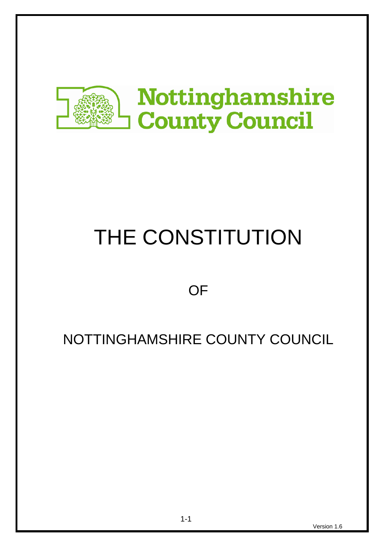

# THE CONSTITUTION

**OF** 

# NOTTINGHAMSHIRE COUNTY COUNCIL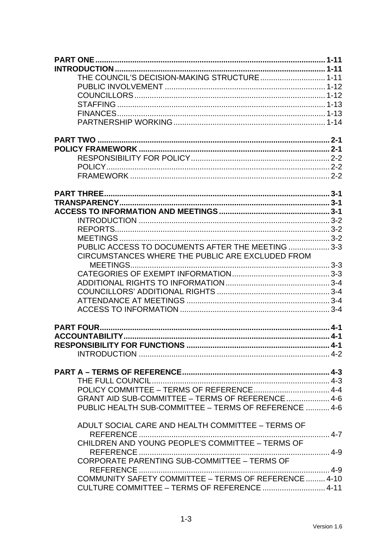| THE COUNCIL'S DECISION-MAKING STRUCTURE 1-11          |  |
|-------------------------------------------------------|--|
|                                                       |  |
|                                                       |  |
|                                                       |  |
|                                                       |  |
|                                                       |  |
|                                                       |  |
|                                                       |  |
|                                                       |  |
|                                                       |  |
|                                                       |  |
|                                                       |  |
|                                                       |  |
|                                                       |  |
|                                                       |  |
|                                                       |  |
|                                                       |  |
| PUBLIC ACCESS TO DOCUMENTS AFTER THE MEETING  3-3     |  |
| CIRCUMSTANCES WHERE THE PUBLIC ARE EXCLUDED FROM      |  |
|                                                       |  |
|                                                       |  |
|                                                       |  |
|                                                       |  |
|                                                       |  |
|                                                       |  |
|                                                       |  |
|                                                       |  |
|                                                       |  |
|                                                       |  |
|                                                       |  |
|                                                       |  |
|                                                       |  |
| GRANT AID SUB-COMMITTEE - TERMS OF REFERENCE  4-6     |  |
| PUBLIC HEALTH SUB-COMMITTEE - TERMS OF REFERENCE  4-6 |  |
| ADULT SOCIAL CARE AND HEALTH COMMITTEE - TERMS OF     |  |
| REFERENCE                                             |  |
| CHILDREN AND YOUNG PEOPLE'S COMMITTEE - TERMS OF      |  |
| CORPORATE PARENTING SUB-COMMITTEE - TERMS OF          |  |
|                                                       |  |
| COMMUNITY SAFETY COMMITTEE - TERMS OF REFERENCE  4-10 |  |
| CULTURE COMMITTEE - TERMS OF REFERENCE  4-11          |  |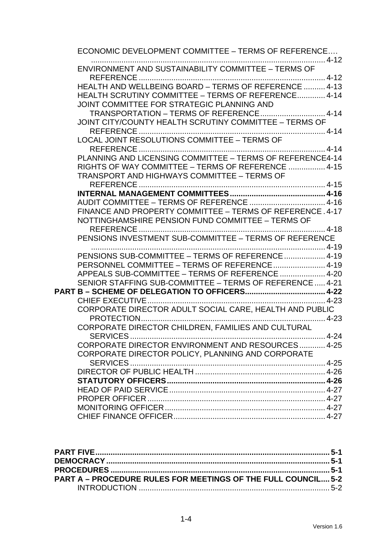| ECONOMIC DEVELOPMENT COMMITTEE - TERMS OF REFERENCE                                                             |  |
|-----------------------------------------------------------------------------------------------------------------|--|
| ENVIRONMENT AND SUSTAINABILITY COMMITTEE - TERMS OF                                                             |  |
| HEALTH AND WELLBEING BOARD - TERMS OF REFERENCE  4-13                                                           |  |
| HEALTH SCRUTINY COMMITTEE - TERMS OF REFERENCE 4-14<br>JOINT COMMITTEE FOR STRATEGIC PLANNING AND               |  |
| TRANSPORTATION - TERMS OF REFERENCE 4-14                                                                        |  |
| JOINT CITY/COUNTY HEALTH SCRUTINY COMMITTEE - TERMS OF                                                          |  |
| LOCAL JOINT RESOLUTIONS COMMITTEE - TERMS OF                                                                    |  |
|                                                                                                                 |  |
| PLANNING AND LICENSING COMMITTEE - TERMS OF REFERENCE4-14<br>RIGHTS OF WAY COMMITTEE - TERMS OF REFERENCE  4-15 |  |
| <b>TRANSPORT AND HIGHWAYS COMMITTEE - TERMS OF</b>                                                              |  |
|                                                                                                                 |  |
|                                                                                                                 |  |
| FINANCE AND PROPERTY COMMITTEE - TERMS OF REFERENCE, 4-17<br>NOTTINGHAMSHIRE PENSION FUND COMMITTEE - TERMS OF  |  |
|                                                                                                                 |  |
| PENSIONS INVESTMENT SUB-COMMITTEE - TERMS OF REFERENCE                                                          |  |
| PENSIONS SUB-COMMITTEE - TERMS OF REFERENCE  4-19                                                               |  |
| PERSONNEL COMMITTEE - TERMS OF REFERENCE  4-19<br>APPEALS SUB-COMMITTEE - TERMS OF REFERENCE  4-20              |  |
| SENIOR STAFFING SUB-COMMITTEE - TERMS OF REFERENCE 4-21                                                         |  |
|                                                                                                                 |  |
| CORPORATE DIRECTOR ADULT SOCIAL CARE, HEALTH AND PUBLIC                                                         |  |
| PROTECTION<br>$4-23$<br>CORPORATE DIRECTOR CHILDREN, FAMILIES AND CULTURAL                                      |  |
|                                                                                                                 |  |
| CORPORATE DIRECTOR ENVIRONMENT AND RESOURCES 4-25<br>CORPORATE DIRECTOR POLICY, PLANNING AND CORPORATE          |  |
|                                                                                                                 |  |
|                                                                                                                 |  |
|                                                                                                                 |  |
|                                                                                                                 |  |
|                                                                                                                 |  |

| <b>PART A – PROCEDURE RULES FOR MEETINGS OF THE FULL COUNCIL 5-2</b> |  |
|----------------------------------------------------------------------|--|
|                                                                      |  |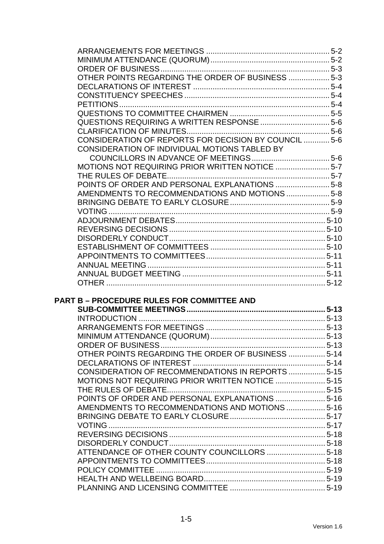| OTHER POINTS REGARDING THE ORDER OF BUSINESS  5-3     |  |
|-------------------------------------------------------|--|
|                                                       |  |
|                                                       |  |
|                                                       |  |
|                                                       |  |
|                                                       |  |
|                                                       |  |
| CONSIDERATION OF REPORTS FOR DECISION BY COUNCIL  5-6 |  |
| CONSIDERATION OF INDIVIDUAL MOTIONS TABLED BY         |  |
|                                                       |  |
| MOTIONS NOT REQUIRING PRIOR WRITTEN NOTICE  5-7       |  |
|                                                       |  |
| POINTS OF ORDER AND PERSONAL EXPLANATIONS  5-8        |  |
|                                                       |  |
| AMENDMENTS TO RECOMMENDATIONS AND MOTIONS  5-8        |  |
|                                                       |  |
|                                                       |  |
|                                                       |  |
|                                                       |  |
|                                                       |  |
|                                                       |  |
|                                                       |  |
|                                                       |  |
|                                                       |  |
|                                                       |  |
|                                                       |  |
|                                                       |  |
| <b>PART B - PROCEDURE RULES FOR COMMITTEE AND</b>     |  |
|                                                       |  |
|                                                       |  |
|                                                       |  |
|                                                       |  |
|                                                       |  |
| OTHER POINTS REGARDING THE ORDER OF BUSINESS  5-14    |  |
|                                                       |  |
| CONSIDERATION OF RECOMMENDATIONS IN REPORTS  5-15     |  |
| MOTIONS NOT REQUIRING PRIOR WRITTEN NOTICE  5-15      |  |
|                                                       |  |
| POINTS OF ORDER AND PERSONAL EXPLANATIONS  5-16       |  |
| AMENDMENTS TO RECOMMENDATIONS AND MOTIONS  5-16       |  |
|                                                       |  |
|                                                       |  |
|                                                       |  |
|                                                       |  |
|                                                       |  |
| ATTENDANCE OF OTHER COUNTY COUNCILLORS  5-18          |  |
|                                                       |  |
|                                                       |  |
|                                                       |  |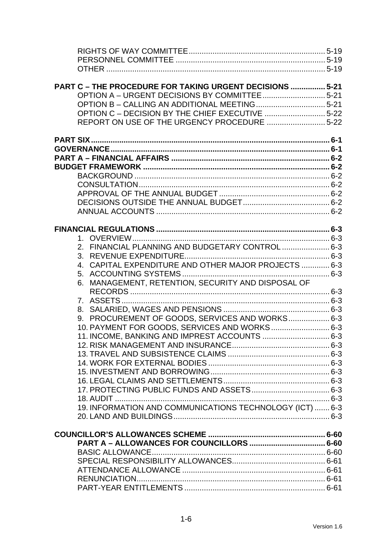| PART C - THE PROCEDURE FOR TAKING URGENT DECISIONS  5-21 |  |
|----------------------------------------------------------|--|
|                                                          |  |
|                                                          |  |
| OPTION C - DECISION BY THE CHIEF EXECUTIVE 5-22          |  |
| REPORT ON USE OF THE URGENCY PROCEDURE  5-22             |  |
|                                                          |  |
|                                                          |  |
|                                                          |  |
|                                                          |  |
|                                                          |  |
|                                                          |  |
|                                                          |  |
|                                                          |  |
|                                                          |  |
|                                                          |  |
|                                                          |  |
|                                                          |  |
| 2. FINANCIAL PLANNING AND BUDGETARY CONTROL 6-3          |  |
|                                                          |  |
| 4. CAPITAL EXPENDITURE AND OTHER MAJOR PROJECTS  6-3     |  |
|                                                          |  |
| 6. MANAGEMENT, RETENTION, SECURITY AND DISPOSAL OF       |  |
|                                                          |  |
|                                                          |  |
|                                                          |  |
| 9. PROCUREMENT OF GOODS, SERVICES AND WORKS 6-3          |  |
| 10. PAYMENT FOR GOODS, SERVICES AND WORKS 6-3            |  |
| 11. INCOME, BANKING AND IMPREST ACCOUNTS  6-3            |  |
|                                                          |  |
|                                                          |  |
|                                                          |  |
|                                                          |  |
|                                                          |  |
|                                                          |  |
|                                                          |  |
| 19. INFORMATION AND COMMUNICATIONS TECHNOLOGY (ICT)  6-3 |  |
|                                                          |  |
|                                                          |  |
|                                                          |  |
|                                                          |  |
|                                                          |  |
|                                                          |  |
|                                                          |  |
|                                                          |  |
|                                                          |  |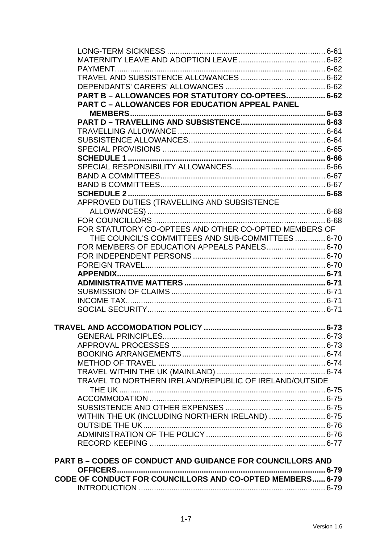| PART B - ALLOWANCES FOR STATUTORY CO-OPTEES 6-62                  |  |
|-------------------------------------------------------------------|--|
| <b>PART C - ALLOWANCES FOR EDUCATION APPEAL PANEL</b>             |  |
|                                                                   |  |
|                                                                   |  |
|                                                                   |  |
|                                                                   |  |
|                                                                   |  |
|                                                                   |  |
|                                                                   |  |
|                                                                   |  |
|                                                                   |  |
|                                                                   |  |
| APPROVED DUTIES (TRAVELLING AND SUBSISTENCE                       |  |
|                                                                   |  |
|                                                                   |  |
| FOR STATUTORY CO-OPTEES AND OTHER CO-OPTED MEMBERS OF             |  |
| THE COUNCIL'S COMMITTEES AND SUB-COMMITTEES  6-70                 |  |
|                                                                   |  |
|                                                                   |  |
|                                                                   |  |
|                                                                   |  |
|                                                                   |  |
|                                                                   |  |
|                                                                   |  |
|                                                                   |  |
|                                                                   |  |
|                                                                   |  |
|                                                                   |  |
|                                                                   |  |
|                                                                   |  |
|                                                                   |  |
|                                                                   |  |
| TRAVEL TO NORTHERN IRELAND/REPUBLIC OF IRELAND/OUTSIDE            |  |
|                                                                   |  |
|                                                                   |  |
|                                                                   |  |
| WITHIN THE UK (INCLUDING NORTHERN IRELAND)  6-75                  |  |
|                                                                   |  |
|                                                                   |  |
|                                                                   |  |
|                                                                   |  |
| <b>PART B - CODES OF CONDUCT AND GUIDANCE FOR COUNCILLORS AND</b> |  |
|                                                                   |  |
| CODE OF CONDUCT FOR COUNCILLORS AND CO-OPTED MEMBERS 6-79         |  |
|                                                                   |  |
|                                                                   |  |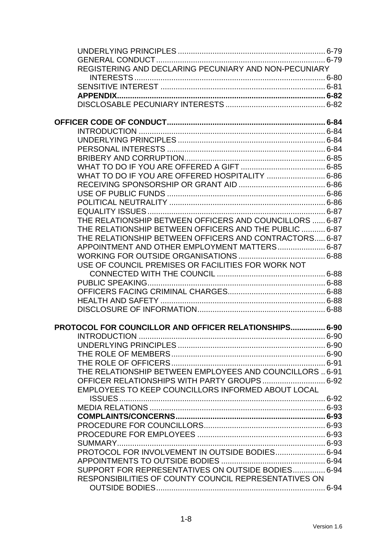| REGISTERING AND DECLARING PECUNIARY AND NON-PECUNIARY    |  |
|----------------------------------------------------------|--|
|                                                          |  |
|                                                          |  |
|                                                          |  |
|                                                          |  |
|                                                          |  |
|                                                          |  |
|                                                          |  |
|                                                          |  |
|                                                          |  |
|                                                          |  |
|                                                          |  |
|                                                          |  |
|                                                          |  |
|                                                          |  |
|                                                          |  |
|                                                          |  |
|                                                          |  |
| THE RELATIONSHIP BETWEEN OFFICERS AND COUNCILLORS  6-87  |  |
| THE RELATIONSHIP BETWEEN OFFICERS AND THE PUBLIC  6-87   |  |
| THE RELATIONSHIP BETWEEN OFFICERS AND CONTRACTORS 6-87   |  |
| APPOINTMENT AND OTHER EMPLOYMENT MATTERS 6-87            |  |
|                                                          |  |
| USE OF COUNCIL PREMISES OR FACILITIES FOR WORK NOT       |  |
|                                                          |  |
|                                                          |  |
|                                                          |  |
|                                                          |  |
|                                                          |  |
|                                                          |  |
| PROTOCOL FOR COUNCILLOR AND OFFICER RELATIONSHIPS 6-90   |  |
| <b>INTRODUCTION</b>                                      |  |
|                                                          |  |
|                                                          |  |
|                                                          |  |
| THE RELATIONSHIP BETWEEN EMPLOYEES AND COUNCILLORS  6-91 |  |
|                                                          |  |
| EMPLOYEES TO KEEP COUNCILLORS INFORMED ABOUT LOCAL       |  |
|                                                          |  |
|                                                          |  |
|                                                          |  |
|                                                          |  |
|                                                          |  |
|                                                          |  |
|                                                          |  |
| PROTOCOL FOR INVOLVEMENT IN OUTSIDE BODIES 6-94          |  |
|                                                          |  |
| SUPPORT FOR REPRESENTATIVES ON OUTSIDE BODIES 6-94       |  |
| RESPONSIBILITIES OF COUNTY COUNCIL REPRESENTATIVES ON    |  |
|                                                          |  |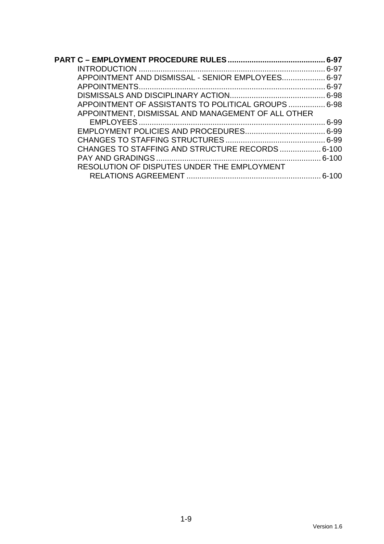|                                                     | . 6-97 |
|-----------------------------------------------------|--------|
|                                                     |        |
| APPOINTMENT AND DISMISSAL - SENIOR EMPLOYEES 6-97   |        |
|                                                     |        |
|                                                     |        |
| APPOINTMENT OF ASSISTANTS TO POLITICAL GROUPS  6-98 |        |
| APPOINTMENT, DISMISSAL AND MANAGEMENT OF ALL OTHER  |        |
|                                                     |        |
|                                                     |        |
|                                                     |        |
| CHANGES TO STAFFING AND STRUCTURE RECORDS 6-100     |        |
|                                                     |        |
| RESOLUTION OF DISPUTES UNDER THE EMPLOYMENT         |        |
|                                                     |        |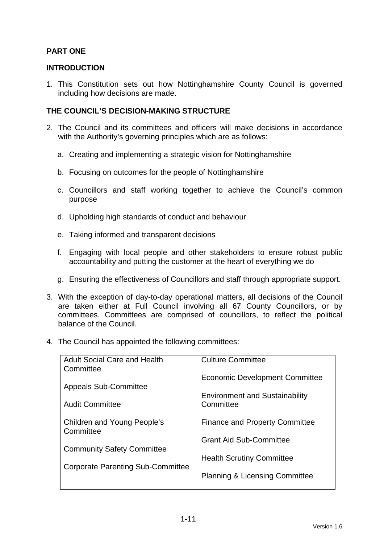# **PART ONE**

# **INTRODUCTION**

1. This Constitution sets out how Nottinghamshire County Council is governed including how decisions are made.

# **THE COUNCIL'S DECISION-MAKING STRUCTURE**

- 2. The Council and its committees and officers will make decisions in accordance with the Authority's governing principles which are as follows:
	- a. Creating and implementing a strategic vision for Nottinghamshire
	- b. Focusing on outcomes for the people of Nottinghamshire
	- c. Councillors and staff working together to achieve the Council's common purpose
	- d. Upholding high standards of conduct and behaviour
	- e. Taking informed and transparent decisions
	- f. Engaging with local people and other stakeholders to ensure robust public accountability and putting the customer at the heart of everything we do
	- g. Ensuring the effectiveness of Councillors and staff through appropriate support.
- 3. With the exception of day-to-day operational matters, all decisions of the Council are taken either at Full Council involving all 67 County Councillors, or by committees. Committees are comprised of councillors, to reflect the political balance of the Council.
- 4. The Council has appointed the following committees:

| <b>Adult Social Care and Health</b><br>Committee | <b>Culture Committee</b>                           |
|--------------------------------------------------|----------------------------------------------------|
| <b>Appeals Sub-Committee</b>                     | <b>Economic Development Committee</b>              |
| <b>Audit Committee</b>                           | <b>Environment and Sustainability</b><br>Committee |
| <b>Children and Young People's</b><br>Committee  | <b>Finance and Property Committee</b>              |
|                                                  | <b>Grant Aid Sub-Committee</b>                     |
| <b>Community Safety Committee</b>                | <b>Health Scrutiny Committee</b>                   |
| <b>Corporate Parenting Sub-Committee</b>         | <b>Planning &amp; Licensing Committee</b>          |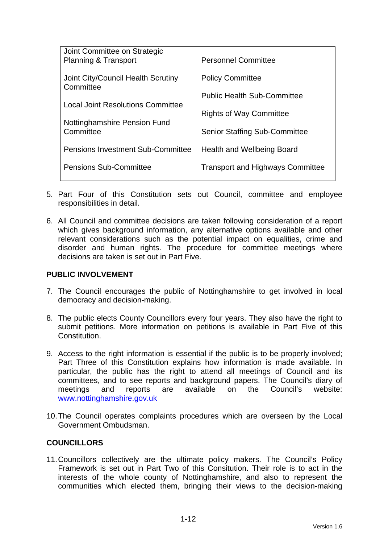| Joint Committee on Strategic<br><b>Planning &amp; Transport</b> | <b>Personnel Committee</b>              |
|-----------------------------------------------------------------|-----------------------------------------|
| Joint City/Council Health Scrutiny<br>Committee                 | <b>Policy Committee</b>                 |
|                                                                 | <b>Public Health Sub-Committee</b>      |
| <b>Local Joint Resolutions Committee</b>                        |                                         |
| Nottinghamshire Pension Fund                                    | <b>Rights of Way Committee</b>          |
| Committee                                                       | <b>Senior Staffing Sub-Committee</b>    |
| <b>Pensions Investment Sub-Committee</b>                        | Health and Wellbeing Board              |
| <b>Pensions Sub-Committee</b>                                   | <b>Transport and Highways Committee</b> |
|                                                                 |                                         |

- 5. Part Four of this Constitution sets out Council, committee and employee responsibilities in detail.
- 6. All Council and committee decisions are taken following consideration of a report which gives background information, any alternative options available and other relevant considerations such as the potential impact on equalities, crime and disorder and human rights. The procedure for committee meetings where decisions are taken is set out in Part Five.

# **PUBLIC INVOLVEMENT**

- 7. The Council encourages the public of Nottinghamshire to get involved in local democracy and decision-making.
- 8. The public elects County Councillors every four years. They also have the right to submit petitions. More information on petitions is available in Part Five of this Constitution.
- 9. Access to the right information is essential if the public is to be properly involved; Part Three of this Constitution explains how information is made available. In particular, the public has the right to attend all meetings of Council and its committees, and to see reports and background papers. The Council's diary of meetings and reports are available on the Council's website: www.nottinghamshire.gov.uk
- 10. The Council operates complaints procedures which are overseen by the Local Government Ombudsman.

# **COUNCILLORS**

11. Councillors collectively are the ultimate policy makers. The Council's Policy Framework is set out in Part Two of this Consitution. Their role is to act in the interests of the whole county of Nottinghamshire, and also to represent the communities which elected them, bringing their views to the decision-making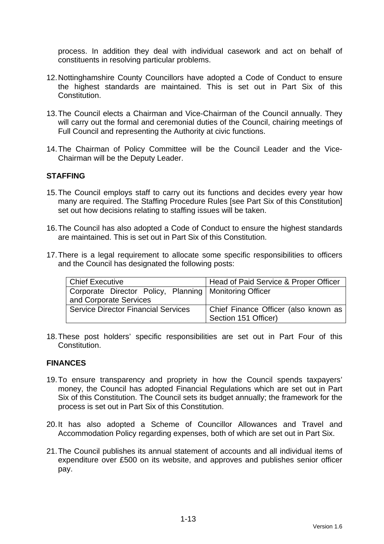process. In addition they deal with individual casework and act on behalf of constituents in resolving particular problems.

- 12. Nottinghamshire County Councillors have adopted a Code of Conduct to ensure the highest standards are maintained. This is set out in Part Six of this Constitution.
- 13. The Council elects a Chairman and Vice-Chairman of the Council annually. They will carry out the formal and ceremonial duties of the Council, chairing meetings of Full Council and representing the Authority at civic functions.
- 14. The Chairman of Policy Committee will be the Council Leader and the Vice-Chairman will be the Deputy Leader.

# **STAFFING**

- 15. The Council employs staff to carry out its functions and decides every year how many are required. The Staffing Procedure Rules [see Part Six of this Constitution] set out how decisions relating to staffing issues will be taken.
- 16. The Council has also adopted a Code of Conduct to ensure the highest standards are maintained. This is set out in Part Six of this Constitution.
- 17. There is a legal requirement to allocate some specific responsibilities to officers and the Council has designated the following posts:

| <b>Chief Executive</b>                                   | Head of Paid Service & Proper Officer |
|----------------------------------------------------------|---------------------------------------|
| Corporate Director Policy, Planning   Monitoring Officer |                                       |
| and Corporate Services                                   |                                       |
| <b>Service Director Financial Services</b>               | Chief Finance Officer (also known as  |
|                                                          | <sup>I</sup> Section 151 Officer)     |

18. These post holders' specific responsibilities are set out in Part Four of this Constitution.

#### **FINANCES**

- 19. To ensure transparency and propriety in how the Council spends taxpayers' money, the Council has adopted Financial Regulations which are set out in Part Six of this Constitution. The Council sets its budget annually; the framework for the process is set out in Part Six of this Constitution.
- 20. It has also adopted a Scheme of Councillor Allowances and Travel and Accommodation Policy regarding expenses, both of which are set out in Part Six.
- 21. The Council publishes its annual statement of accounts and all individual items of expenditure over £500 on its website, and approves and publishes senior officer pay.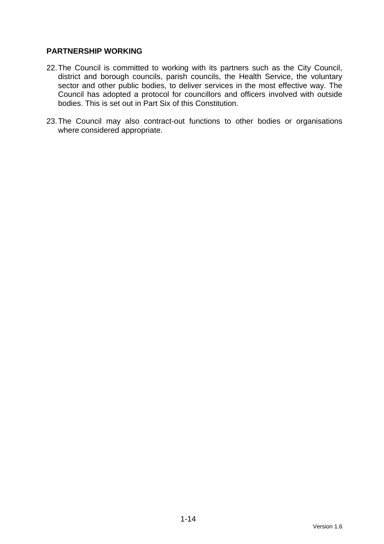# **PARTNERSHIP WORKING**

- 22. The Council is committed to working with its partners such as the City Council, district and borough councils, parish councils, the Health Service, the voluntary sector and other public bodies, to deliver services in the most effective way. The Council has adopted a protocol for councillors and officers involved with outside bodies. This is set out in Part Six of this Constitution.
- 23. The Council may also contract-out functions to other bodies or organisations where considered appropriate.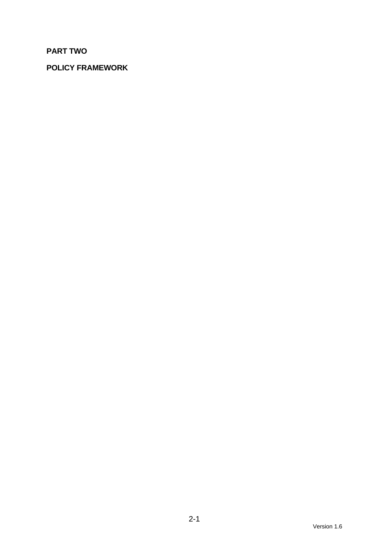# **PART TWO**

# **POLICY FRAMEWORK**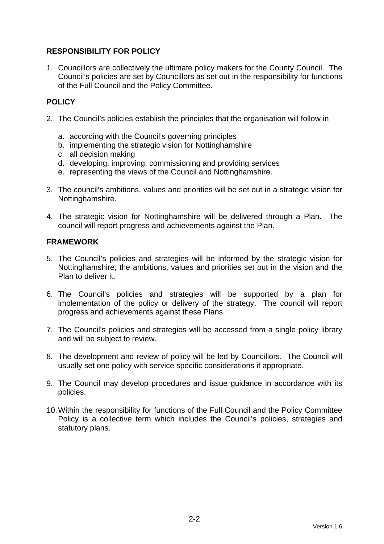# **RESPONSIBILITY FOR POLICY**

1. Councillors are collectively the ultimate policy makers for the County Council. The Council's policies are set by Councillors as set out in the responsibility for functions of the Full Council and the Policy Committee.

# **POLICY**

- 2. The Council's policies establish the principles that the organisation will follow in
	- a. according with the Council's governing principles
	- b. implementing the strategic vision for Nottinghamshire
	- c. all decision making
	- d. developing, improving, commissioning and providing services
	- e. representing the views of the Council and Nottinghamshire.
- 3. The council's ambitions, values and priorities will be set out in a strategic vision for Nottinghamshire.
- 4. The strategic vision for Nottinghamshire will be delivered through a Plan. The council will report progress and achievements against the Plan.

# **FRAMEWORK**

- 5. The Council's policies and strategies will be informed by the strategic vision for Nottinghamshire, the ambitions, values and priorities set out in the vision and the Plan to deliver it.
- 6. The Council's policies and strategies will be supported by a plan for implementation of the policy or delivery of the strategy. The council will report progress and achievements against these Plans.
- 7. The Council's policies and strategies will be accessed from a single policy library and will be subject to review.
- 8. The development and review of policy will be led by Councillors. The Council will usually set one policy with service specific considerations if appropriate.
- 9. The Council may develop procedures and issue guidance in accordance with its policies.
- 10. Within the responsibility for functions of the Full Council and the Policy Committee Policy is a collective term which includes the Council's policies, strategies and statutory plans.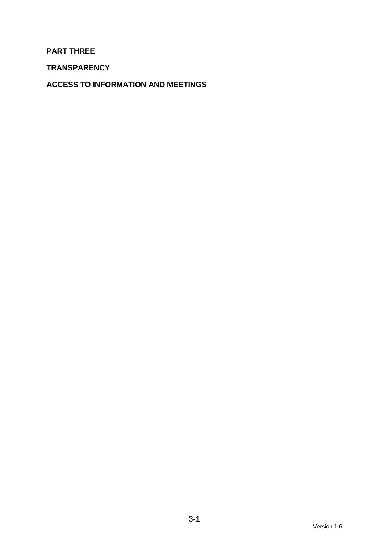**PART THREE** 

**TRANSPARENCY** 

**ACCESS TO INFORMATION AND MEETINGS**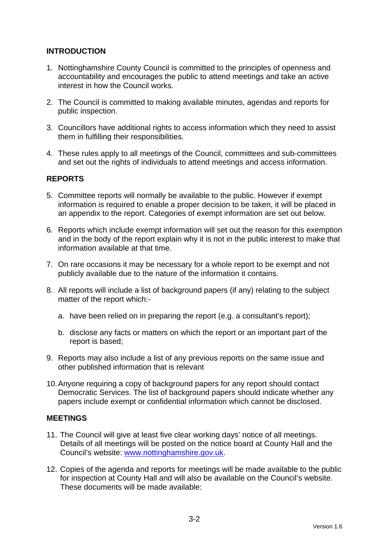# **INTRODUCTION**

- 1. Nottinghamshire County Council is committed to the principles of openness and accountability and encourages the public to attend meetings and take an active interest in how the Council works.
- 2. The Council is committed to making available minutes, agendas and reports for public inspection.
- 3. Councillors have additional rights to access information which they need to assist them in fulfilling their responsibilities.
- 4. These rules apply to all meetings of the Council, committees and sub-committees and set out the rights of individuals to attend meetings and access information.

# **REPORTS**

- 5. Committee reports will normally be available to the public. However if exempt information is required to enable a proper decision to be taken, it will be placed in an appendix to the report. Categories of exempt information are set out below.
- 6. Reports which include exempt information will set out the reason for this exemption and in the body of the report explain why it is not in the public interest to make that information available at that time.
- 7. On rare occasions it may be necessary for a whole report to be exempt and not publicly available due to the nature of the information it contains.
- 8. All reports will include a list of background papers (if any) relating to the subject matter of the report which:
	- a. have been relied on in preparing the report (e.g. a consultant's report);
	- b. disclose any facts or matters on which the report or an important part of the report is based;
- 9. Reports may also include a list of any previous reports on the same issue and other published information that is relevant
- 10. Anyone requiring a copy of background papers for any report should contact Democratic Services. The list of background papers should indicate whether any papers include exempt or confidential information which cannot be disclosed.

# **MEETINGS**

- 11. The Council will give at least five clear working days' notice of all meetings. Details of all meetings will be posted on the notice board at County Hall and the Council's website: www.nottinghamshire.gov.uk.
- 12. Copies of the agenda and reports for meetings will be made available to the public for inspection at County Hall and will also be available on the Council's website. These documents will be made available: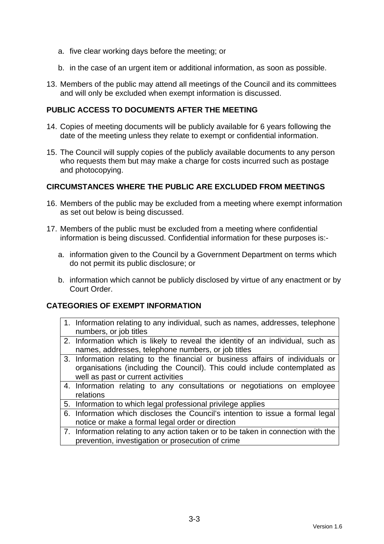- a. five clear working days before the meeting; or
- b. in the case of an urgent item or additional information, as soon as possible.
- 13. Members of the public may attend all meetings of the Council and its committees and will only be excluded when exempt information is discussed.

# **PUBLIC ACCESS TO DOCUMENTS AFTER THE MEETING**

- 14. Copies of meeting documents will be publicly available for 6 years following the date of the meeting unless they relate to exempt or confidential information.
- 15. The Council will supply copies of the publicly available documents to any person who requests them but may make a charge for costs incurred such as postage and photocopying.

# **CIRCUMSTANCES WHERE THE PUBLIC ARE EXCLUDED FROM MEETINGS**

- 16. Members of the public may be excluded from a meeting where exempt information as set out below is being discussed.
- 17. Members of the public must be excluded from a meeting where confidential information is being discussed. Confidential information for these purposes is:
	- a. information given to the Council by a Government Department on terms which do not permit its public disclosure; or
	- b. information which cannot be publicly disclosed by virtue of any enactment or by Court Order.

# **CATEGORIES OF EXEMPT INFORMATION**

- 1. Information relating to any individual, such as names, addresses, telephone numbers, or job titles
- 2. Information which is likely to reveal the identity of an individual, such as names, addresses, telephone numbers, or job titles
- 3. Information relating to the financial or business affairs of individuals or organisations (including the Council). This could include contemplated as well as past or current activities
- 4. Information relating to any consultations or negotiations on employee relations
- 5. Information to which legal professional privilege applies
- 6. Information which discloses the Council's intention to issue a formal legal notice or make a formal legal order or direction
- 7. Information relating to any action taken or to be taken in connection with the prevention, investigation or prosecution of crime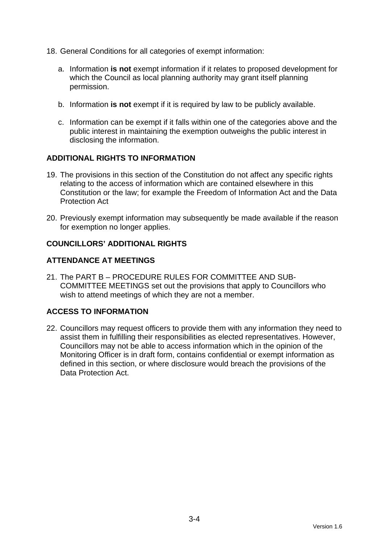- 18. General Conditions for all categories of exempt information:
	- a. Information **is not** exempt information if it relates to proposed development for which the Council as local planning authority may grant itself planning permission.
	- b. Information **is not** exempt if it is required by law to be publicly available.
	- c. Information can be exempt if it falls within one of the categories above and the public interest in maintaining the exemption outweighs the public interest in disclosing the information.

# **ADDITIONAL RIGHTS TO INFORMATION**

- 19. The provisions in this section of the Constitution do not affect any specific rights relating to the access of information which are contained elsewhere in this Constitution or the law; for example the Freedom of Information Act and the Data Protection Act
- 20. Previously exempt information may subsequently be made available if the reason for exemption no longer applies.

# **COUNCILLORS' ADDITIONAL RIGHTS**

# **ATTENDANCE AT MEETINGS**

21. The PART B – PROCEDURE RULES FOR COMMITTEE AND SUB-COMMITTEE MEETINGS set out the provisions that apply to Councillors who wish to attend meetings of which they are not a member.

# **ACCESS TO INFORMATION**

22. Councillors may request officers to provide them with any information they need to assist them in fulfilling their responsibilities as elected representatives. However, Councillors may not be able to access information which in the opinion of the Monitoring Officer is in draft form, contains confidential or exempt information as defined in this section, or where disclosure would breach the provisions of the Data Protection Act.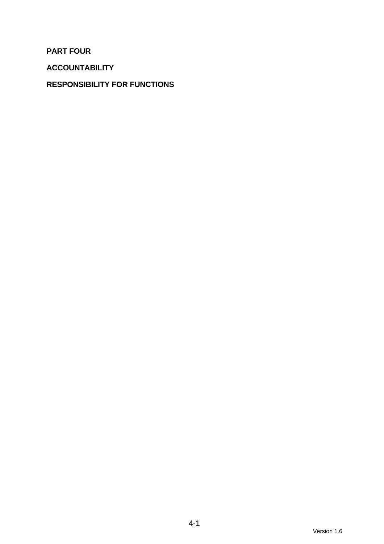**PART FOUR** 

**ACCOUNTABILITY** 

# **RESPONSIBILITY FOR FUNCTIONS**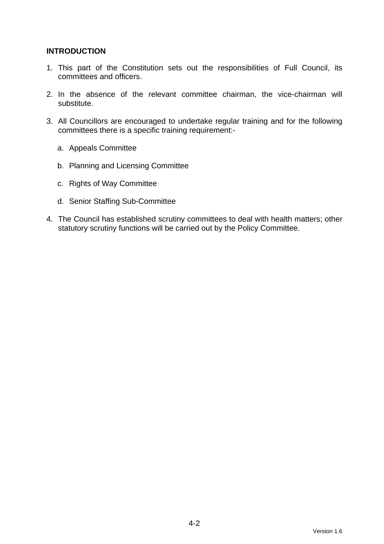# **INTRODUCTION**

- 1. This part of the Constitution sets out the responsibilities of Full Council, its committees and officers.
- 2. In the absence of the relevant committee chairman, the vice-chairman will substitute.
- 3. All Councillors are encouraged to undertake regular training and for the following committees there is a specific training requirement:
	- a. Appeals Committee
	- b. Planning and Licensing Committee
	- c. Rights of Way Committee
	- d. Senior Staffing Sub-Committee
- 4. The Council has established scrutiny committees to deal with health matters; other statutory scrutiny functions will be carried out by the Policy Committee.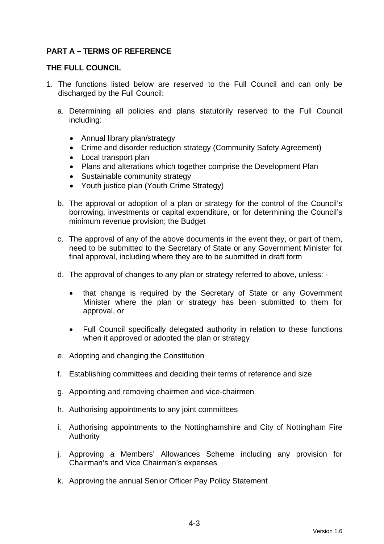# **PART A – TERMS OF REFERENCE**

# **THE FULL COUNCIL**

- 1. The functions listed below are reserved to the Full Council and can only be discharged by the Full Council:
	- a. Determining all policies and plans statutorily reserved to the Full Council including:
		- Annual library plan/strategy
		- Crime and disorder reduction strategy (Community Safety Agreement)
		- Local transport plan
		- Plans and alterations which together comprise the Development Plan
		- Sustainable community strategy
		- Youth justice plan (Youth Crime Strategy)
	- b. The approval or adoption of a plan or strategy for the control of the Council's borrowing, investments or capital expenditure, or for determining the Council's minimum revenue provision; the Budget
	- c. The approval of any of the above documents in the event they, or part of them, need to be submitted to the Secretary of State or any Government Minister for final approval, including where they are to be submitted in draft form
	- d. The approval of changes to any plan or strategy referred to above, unless:
		- that change is required by the Secretary of State or any Government Minister where the plan or strategy has been submitted to them for approval, or
		- Full Council specifically delegated authority in relation to these functions when it approved or adopted the plan or strategy
	- e. Adopting and changing the Constitution
	- f. Establishing committees and deciding their terms of reference and size
	- g. Appointing and removing chairmen and vice-chairmen
	- h. Authorising appointments to any joint committees
	- i. Authorising appointments to the Nottinghamshire and City of Nottingham Fire Authority
	- j. Approving a Members' Allowances Scheme including any provision for Chairman's and Vice Chairman's expenses
	- k. Approving the annual Senior Officer Pay Policy Statement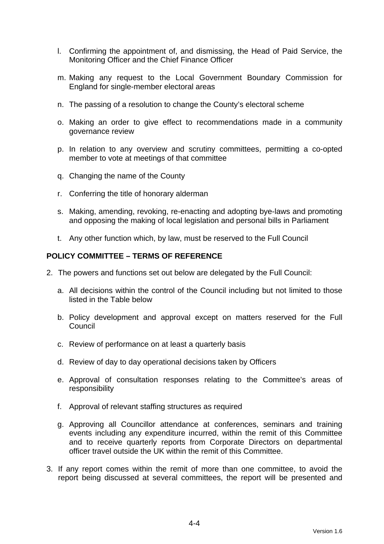- l. Confirming the appointment of, and dismissing, the Head of Paid Service, the Monitoring Officer and the Chief Finance Officer
- m. Making any request to the Local Government Boundary Commission for England for single-member electoral areas
- n. The passing of a resolution to change the County's electoral scheme
- o. Making an order to give effect to recommendations made in a community governance review
- p. In relation to any overview and scrutiny committees, permitting a co-opted member to vote at meetings of that committee
- q. Changing the name of the County
- r. Conferring the title of honorary alderman
- s. Making, amending, revoking, re-enacting and adopting bye-laws and promoting and opposing the making of local legislation and personal bills in Parliament
- t. Any other function which, by law, must be reserved to the Full Council

#### **POLICY COMMITTEE – TERMS OF REFERENCE**

- 2. The powers and functions set out below are delegated by the Full Council:
	- a. All decisions within the control of the Council including but not limited to those listed in the Table below
	- b. Policy development and approval except on matters reserved for the Full **Council**
	- c. Review of performance on at least a quarterly basis
	- d. Review of day to day operational decisions taken by Officers
	- e. Approval of consultation responses relating to the Committee's areas of responsibility
	- f. Approval of relevant staffing structures as required
	- g. Approving all Councillor attendance at conferences, seminars and training events including any expenditure incurred, within the remit of this Committee and to receive quarterly reports from Corporate Directors on departmental officer travel outside the UK within the remit of this Committee.
- 3. If any report comes within the remit of more than one committee, to avoid the report being discussed at several committees, the report will be presented and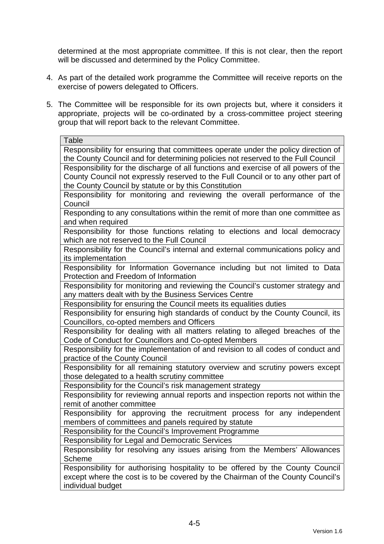determined at the most appropriate committee. If this is not clear, then the report will be discussed and determined by the Policy Committee.

- 4. As part of the detailed work programme the Committee will receive reports on the exercise of powers delegated to Officers.
- 5. The Committee will be responsible for its own projects but, where it considers it appropriate, projects will be co-ordinated by a cross-committee project steering group that will report back to the relevant Committee.

| Table                                                                               |
|-------------------------------------------------------------------------------------|
| Responsibility for ensuring that committees operate under the policy direction of   |
| the County Council and for determining policies not reserved to the Full Council    |
| Responsibility for the discharge of all functions and exercise of all powers of the |
| County Council not expressly reserved to the Full Council or to any other part of   |
| the County Council by statute or by this Constitution                               |
| Responsibility for monitoring and reviewing the overall performance of the          |
| Council                                                                             |
| Responding to any consultations within the remit of more than one committee as      |
| and when required                                                                   |
| Responsibility for those functions relating to elections and local democracy        |
| which are not reserved to the Full Council                                          |
| Responsibility for the Council's internal and external communications policy and    |
| its implementation                                                                  |
| Responsibility for Information Governance including but not limited to Data         |
| Protection and Freedom of Information                                               |
| Responsibility for monitoring and reviewing the Council's customer strategy and     |
| any matters dealt with by the Business Services Centre                              |
| Responsibility for ensuring the Council meets its equalities duties                 |
| Responsibility for ensuring high standards of conduct by the County Council, its    |
| Councillors, co-opted members and Officers                                          |
| Responsibility for dealing with all matters relating to alleged breaches of the     |
| Code of Conduct for Councillors and Co-opted Members                                |
| Responsibility for the implementation of and revision to all codes of conduct and   |
| practice of the County Council                                                      |
| Responsibility for all remaining statutory overview and scrutiny powers except      |
| those delegated to a health scrutiny committee                                      |
| Responsibility for the Council's risk management strategy                           |
| Responsibility for reviewing annual reports and inspection reports not within the   |
| remit of another committee                                                          |
| Responsibility for approving the recruitment process for any independent            |
| members of committees and panels required by statute                                |
| Responsibility for the Council's Improvement Programme                              |
| <b>Responsibility for Legal and Democratic Services</b>                             |
| Responsibility for resolving any issues arising from the Members' Allowances        |
| Scheme                                                                              |
| Responsibility for authorising hospitality to be offered by the County Council      |
| except where the cost is to be covered by the Chairman of the County Council's      |
| individual budget                                                                   |
|                                                                                     |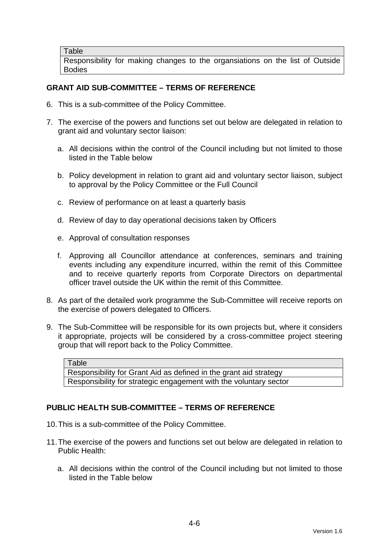**Table** 

Responsibility for making changes to the organsiations on the list of Outside Bodies

# **GRANT AID SUB-COMMITTEE – TERMS OF REFERENCE**

- 6. This is a sub-committee of the Policy Committee.
- 7. The exercise of the powers and functions set out below are delegated in relation to grant aid and voluntary sector liaison:
	- a. All decisions within the control of the Council including but not limited to those listed in the Table below
	- b. Policy development in relation to grant aid and voluntary sector liaison, subject to approval by the Policy Committee or the Full Council
	- c. Review of performance on at least a quarterly basis
	- d. Review of day to day operational decisions taken by Officers
	- e. Approval of consultation responses
	- f. Approving all Councillor attendance at conferences, seminars and training events including any expenditure incurred, within the remit of this Committee and to receive quarterly reports from Corporate Directors on departmental officer travel outside the UK within the remit of this Committee.
- 8. As part of the detailed work programme the Sub-Committee will receive reports on the exercise of powers delegated to Officers.
- 9. The Sub-Committee will be responsible for its own projects but, where it considers it appropriate, projects will be considered by a cross-committee project steering group that will report back to the Policy Committee.

| Table                                                             |
|-------------------------------------------------------------------|
| Responsibility for Grant Aid as defined in the grant aid strategy |
| Responsibility for strategic engagement with the voluntary sector |

# **PUBLIC HEALTH SUB-COMMITTEE – TERMS OF REFERENCE**

- 10. This is a sub-committee of the Policy Committee.
- 11. The exercise of the powers and functions set out below are delegated in relation to Public Health:
	- a. All decisions within the control of the Council including but not limited to those listed in the Table below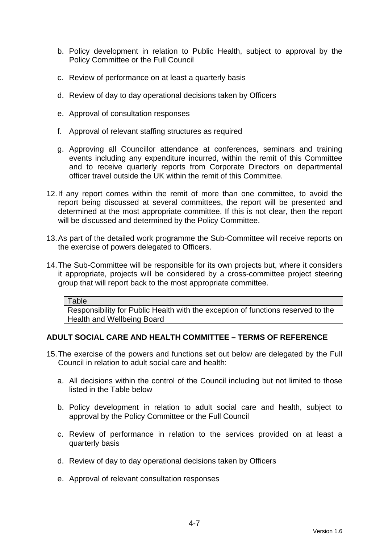- b. Policy development in relation to Public Health, subject to approval by the Policy Committee or the Full Council
- c. Review of performance on at least a quarterly basis
- d. Review of day to day operational decisions taken by Officers
- e. Approval of consultation responses
- f. Approval of relevant staffing structures as required
- g. Approving all Councillor attendance at conferences, seminars and training events including any expenditure incurred, within the remit of this Committee and to receive quarterly reports from Corporate Directors on departmental officer travel outside the UK within the remit of this Committee.
- 12. If any report comes within the remit of more than one committee, to avoid the report being discussed at several committees, the report will be presented and determined at the most appropriate committee. If this is not clear, then the report will be discussed and determined by the Policy Committee.
- 13. As part of the detailed work programme the Sub-Committee will receive reports on the exercise of powers delegated to Officers.
- 14. The Sub-Committee will be responsible for its own projects but, where it considers it appropriate, projects will be considered by a cross-committee project steering group that will report back to the most appropriate committee.

#### **Table**

Responsibility for Public Health with the exception of functions reserved to the Health and Wellbeing Board

# **ADULT SOCIAL CARE AND HEALTH COMMITTEE – TERMS OF REFERENCE**

- 15. The exercise of the powers and functions set out below are delegated by the Full Council in relation to adult social care and health:
	- a. All decisions within the control of the Council including but not limited to those listed in the Table below
	- b. Policy development in relation to adult social care and health, subject to approval by the Policy Committee or the Full Council
	- c. Review of performance in relation to the services provided on at least a quarterly basis
	- d. Review of day to day operational decisions taken by Officers
	- e. Approval of relevant consultation responses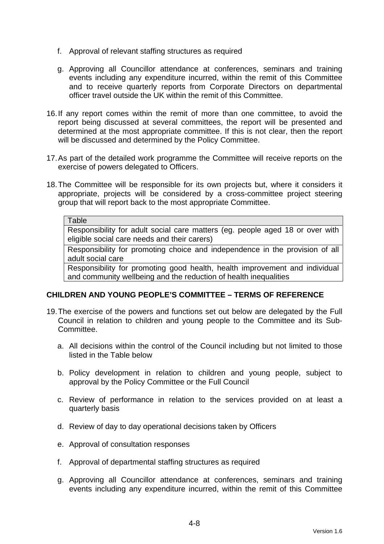- f. Approval of relevant staffing structures as required
- g. Approving all Councillor attendance at conferences, seminars and training events including any expenditure incurred, within the remit of this Committee and to receive quarterly reports from Corporate Directors on departmental officer travel outside the UK within the remit of this Committee.
- 16. If any report comes within the remit of more than one committee, to avoid the report being discussed at several committees, the report will be presented and determined at the most appropriate committee. If this is not clear, then the report will be discussed and determined by the Policy Committee.
- 17. As part of the detailed work programme the Committee will receive reports on the exercise of powers delegated to Officers.
- 18. The Committee will be responsible for its own projects but, where it considers it appropriate, projects will be considered by a cross-committee project steering group that will report back to the most appropriate Committee.

#### **Table**

Responsibility for adult social care matters (eg. people aged 18 or over with eligible social care needs and their carers)

Responsibility for promoting choice and independence in the provision of all adult social care

Responsibility for promoting good health, health improvement and individual and community wellbeing and the reduction of health inequalities

# **CHILDREN AND YOUNG PEOPLE'S COMMITTEE – TERMS OF REFERENCE**

- 19. The exercise of the powers and functions set out below are delegated by the Full Council in relation to children and young people to the Committee and its Sub-Committee.
	- a. All decisions within the control of the Council including but not limited to those listed in the Table below
	- b. Policy development in relation to children and young people, subject to approval by the Policy Committee or the Full Council
	- c. Review of performance in relation to the services provided on at least a quarterly basis
	- d. Review of day to day operational decisions taken by Officers
	- e. Approval of consultation responses
	- f. Approval of departmental staffing structures as required
	- g. Approving all Councillor attendance at conferences, seminars and training events including any expenditure incurred, within the remit of this Committee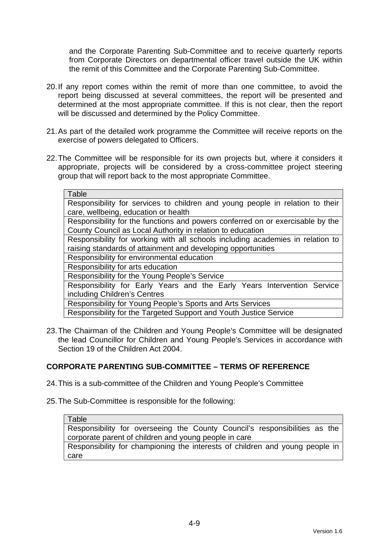and the Corporate Parenting Sub-Committee and to receive quarterly reports from Corporate Directors on departmental officer travel outside the UK within the remit of this Committee and the Corporate Parenting Sub-Committee.

- 20. If any report comes within the remit of more than one committee, to avoid the report being discussed at several committees, the report will be presented and determined at the most appropriate committee. If this is not clear, then the report will be discussed and determined by the Policy Committee.
- 21. As part of the detailed work programme the Committee will receive reports on the exercise of powers delegated to Officers.
- 22. The Committee will be responsible for its own projects but, where it considers it appropriate, projects will be considered by a cross-committee project steering group that will report back to the most appropriate Committee.

| Table                                                                          |  |  |  |  |  |
|--------------------------------------------------------------------------------|--|--|--|--|--|
| Responsibility for services to children and young people in relation to their  |  |  |  |  |  |
| care, wellbeing, education or health                                           |  |  |  |  |  |
| Responsibility for the functions and powers conferred on or exercisable by the |  |  |  |  |  |
| County Council as Local Authority in relation to education                     |  |  |  |  |  |
| Responsibility for working with all schools including academies in relation to |  |  |  |  |  |
| raising standards of attainment and developing opportunities                   |  |  |  |  |  |
| Responsibility for environmental education                                     |  |  |  |  |  |
| Responsibility for arts education                                              |  |  |  |  |  |
| Responsibility for the Young People's Service                                  |  |  |  |  |  |
| Responsibility for Early Years and the Early Years Intervention Service        |  |  |  |  |  |
| including Children's Centres                                                   |  |  |  |  |  |
| Responsibility for Young People's Sports and Arts Services                     |  |  |  |  |  |
| Responsibility for the Targeted Support and Youth Justice Service              |  |  |  |  |  |
|                                                                                |  |  |  |  |  |

23. The Chairman of the Children and Young People's Committee will be designated the lead Councillor for Children and Young People's Services in accordance with Section 19 of the Children Act 2004.

# **CORPORATE PARENTING SUB-COMMITTEE – TERMS OF REFERENCE**

24. This is a sub-committee of the Children and Young People's Committee

25. The Sub-Committee is responsible for the following:

Table

Responsibility for overseeing the County Council's responsibilities as the corporate parent of children and young people in care

Responsibility for championing the interests of children and young people in care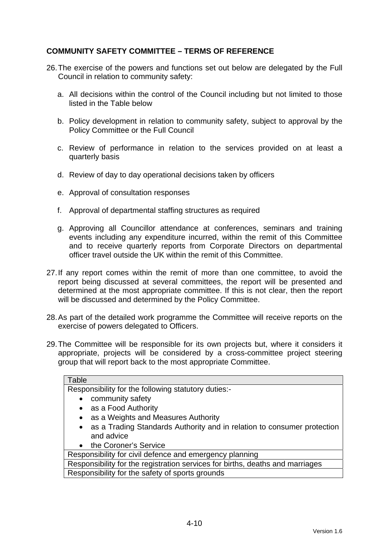# **COMMUNITY SAFETY COMMITTEE – TERMS OF REFERENCE**

- 26. The exercise of the powers and functions set out below are delegated by the Full Council in relation to community safety:
	- a. All decisions within the control of the Council including but not limited to those listed in the Table below
	- b. Policy development in relation to community safety, subject to approval by the Policy Committee or the Full Council
	- c. Review of performance in relation to the services provided on at least a quarterly basis
	- d. Review of day to day operational decisions taken by officers
	- e. Approval of consultation responses
	- f. Approval of departmental staffing structures as required
	- g. Approving all Councillor attendance at conferences, seminars and training events including any expenditure incurred, within the remit of this Committee and to receive quarterly reports from Corporate Directors on departmental officer travel outside the UK within the remit of this Committee.
- 27. If any report comes within the remit of more than one committee, to avoid the report being discussed at several committees, the report will be presented and determined at the most appropriate committee. If this is not clear, then the report will be discussed and determined by the Policy Committee.
- 28. As part of the detailed work programme the Committee will receive reports on the exercise of powers delegated to Officers.
- 29. The Committee will be responsible for its own projects but, where it considers it appropriate, projects will be considered by a cross-committee project steering group that will report back to the most appropriate Committee.

| Table                                                                         |  |  |  |  |
|-------------------------------------------------------------------------------|--|--|--|--|
| Responsibility for the following statutory duties:-                           |  |  |  |  |
| community safety                                                              |  |  |  |  |
| • as a Food Authority                                                         |  |  |  |  |
| as a Weights and Measures Authority<br>$\bullet$                              |  |  |  |  |
| • as a Trading Standards Authority and in relation to consumer protection     |  |  |  |  |
| and advice                                                                    |  |  |  |  |
| • the Coroner's Service                                                       |  |  |  |  |
| Responsibility for civil defence and emergency planning                       |  |  |  |  |
| Responsibility for the registration services for births, deaths and marriages |  |  |  |  |
| Responsibility for the safety of sports grounds                               |  |  |  |  |
|                                                                               |  |  |  |  |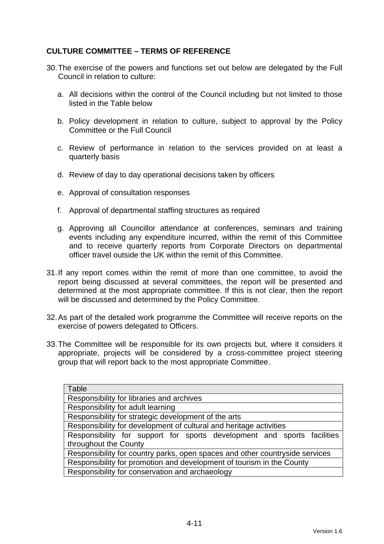# **CULTURE COMMITTEE – TERMS OF REFERENCE**

- 30. The exercise of the powers and functions set out below are delegated by the Full Council in relation to culture:
	- a. All decisions within the control of the Council including but not limited to those listed in the Table below
	- b. Policy development in relation to culture, subject to approval by the Policy Committee or the Full Council
	- c. Review of performance in relation to the services provided on at least a quarterly basis
	- d. Review of day to day operational decisions taken by officers
	- e. Approval of consultation responses
	- f. Approval of departmental staffing structures as required
	- g. Approving all Councillor attendance at conferences, seminars and training events including any expenditure incurred, within the remit of this Committee and to receive quarterly reports from Corporate Directors on departmental officer travel outside the UK within the remit of this Committee.
- 31. If any report comes within the remit of more than one committee, to avoid the report being discussed at several committees, the report will be presented and determined at the most appropriate committee. If this is not clear, then the report will be discussed and determined by the Policy Committee.
- 32. As part of the detailed work programme the Committee will receive reports on the exercise of powers delegated to Officers.
- 33. The Committee will be responsible for its own projects but, where it considers it appropriate, projects will be considered by a cross-committee project steering group that will report back to the most appropriate Committee.

| Table                                                                        |  |  |  |  |  |
|------------------------------------------------------------------------------|--|--|--|--|--|
| Responsibility for libraries and archives                                    |  |  |  |  |  |
| Responsibility for adult learning                                            |  |  |  |  |  |
| Responsibility for strategic development of the arts                         |  |  |  |  |  |
| Responsibility for development of cultural and heritage activities           |  |  |  |  |  |
| Responsibility for support for sports development and sports facilities      |  |  |  |  |  |
| throughout the County                                                        |  |  |  |  |  |
| Responsibility for country parks, open spaces and other countryside services |  |  |  |  |  |
| Responsibility for promotion and development of tourism in the County        |  |  |  |  |  |
| Responsibility for conservation and archaeology                              |  |  |  |  |  |
|                                                                              |  |  |  |  |  |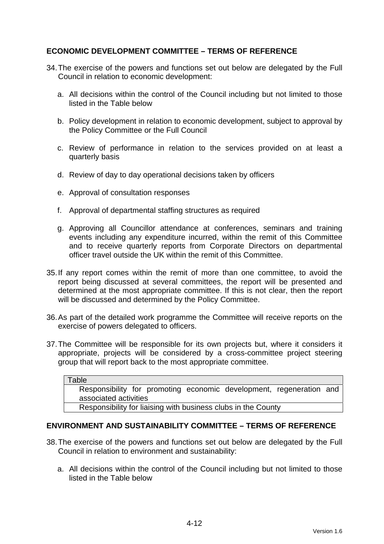# **ECONOMIC DEVELOPMENT COMMITTEE – TERMS OF REFERENCE**

- 34. The exercise of the powers and functions set out below are delegated by the Full Council in relation to economic development:
	- a. All decisions within the control of the Council including but not limited to those listed in the Table below
	- b. Policy development in relation to economic development, subject to approval by the Policy Committee or the Full Council
	- c. Review of performance in relation to the services provided on at least a quarterly basis
	- d. Review of day to day operational decisions taken by officers
	- e. Approval of consultation responses
	- f. Approval of departmental staffing structures as required
	- g. Approving all Councillor attendance at conferences, seminars and training events including any expenditure incurred, within the remit of this Committee and to receive quarterly reports from Corporate Directors on departmental officer travel outside the UK within the remit of this Committee.
- 35. If any report comes within the remit of more than one committee, to avoid the report being discussed at several committees, the report will be presented and determined at the most appropriate committee. If this is not clear, then the report will be discussed and determined by the Policy Committee.
- 36. As part of the detailed work programme the Committee will receive reports on the exercise of powers delegated to officers.
- 37. The Committee will be responsible for its own projects but, where it considers it appropriate, projects will be considered by a cross-committee project steering group that will report back to the most appropriate committee.

| Table                                                         |                       |  |  |  |                                                                     |  |  |
|---------------------------------------------------------------|-----------------------|--|--|--|---------------------------------------------------------------------|--|--|
|                                                               |                       |  |  |  | Responsibility for promoting economic development, regeneration and |  |  |
|                                                               | associated activities |  |  |  |                                                                     |  |  |
| Responsibility for liaising with business clubs in the County |                       |  |  |  |                                                                     |  |  |

# **ENVIRONMENT AND SUSTAINABILITY COMMITTEE – TERMS OF REFERENCE**

- 38. The exercise of the powers and functions set out below are delegated by the Full Council in relation to environment and sustainability:
	- a. All decisions within the control of the Council including but not limited to those listed in the Table below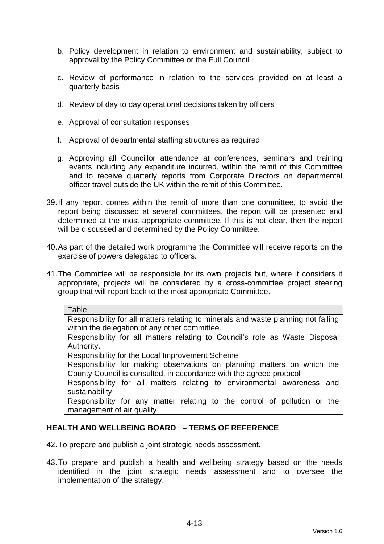- b. Policy development in relation to environment and sustainability, subject to approval by the Policy Committee or the Full Council
- c. Review of performance in relation to the services provided on at least a quarterly basis
- d. Review of day to day operational decisions taken by officers
- e. Approval of consultation responses
- f. Approval of departmental staffing structures as required
- g. Approving all Councillor attendance at conferences, seminars and training events including any expenditure incurred, within the remit of this Committee and to receive quarterly reports from Corporate Directors on departmental officer travel outside the UK within the remit of this Committee.
- 39. If any report comes within the remit of more than one committee, to avoid the report being discussed at several committees, the report will be presented and determined at the most appropriate committee. If this is not clear, then the report will be discussed and determined by the Policy Committee.
- 40. As part of the detailed work programme the Committee will receive reports on the exercise of powers delegated to officers.
- 41. The Committee will be responsible for its own projects but, where it considers it appropriate, projects will be considered by a cross-committee project steering group that will report back to the most appropriate Committee.

| Table                                                                              |  |  |  |  |  |
|------------------------------------------------------------------------------------|--|--|--|--|--|
| Responsibility for all matters relating to minerals and waste planning not falling |  |  |  |  |  |
| within the delegation of any other committee.                                      |  |  |  |  |  |
| Responsibility for all matters relating to Council's role as Waste Disposal        |  |  |  |  |  |
| Authority.                                                                         |  |  |  |  |  |
| Responsibility for the Local Improvement Scheme                                    |  |  |  |  |  |
| Responsibility for making observations on planning matters on which the            |  |  |  |  |  |
| County Council is consulted, in accordance with the agreed protocol                |  |  |  |  |  |
| Responsibility for all matters relating to environmental awareness<br>and          |  |  |  |  |  |
| sustainability                                                                     |  |  |  |  |  |
| Responsibility for any matter relating to the control of pollution or the          |  |  |  |  |  |
| management of air quality                                                          |  |  |  |  |  |

# **HEALTH AND WELLBEING BOARD – TERMS OF REFERENCE**

- 42. To prepare and publish a joint strategic needs assessment.
- 43. To prepare and publish a health and wellbeing strategy based on the needs identified in the joint strategic needs assessment and to oversee the implementation of the strategy.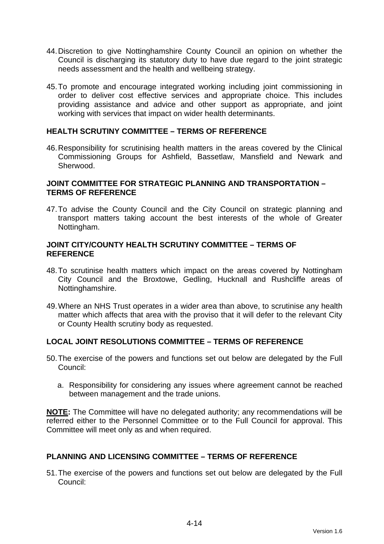- 44. Discretion to give Nottinghamshire County Council an opinion on whether the Council is discharging its statutory duty to have due regard to the joint strategic needs assessment and the health and wellbeing strategy.
- 45. To promote and encourage integrated working including joint commissioning in order to deliver cost effective services and appropriate choice. This includes providing assistance and advice and other support as appropriate, and joint working with services that impact on wider health determinants.

# **HEALTH SCRUTINY COMMITTEE – TERMS OF REFERENCE**

46. Responsibility for scrutinising health matters in the areas covered by the Clinical Commissioning Groups for Ashfield, Bassetlaw, Mansfield and Newark and Sherwood.

#### **JOINT COMMITTEE FOR STRATEGIC PLANNING AND TRANSPORTATION – TERMS OF REFERENCE**

47. To advise the County Council and the City Council on strategic planning and transport matters taking account the best interests of the whole of Greater Nottingham.

#### **JOINT CITY/COUNTY HEALTH SCRUTINY COMMITTEE – TERMS OF REFERENCE**

- 48. To scrutinise health matters which impact on the areas covered by Nottingham City Council and the Broxtowe, Gedling, Hucknall and Rushcliffe areas of Nottinghamshire.
- 49. Where an NHS Trust operates in a wider area than above, to scrutinise any health matter which affects that area with the proviso that it will defer to the relevant City or County Health scrutiny body as requested.

# **LOCAL JOINT RESOLUTIONS COMMITTEE – TERMS OF REFERENCE**

- 50. The exercise of the powers and functions set out below are delegated by the Full Council:
	- a. Responsibility for considering any issues where agreement cannot be reached between management and the trade unions.

**NOTE:** The Committee will have no delegated authority; any recommendations will be referred either to the Personnel Committee or to the Full Council for approval. This Committee will meet only as and when required.

#### **PLANNING AND LICENSING COMMITTEE – TERMS OF REFERENCE**

51. The exercise of the powers and functions set out below are delegated by the Full Council: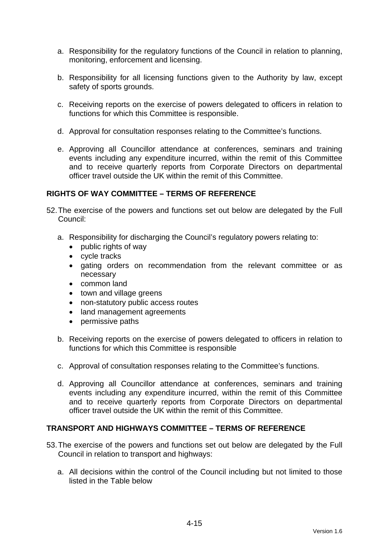- a. Responsibility for the regulatory functions of the Council in relation to planning, monitoring, enforcement and licensing.
- b. Responsibility for all licensing functions given to the Authority by law, except safety of sports grounds.
- c. Receiving reports on the exercise of powers delegated to officers in relation to functions for which this Committee is responsible.
- d. Approval for consultation responses relating to the Committee's functions.
- e. Approving all Councillor attendance at conferences, seminars and training events including any expenditure incurred, within the remit of this Committee and to receive quarterly reports from Corporate Directors on departmental officer travel outside the UK within the remit of this Committee.

# **RIGHTS OF WAY COMMITTEE – TERMS OF REFERENCE**

- 52. The exercise of the powers and functions set out below are delegated by the Full Council:
	- a. Responsibility for discharging the Council's regulatory powers relating to:
		- public rights of way
		- cycle tracks
		- gating orders on recommendation from the relevant committee or as necessary
		- common land
		- town and village greens
		- non-statutory public access routes
		- land management agreements
		- permissive paths
	- b. Receiving reports on the exercise of powers delegated to officers in relation to functions for which this Committee is responsible
	- c. Approval of consultation responses relating to the Committee's functions.
	- d. Approving all Councillor attendance at conferences, seminars and training events including any expenditure incurred, within the remit of this Committee and to receive quarterly reports from Corporate Directors on departmental officer travel outside the UK within the remit of this Committee.

# **TRANSPORT AND HIGHWAYS COMMITTEE – TERMS OF REFERENCE**

- 53. The exercise of the powers and functions set out below are delegated by the Full Council in relation to transport and highways:
	- a. All decisions within the control of the Council including but not limited to those listed in the Table below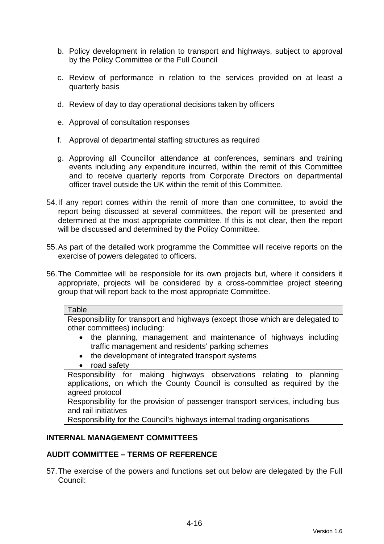- b. Policy development in relation to transport and highways, subject to approval by the Policy Committee or the Full Council
- c. Review of performance in relation to the services provided on at least a quarterly basis
- d. Review of day to day operational decisions taken by officers
- e. Approval of consultation responses
- f. Approval of departmental staffing structures as required
- g. Approving all Councillor attendance at conferences, seminars and training events including any expenditure incurred, within the remit of this Committee and to receive quarterly reports from Corporate Directors on departmental officer travel outside the UK within the remit of this Committee.
- 54. If any report comes within the remit of more than one committee, to avoid the report being discussed at several committees, the report will be presented and determined at the most appropriate committee. If this is not clear, then the report will be discussed and determined by the Policy Committee.
- 55. As part of the detailed work programme the Committee will receive reports on the exercise of powers delegated to officers.
- 56. The Committee will be responsible for its own projects but, where it considers it appropriate, projects will be considered by a cross-committee project steering group that will report back to the most appropriate Committee.

Responsibility for transport and highways (except those which are delegated to other committees) including:

- the planning, management and maintenance of highways including traffic management and residents' parking schemes
- the development of integrated transport systems
- road safety

Responsibility for making highways observations relating to planning applications, on which the County Council is consulted as required by the agreed protocol

Responsibility for the provision of passenger transport services, including bus and rail initiatives

Responsibility for the Council's highways internal trading organisations

# **INTERNAL MANAGEMENT COMMITTEES**

# **AUDIT COMMITTEE – TERMS OF REFERENCE**

57. The exercise of the powers and functions set out below are delegated by the Full Council: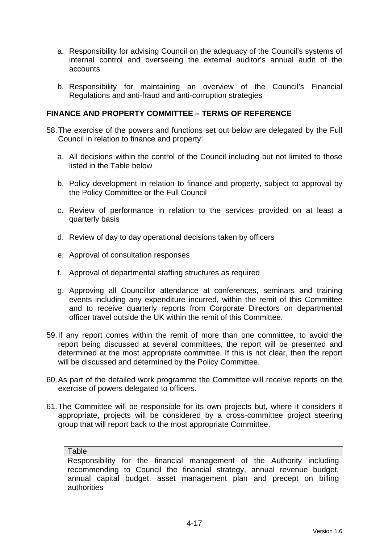- a. Responsibility for advising Council on the adequacy of the Council's systems of internal control and overseeing the external auditor's annual audit of the accounts
- b. Responsibility for maintaining an overview of the Council's Financial Regulations and anti-fraud and anti-corruption strategies

## **FINANCE AND PROPERTY COMMITTEE – TERMS OF REFERENCE**

- 58. The exercise of the powers and functions set out below are delegated by the Full Council in relation to finance and property:
	- a. All decisions within the control of the Council including but not limited to those listed in the Table below
	- b. Policy development in relation to finance and property, subject to approval by the Policy Committee or the Full Council
	- c. Review of performance in relation to the services provided on at least a quarterly basis
	- d. Review of day to day operational decisions taken by officers
	- e. Approval of consultation responses
	- f. Approval of departmental staffing structures as required
	- g. Approving all Councillor attendance at conferences, seminars and training events including any expenditure incurred, within the remit of this Committee and to receive quarterly reports from Corporate Directors on departmental officer travel outside the UK within the remit of this Committee.
- 59. If any report comes within the remit of more than one committee, to avoid the report being discussed at several committees, the report will be presented and determined at the most appropriate committee. If this is not clear, then the report will be discussed and determined by the Policy Committee.
- 60. As part of the detailed work programme the Committee will receive reports on the exercise of powers delegated to officers.
- 61. The Committee will be responsible for its own projects but, where it considers it appropriate, projects will be considered by a cross-committee project steering group that will report back to the most appropriate Committee.

#### Table

Responsibility for the financial management of the Authority including recommending to Council the financial strategy, annual revenue budget, annual capital budget, asset management plan and precept on billing authorities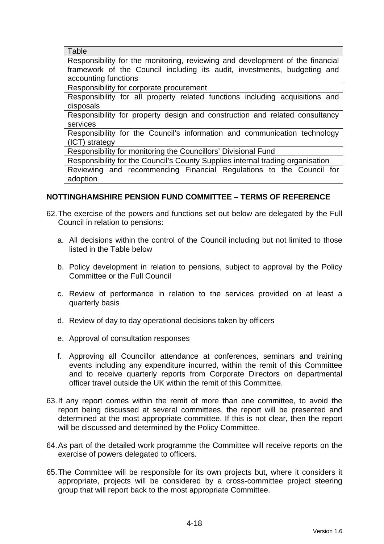**Table** 

Responsibility for the monitoring, reviewing and development of the financial framework of the Council including its audit, investments, budgeting and accounting functions

Responsibility for corporate procurement

Responsibility for all property related functions including acquisitions and disposals

Responsibility for property design and construction and related consultancy services

Responsibility for the Council's information and communication technology (ICT) strategy

Responsibility for monitoring the Councillors' Divisional Fund

Responsibility for the Council's County Supplies internal trading organisation

Reviewing and recommending Financial Regulations to the Council for adoption

# **NOTTINGHAMSHIRE PENSION FUND COMMITTEE – TERMS OF REFERENCE**

- 62. The exercise of the powers and functions set out below are delegated by the Full Council in relation to pensions:
	- a. All decisions within the control of the Council including but not limited to those listed in the Table below
	- b. Policy development in relation to pensions, subject to approval by the Policy Committee or the Full Council
	- c. Review of performance in relation to the services provided on at least a quarterly basis
	- d. Review of day to day operational decisions taken by officers
	- e. Approval of consultation responses
	- f. Approving all Councillor attendance at conferences, seminars and training events including any expenditure incurred, within the remit of this Committee and to receive quarterly reports from Corporate Directors on departmental officer travel outside the UK within the remit of this Committee.
- 63. If any report comes within the remit of more than one committee, to avoid the report being discussed at several committees, the report will be presented and determined at the most appropriate committee. If this is not clear, then the report will be discussed and determined by the Policy Committee.
- 64. As part of the detailed work programme the Committee will receive reports on the exercise of powers delegated to officers.
- 65. The Committee will be responsible for its own projects but, where it considers it appropriate, projects will be considered by a cross-committee project steering group that will report back to the most appropriate Committee.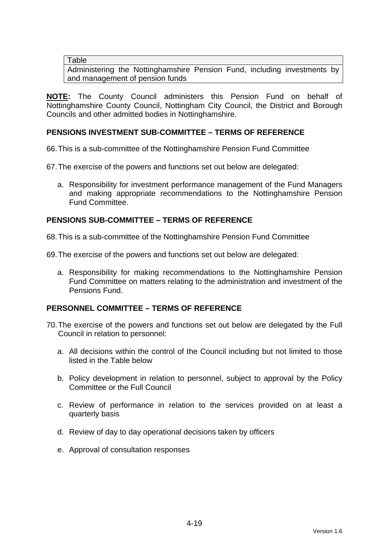**Table** 

Administering the Nottinghamshire Pension Fund, including investments by and management of pension funds

**NOTE:** The County Council administers this Pension Fund on behalf of Nottinghamshire County Council, Nottingham City Council, the District and Borough Councils and other admitted bodies in Nottinghamshire.

# **PENSIONS INVESTMENT SUB-COMMITTEE – TERMS OF REFERENCE**

66. This is a sub-committee of the Nottinghamshire Pension Fund Committee

- 67. The exercise of the powers and functions set out below are delegated:
	- a. Responsibility for investment performance management of the Fund Managers and making appropriate recommendations to the Nottinghamshire Pension Fund Committee.

## **PENSIONS SUB-COMMITTEE – TERMS OF REFERENCE**

68. This is a sub-committee of the Nottinghamshire Pension Fund Committee

69. The exercise of the powers and functions set out below are delegated:

a. Responsibility for making recommendations to the Nottinghamshire Pension Fund Committee on matters relating to the administration and investment of the Pensions Fund.

## **PERSONNEL COMMITTEE – TERMS OF REFERENCE**

- 70. The exercise of the powers and functions set out below are delegated by the Full Council in relation to personnel:
	- a. All decisions within the control of the Council including but not limited to those listed in the Table below
	- b. Policy development in relation to personnel, subject to approval by the Policy Committee or the Full Council
	- c. Review of performance in relation to the services provided on at least a quarterly basis
	- d. Review of day to day operational decisions taken by officers
	- e. Approval of consultation responses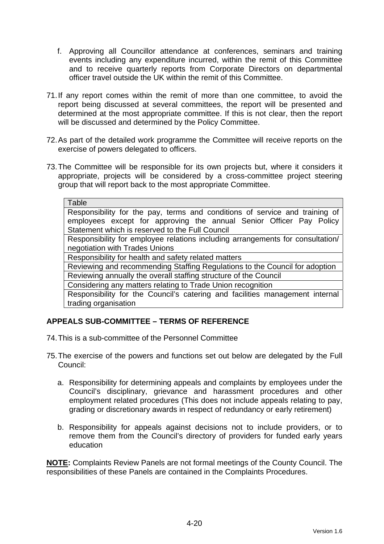- f. Approving all Councillor attendance at conferences, seminars and training events including any expenditure incurred, within the remit of this Committee and to receive quarterly reports from Corporate Directors on departmental officer travel outside the UK within the remit of this Committee.
- 71. If any report comes within the remit of more than one committee, to avoid the report being discussed at several committees, the report will be presented and determined at the most appropriate committee. If this is not clear, then the report will be discussed and determined by the Policy Committee.
- 72. As part of the detailed work programme the Committee will receive reports on the exercise of powers delegated to officers.
- 73. The Committee will be responsible for its own projects but, where it considers it appropriate, projects will be considered by a cross-committee project steering group that will report back to the most appropriate Committee.

| Table                                                                          |                                                                                                                                                                                                       |
|--------------------------------------------------------------------------------|-------------------------------------------------------------------------------------------------------------------------------------------------------------------------------------------------------|
|                                                                                | Responsibility for the pay, terms and conditions of service and training of<br>employees except for approving the annual Senior Officer Pay Policy<br>Statement which is reserved to the Full Council |
| Responsibility for employee relations including arrangements for consultation/ |                                                                                                                                                                                                       |
| negotiation with Trades Unions                                                 |                                                                                                                                                                                                       |
| Responsibility for health and safety related matters                           |                                                                                                                                                                                                       |
| Reviewing and recommending Staffing Regulations to the Council for adoption    |                                                                                                                                                                                                       |
|                                                                                |                                                                                                                                                                                                       |

Reviewing annually the overall staffing structure of the Council

Considering any matters relating to Trade Union recognition Responsibility for the Council's catering and facilities management internal trading organisation

# **APPEALS SUB-COMMITTEE – TERMS OF REFERENCE**

- 74. This is a sub-committee of the Personnel Committee
- 75. The exercise of the powers and functions set out below are delegated by the Full Council:
	- a. Responsibility for determining appeals and complaints by employees under the Council's disciplinary, grievance and harassment procedures and other employment related procedures (This does not include appeals relating to pay, grading or discretionary awards in respect of redundancy or early retirement)
	- b. Responsibility for appeals against decisions not to include providers, or to remove them from the Council's directory of providers for funded early years education

**NOTE:** Complaints Review Panels are not formal meetings of the County Council. The responsibilities of these Panels are contained in the Complaints Procedures.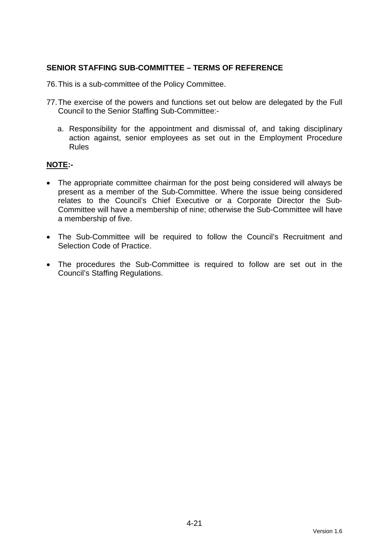## **SENIOR STAFFING SUB-COMMITTEE – TERMS OF REFERENCE**

76. This is a sub-committee of the Policy Committee.

- 77. The exercise of the powers and functions set out below are delegated by the Full Council to the Senior Staffing Sub-Committee:
	- a. Responsibility for the appointment and dismissal of, and taking disciplinary action against, senior employees as set out in the Employment Procedure Rules

## **NOTE:-**

- The appropriate committee chairman for the post being considered will always be present as a member of the Sub-Committee. Where the issue being considered relates to the Council's Chief Executive or a Corporate Director the Sub-Committee will have a membership of nine; otherwise the Sub-Committee will have a membership of five.
- The Sub-Committee will be required to follow the Council's Recruitment and Selection Code of Practice.
- The procedures the Sub-Committee is required to follow are set out in the Council's Staffing Regulations.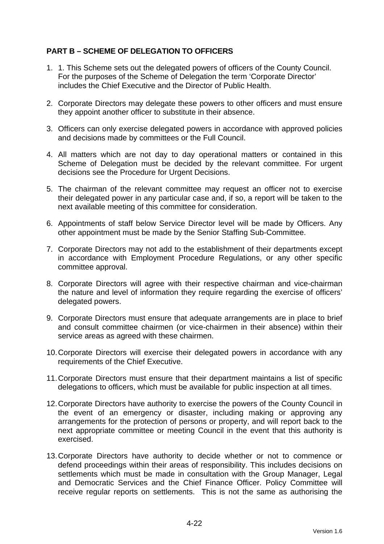# **PART B – SCHEME OF DELEGATION TO OFFICERS**

- 1. 1. This Scheme sets out the delegated powers of officers of the County Council. For the purposes of the Scheme of Delegation the term 'Corporate Director' includes the Chief Executive and the Director of Public Health.
- 2. Corporate Directors may delegate these powers to other officers and must ensure they appoint another officer to substitute in their absence.
- 3. Officers can only exercise delegated powers in accordance with approved policies and decisions made by committees or the Full Council.
- 4. All matters which are not day to day operational matters or contained in this Scheme of Delegation must be decided by the relevant committee. For urgent decisions see the Procedure for Urgent Decisions.
- 5. The chairman of the relevant committee may request an officer not to exercise their delegated power in any particular case and, if so, a report will be taken to the next available meeting of this committee for consideration.
- 6. Appointments of staff below Service Director level will be made by Officers. Any other appointment must be made by the Senior Staffing Sub-Committee.
- 7. Corporate Directors may not add to the establishment of their departments except in accordance with Employment Procedure Regulations, or any other specific committee approval.
- 8. Corporate Directors will agree with their respective chairman and vice-chairman the nature and level of information they require regarding the exercise of officers' delegated powers.
- 9. Corporate Directors must ensure that adequate arrangements are in place to brief and consult committee chairmen (or vice-chairmen in their absence) within their service areas as agreed with these chairmen.
- 10. Corporate Directors will exercise their delegated powers in accordance with any requirements of the Chief Executive.
- 11. Corporate Directors must ensure that their department maintains a list of specific delegations to officers, which must be available for public inspection at all times.
- 12. Corporate Directors have authority to exercise the powers of the County Council in the event of an emergency or disaster, including making or approving any arrangements for the protection of persons or property, and will report back to the next appropriate committee or meeting Council in the event that this authority is exercised.
- 13. Corporate Directors have authority to decide whether or not to commence or defend proceedings within their areas of responsibility. This includes decisions on settlements which must be made in consultation with the Group Manager, Legal and Democratic Services and the Chief Finance Officer. Policy Committee will receive regular reports on settlements. This is not the same as authorising the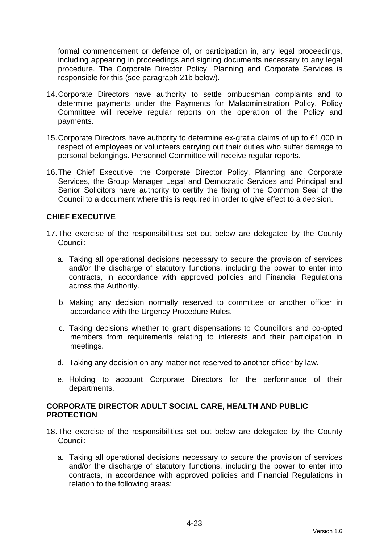formal commencement or defence of, or participation in, any legal proceedings, including appearing in proceedings and signing documents necessary to any legal procedure. The Corporate Director Policy, Planning and Corporate Services is responsible for this (see paragraph 21b below).

- 14. Corporate Directors have authority to settle ombudsman complaints and to determine payments under the Payments for Maladministration Policy. Policy Committee will receive regular reports on the operation of the Policy and payments.
- 15. Corporate Directors have authority to determine ex-gratia claims of up to £1,000 in respect of employees or volunteers carrying out their duties who suffer damage to personal belongings. Personnel Committee will receive regular reports.
- 16. The Chief Executive, the Corporate Director Policy, Planning and Corporate Services, the Group Manager Legal and Democratic Services and Principal and Senior Solicitors have authority to certify the fixing of the Common Seal of the Council to a document where this is required in order to give effect to a decision.

# **CHIEF EXECUTIVE**

- 17. The exercise of the responsibilities set out below are delegated by the County Council:
	- a. Taking all operational decisions necessary to secure the provision of services and/or the discharge of statutory functions, including the power to enter into contracts, in accordance with approved policies and Financial Regulations across the Authority.
	- b. Making any decision normally reserved to committee or another officer in accordance with the Urgency Procedure Rules.
	- c. Taking decisions whether to grant dispensations to Councillors and co-opted members from requirements relating to interests and their participation in meetings.
	- d. Taking any decision on any matter not reserved to another officer by law.
	- e. Holding to account Corporate Directors for the performance of their departments.

## **CORPORATE DIRECTOR ADULT SOCIAL CARE, HEALTH AND PUBLIC PROTECTION**

- 18. The exercise of the responsibilities set out below are delegated by the County Council:
	- a. Taking all operational decisions necessary to secure the provision of services and/or the discharge of statutory functions, including the power to enter into contracts, in accordance with approved policies and Financial Regulations in relation to the following areas: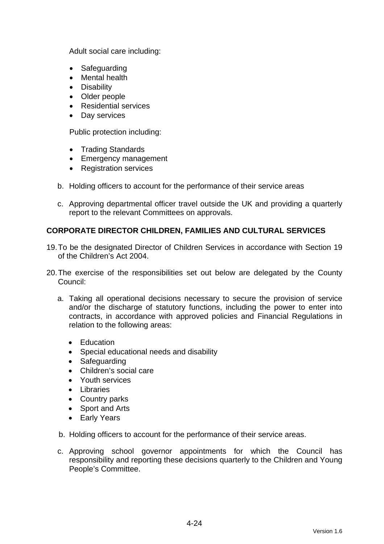Adult social care including:

- Safeguarding
- Mental health
- Disability
- Older people
- Residential services
- Day services

Public protection including:

- Trading Standards
- Emergency management
- Registration services
- b. Holding officers to account for the performance of their service areas
- c. Approving departmental officer travel outside the UK and providing a quarterly report to the relevant Committees on approvals.

# **CORPORATE DIRECTOR CHILDREN, FAMILIES AND CULTURAL SERVICES**

- 19. To be the designated Director of Children Services in accordance with Section 19 of the Children's Act 2004.
- 20. The exercise of the responsibilities set out below are delegated by the County Council:
	- a. Taking all operational decisions necessary to secure the provision of service and/or the discharge of statutory functions, including the power to enter into contracts, in accordance with approved policies and Financial Regulations in relation to the following areas:
		- Education
		- Special educational needs and disability
		- Safeguarding
		- Children's social care
		- Youth services
		- Libraries
		- Country parks
		- Sport and Arts
		- Early Years
	- b. Holding officers to account for the performance of their service areas.
	- c. Approving school governor appointments for which the Council has responsibility and reporting these decisions quarterly to the Children and Young People's Committee.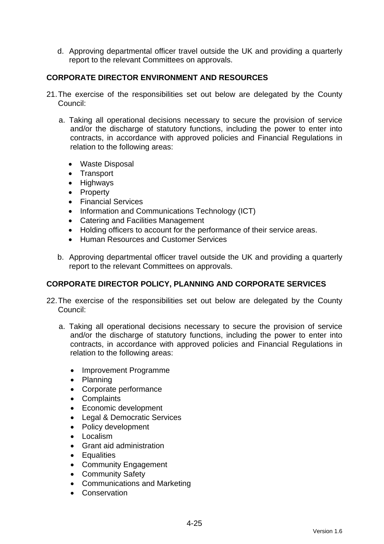d. Approving departmental officer travel outside the UK and providing a quarterly report to the relevant Committees on approvals.

# **CORPORATE DIRECTOR ENVIRONMENT AND RESOURCES**

- 21. The exercise of the responsibilities set out below are delegated by the County Council:
	- a. Taking all operational decisions necessary to secure the provision of service and/or the discharge of statutory functions, including the power to enter into contracts, in accordance with approved policies and Financial Regulations in relation to the following areas:
		- Waste Disposal
		- Transport
		- Highways
		- Property
		- Financial Services
		- Information and Communications Technology (ICT)
		- Catering and Facilities Management
		- Holding officers to account for the performance of their service areas.
		- **Human Resources and Customer Services**
	- b. Approving departmental officer travel outside the UK and providing a quarterly report to the relevant Committees on approvals.

## **CORPORATE DIRECTOR POLICY, PLANNING AND CORPORATE SERVICES**

- 22. The exercise of the responsibilities set out below are delegated by the County Council:
	- a. Taking all operational decisions necessary to secure the provision of service and/or the discharge of statutory functions, including the power to enter into contracts, in accordance with approved policies and Financial Regulations in relation to the following areas:
		- Improvement Programme
		- Planning
		- Corporate performance
		- Complaints
		- Economic development
		- Legal & Democratic Services
		- Policy development
		- Localism
		- Grant aid administration
		- Equalities
		- Community Engagement
		- Community Safety
		- Communications and Marketing
		- Conservation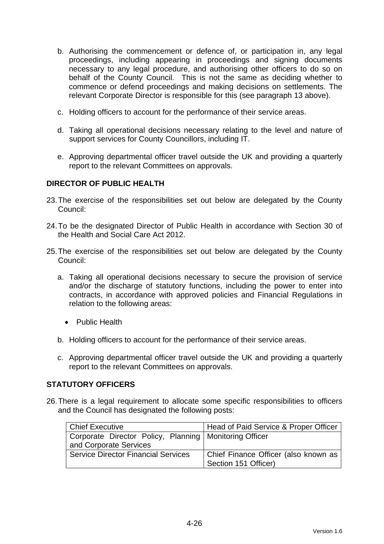- b. Authorising the commencement or defence of, or participation in, any legal proceedings, including appearing in proceedings and signing documents necessary to any legal procedure, and authorising other officers to do so on behalf of the County Council. This is not the same as deciding whether to commence or defend proceedings and making decisions on settlements. The relevant Corporate Director is responsible for this (see paragraph 13 above).
- c. Holding officers to account for the performance of their service areas.
- d. Taking all operational decisions necessary relating to the level and nature of support services for County Councillors, including IT.
- e. Approving departmental officer travel outside the UK and providing a quarterly report to the relevant Committees on approvals.

## **DIRECTOR OF PUBLIC HEALTH**

- 23. The exercise of the responsibilities set out below are delegated by the County Council:
- 24. To be the designated Director of Public Health in accordance with Section 30 of the Health and Social Care Act 2012.
- 25. The exercise of the responsibilities set out below are delegated by the County Council:
	- a. Taking all operational decisions necessary to secure the provision of service and/or the discharge of statutory functions, including the power to enter into contracts, in accordance with approved policies and Financial Regulations in relation to the following areas:
		- Public Health
	- b. Holding officers to account for the performance of their service areas.
	- c. Approving departmental officer travel outside the UK and providing a quarterly report to the relevant Committees on approvals.

## **STATUTORY OFFICERS**

26. There is a legal requirement to allocate some specific responsibilities to officers and the Council has designated the following posts:

| Chief Executive                                          | Head of Paid Service & Proper Officer |
|----------------------------------------------------------|---------------------------------------|
| Corporate Director Policy, Planning   Monitoring Officer |                                       |
| and Corporate Services                                   |                                       |
| <b>Service Director Financial Services</b>               | Chief Finance Officer (also known as  |
|                                                          | Section 151 Officer)                  |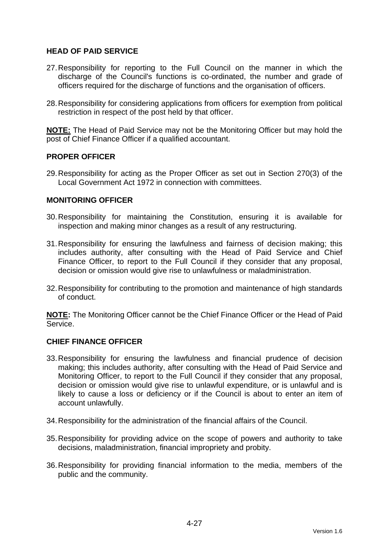## **HEAD OF PAID SERVICE**

- 27. Responsibility for reporting to the Full Council on the manner in which the discharge of the Council's functions is co-ordinated, the number and grade of officers required for the discharge of functions and the organisation of officers.
- 28. Responsibility for considering applications from officers for exemption from political restriction in respect of the post held by that officer.

**NOTE:** The Head of Paid Service may not be the Monitoring Officer but may hold the post of Chief Finance Officer if a qualified accountant.

## **PROPER OFFICER**

29. Responsibility for acting as the Proper Officer as set out in Section 270(3) of the Local Government Act 1972 in connection with committees.

#### **MONITORING OFFICER**

- 30. Responsibility for maintaining the Constitution, ensuring it is available for inspection and making minor changes as a result of any restructuring.
- 31. Responsibility for ensuring the lawfulness and fairness of decision making; this includes authority, after consulting with the Head of Paid Service and Chief Finance Officer, to report to the Full Council if they consider that any proposal, decision or omission would give rise to unlawfulness or maladministration.
- 32. Responsibility for contributing to the promotion and maintenance of high standards of conduct.

**NOTE:** The Monitoring Officer cannot be the Chief Finance Officer or the Head of Paid Service.

#### **CHIEF FINANCE OFFICER**

- 33. Responsibility for ensuring the lawfulness and financial prudence of decision making; this includes authority, after consulting with the Head of Paid Service and Monitoring Officer, to report to the Full Council if they consider that any proposal, decision or omission would give rise to unlawful expenditure, or is unlawful and is likely to cause a loss or deficiency or if the Council is about to enter an item of account unlawfully.
- 34. Responsibility for the administration of the financial affairs of the Council.
- 35. Responsibility for providing advice on the scope of powers and authority to take decisions, maladministration, financial impropriety and probity.
- 36. Responsibility for providing financial information to the media, members of the public and the community.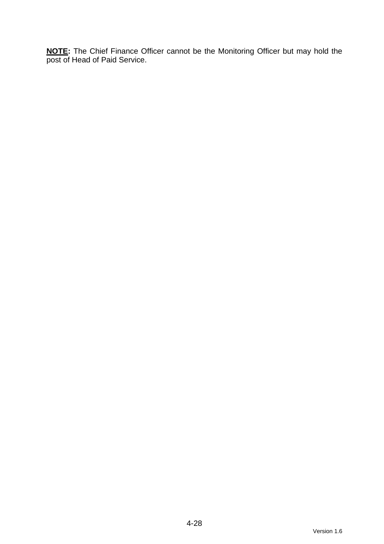**NOTE:** The Chief Finance Officer cannot be the Monitoring Officer but may hold the post of Head of Paid Service.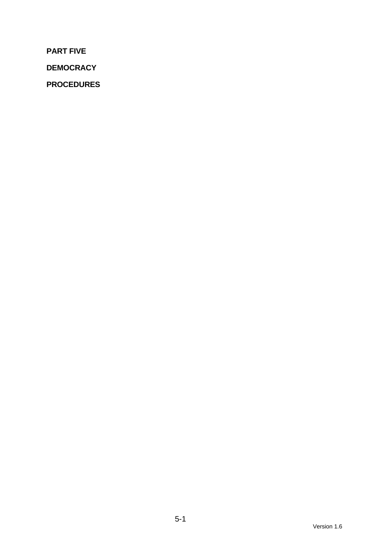**PART FIVE** 

**DEMOCRACY** 

**PROCEDURES**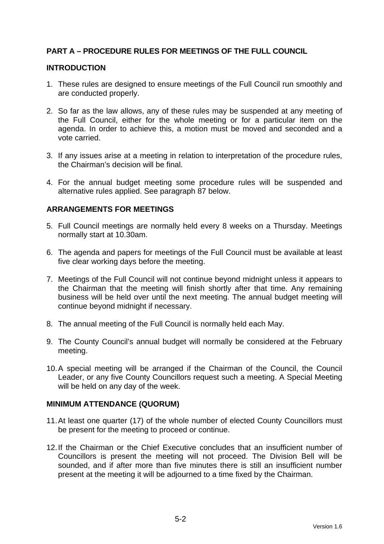# **PART A – PROCEDURE RULES FOR MEETINGS OF THE FULL COUNCIL**

#### **INTRODUCTION**

- 1. These rules are designed to ensure meetings of the Full Council run smoothly and are conducted properly.
- 2. So far as the law allows, any of these rules may be suspended at any meeting of the Full Council, either for the whole meeting or for a particular item on the agenda. In order to achieve this, a motion must be moved and seconded and a vote carried.
- 3. If any issues arise at a meeting in relation to interpretation of the procedure rules, the Chairman's decision will be final.
- 4. For the annual budget meeting some procedure rules will be suspended and alternative rules applied. See paragraph 87 below.

## **ARRANGEMENTS FOR MEETINGS**

- 5. Full Council meetings are normally held every 8 weeks on a Thursday. Meetings normally start at 10.30am.
- 6. The agenda and papers for meetings of the Full Council must be available at least five clear working days before the meeting.
- 7. Meetings of the Full Council will not continue beyond midnight unless it appears to the Chairman that the meeting will finish shortly after that time. Any remaining business will be held over until the next meeting. The annual budget meeting will continue beyond midnight if necessary.
- 8. The annual meeting of the Full Council is normally held each May.
- 9. The County Council's annual budget will normally be considered at the February meeting.
- 10. A special meeting will be arranged if the Chairman of the Council, the Council Leader, or any five County Councillors request such a meeting. A Special Meeting will be held on any day of the week.

#### **MINIMUM ATTENDANCE (QUORUM)**

- 11. At least one quarter (17) of the whole number of elected County Councillors must be present for the meeting to proceed or continue.
- 12. If the Chairman or the Chief Executive concludes that an insufficient number of Councillors is present the meeting will not proceed. The Division Bell will be sounded, and if after more than five minutes there is still an insufficient number present at the meeting it will be adjourned to a time fixed by the Chairman.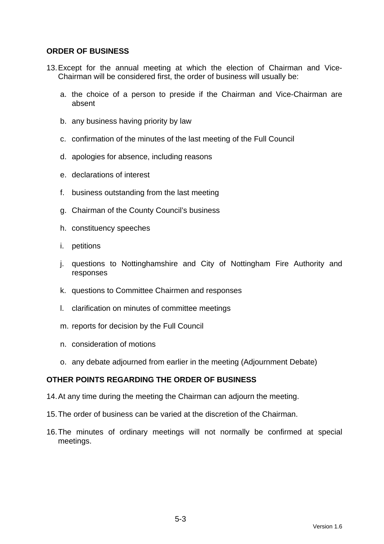## **ORDER OF BUSINESS**

- 13. Except for the annual meeting at which the election of Chairman and Vice-Chairman will be considered first, the order of business will usually be:
	- a. the choice of a person to preside if the Chairman and Vice-Chairman are absent
	- b. any business having priority by law
	- c. confirmation of the minutes of the last meeting of the Full Council
	- d. apologies for absence, including reasons
	- e. declarations of interest
	- f. business outstanding from the last meeting
	- g. Chairman of the County Council's business
	- h. constituency speeches
	- i. petitions
	- j. questions to Nottinghamshire and City of Nottingham Fire Authority and responses
	- k. questions to Committee Chairmen and responses
	- l. clarification on minutes of committee meetings
	- m. reports for decision by the Full Council
	- n. consideration of motions
	- o. any debate adjourned from earlier in the meeting (Adjournment Debate)

## **OTHER POINTS REGARDING THE ORDER OF BUSINESS**

- 14. At any time during the meeting the Chairman can adjourn the meeting.
- 15. The order of business can be varied at the discretion of the Chairman.
- 16. The minutes of ordinary meetings will not normally be confirmed at special meetings.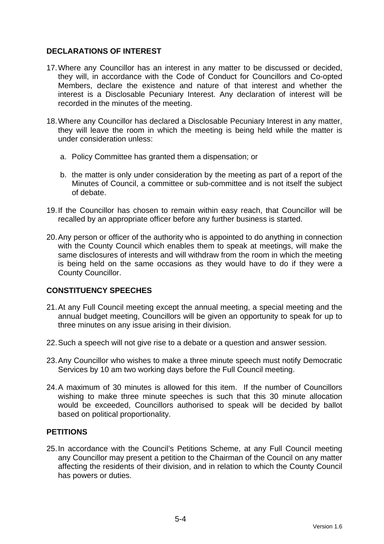## **DECLARATIONS OF INTEREST**

- 17. Where any Councillor has an interest in any matter to be discussed or decided, they will, in accordance with the Code of Conduct for Councillors and Co-opted Members, declare the existence and nature of that interest and whether the interest is a Disclosable Pecuniary Interest. Any declaration of interest will be recorded in the minutes of the meeting.
- 18. Where any Councillor has declared a Disclosable Pecuniary Interest in any matter, they will leave the room in which the meeting is being held while the matter is under consideration unless:
	- a. Policy Committee has granted them a dispensation; or
	- b. the matter is only under consideration by the meeting as part of a report of the Minutes of Council, a committee or sub-committee and is not itself the subject of debate.
- 19. If the Councillor has chosen to remain within easy reach, that Councillor will be recalled by an appropriate officer before any further business is started.
- 20. Any person or officer of the authority who is appointed to do anything in connection with the County Council which enables them to speak at meetings, will make the same disclosures of interests and will withdraw from the room in which the meeting is being held on the same occasions as they would have to do if they were a County Councillor.

# **CONSTITUENCY SPEECHES**

- 21. At any Full Council meeting except the annual meeting, a special meeting and the annual budget meeting, Councillors will be given an opportunity to speak for up to three minutes on any issue arising in their division.
- 22. Such a speech will not give rise to a debate or a question and answer session.
- 23. Any Councillor who wishes to make a three minute speech must notify Democratic Services by 10 am two working days before the Full Council meeting.
- 24. A maximum of 30 minutes is allowed for this item. If the number of Councillors wishing to make three minute speeches is such that this 30 minute allocation would be exceeded, Councillors authorised to speak will be decided by ballot based on political proportionality.

## **PETITIONS**

25. In accordance with the Council's Petitions Scheme, at any Full Council meeting any Councillor may present a petition to the Chairman of the Council on any matter affecting the residents of their division, and in relation to which the County Council has powers or duties.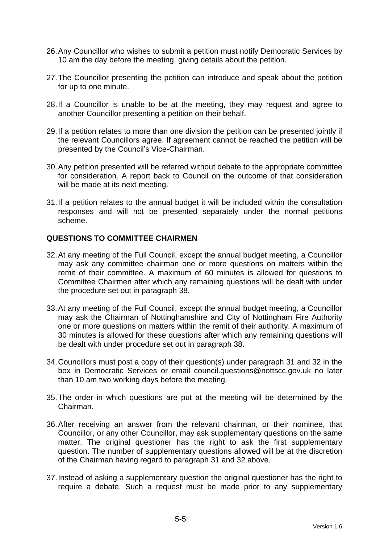- 26. Any Councillor who wishes to submit a petition must notify Democratic Services by 10 am the day before the meeting, giving details about the petition.
- 27. The Councillor presenting the petition can introduce and speak about the petition for up to one minute.
- 28. If a Councillor is unable to be at the meeting, they may request and agree to another Councillor presenting a petition on their behalf.
- 29. If a petition relates to more than one division the petition can be presented jointly if the relevant Councillors agree. If agreement cannot be reached the petition will be presented by the Council's Vice-Chairman.
- 30. Any petition presented will be referred without debate to the appropriate committee for consideration. A report back to Council on the outcome of that consideration will be made at its next meeting.
- 31. If a petition relates to the annual budget it will be included within the consultation responses and will not be presented separately under the normal petitions scheme.

## **QUESTIONS TO COMMITTEE CHAIRMEN**

- 32. At any meeting of the Full Council, except the annual budget meeting, a Councillor may ask any committee chairman one or more questions on matters within the remit of their committee. A maximum of 60 minutes is allowed for questions to Committee Chairmen after which any remaining questions will be dealt with under the procedure set out in paragraph 38.
- 33. At any meeting of the Full Council, except the annual budget meeting, a Councillor may ask the Chairman of Nottinghamshire and City of Nottingham Fire Authority one or more questions on matters within the remit of their authority. A maximum of 30 minutes is allowed for these questions after which any remaining questions will be dealt with under procedure set out in paragraph 38.
- 34. Councillors must post a copy of their question(s) under paragraph 31 and 32 in the box in Democratic Services or email council.questions@nottscc.gov.uk no later than 10 am two working days before the meeting.
- 35. The order in which questions are put at the meeting will be determined by the Chairman.
- 36. After receiving an answer from the relevant chairman, or their nominee, that Councillor, or any other Councillor, may ask supplementary questions on the same matter. The original questioner has the right to ask the first supplementary question. The number of supplementary questions allowed will be at the discretion of the Chairman having regard to paragraph 31 and 32 above.
- 37. Instead of asking a supplementary question the original questioner has the right to require a debate. Such a request must be made prior to any supplementary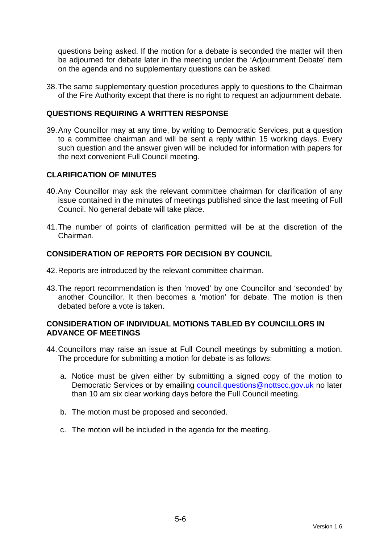questions being asked. If the motion for a debate is seconded the matter will then be adjourned for debate later in the meeting under the 'Adjournment Debate' item on the agenda and no supplementary questions can be asked.

38. The same supplementary question procedures apply to questions to the Chairman of the Fire Authority except that there is no right to request an adjournment debate.

## **QUESTIONS REQUIRING A WRITTEN RESPONSE**

39. Any Councillor may at any time, by writing to Democratic Services, put a question to a committee chairman and will be sent a reply within 15 working days. Every such question and the answer given will be included for information with papers for the next convenient Full Council meeting.

## **CLARIFICATION OF MINUTES**

- 40. Any Councillor may ask the relevant committee chairman for clarification of any issue contained in the minutes of meetings published since the last meeting of Full Council. No general debate will take place.
- 41. The number of points of clarification permitted will be at the discretion of the Chairman.

## **CONSIDERATION OF REPORTS FOR DECISION BY COUNCIL**

- 42. Reports are introduced by the relevant committee chairman.
- 43. The report recommendation is then 'moved' by one Councillor and 'seconded' by another Councillor. It then becomes a 'motion' for debate. The motion is then debated before a vote is taken.

## **CONSIDERATION OF INDIVIDUAL MOTIONS TABLED BY COUNCILLORS IN ADVANCE OF MEETINGS**

- 44. Councillors may raise an issue at Full Council meetings by submitting a motion. The procedure for submitting a motion for debate is as follows:
	- a. Notice must be given either by submitting a signed copy of the motion to Democratic Services or by emailing council.questions@nottscc.gov.uk no later than 10 am six clear working days before the Full Council meeting.
	- b. The motion must be proposed and seconded.
	- c. The motion will be included in the agenda for the meeting.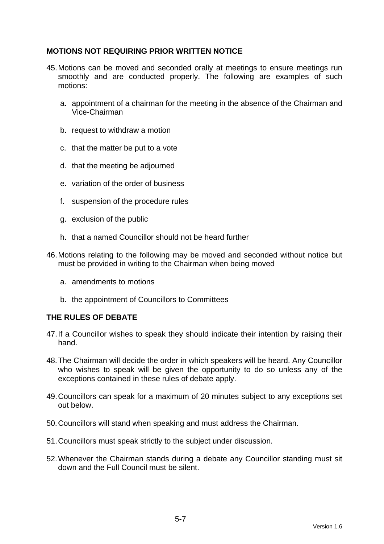## **MOTIONS NOT REQUIRING PRIOR WRITTEN NOTICE**

- 45. Motions can be moved and seconded orally at meetings to ensure meetings run smoothly and are conducted properly. The following are examples of such motions:
	- a. appointment of a chairman for the meeting in the absence of the Chairman and Vice-Chairman
	- b. request to withdraw a motion
	- c. that the matter be put to a vote
	- d. that the meeting be adjourned
	- e. variation of the order of business
	- f. suspension of the procedure rules
	- g. exclusion of the public
	- h. that a named Councillor should not be heard further
- 46. Motions relating to the following may be moved and seconded without notice but must be provided in writing to the Chairman when being moved
	- a. amendments to motions
	- b. the appointment of Councillors to Committees

## **THE RULES OF DEBATE**

- 47. If a Councillor wishes to speak they should indicate their intention by raising their hand.
- 48. The Chairman will decide the order in which speakers will be heard. Any Councillor who wishes to speak will be given the opportunity to do so unless any of the exceptions contained in these rules of debate apply.
- 49. Councillors can speak for a maximum of 20 minutes subject to any exceptions set out below.
- 50. Councillors will stand when speaking and must address the Chairman.
- 51. Councillors must speak strictly to the subject under discussion.
- 52. Whenever the Chairman stands during a debate any Councillor standing must sit down and the Full Council must be silent.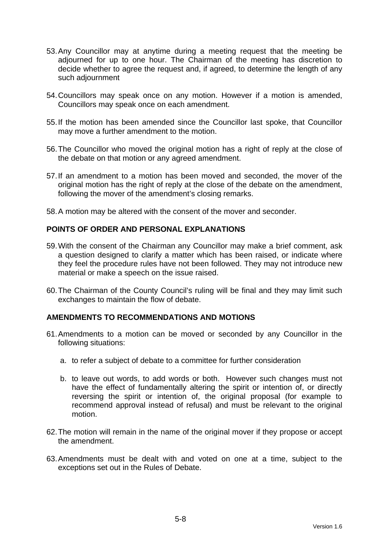- 53. Any Councillor may at anytime during a meeting request that the meeting be adjourned for up to one hour. The Chairman of the meeting has discretion to decide whether to agree the request and, if agreed, to determine the length of any such adjournment
- 54. Councillors may speak once on any motion. However if a motion is amended, Councillors may speak once on each amendment.
- 55. If the motion has been amended since the Councillor last spoke, that Councillor may move a further amendment to the motion.
- 56. The Councillor who moved the original motion has a right of reply at the close of the debate on that motion or any agreed amendment.
- 57. If an amendment to a motion has been moved and seconded, the mover of the original motion has the right of reply at the close of the debate on the amendment, following the mover of the amendment's closing remarks.
- 58. A motion may be altered with the consent of the mover and seconder.

## **POINTS OF ORDER AND PERSONAL EXPLANATIONS**

- 59. With the consent of the Chairman any Councillor may make a brief comment, ask a question designed to clarify a matter which has been raised, or indicate where they feel the procedure rules have not been followed. They may not introduce new material or make a speech on the issue raised.
- 60. The Chairman of the County Council's ruling will be final and they may limit such exchanges to maintain the flow of debate.

## **AMENDMENTS TO RECOMMENDATIONS AND MOTIONS**

- 61. Amendments to a motion can be moved or seconded by any Councillor in the following situations:
	- a. to refer a subject of debate to a committee for further consideration
	- b. to leave out words, to add words or both. However such changes must not have the effect of fundamentally altering the spirit or intention of, or directly reversing the spirit or intention of, the original proposal (for example to recommend approval instead of refusal) and must be relevant to the original motion.
- 62. The motion will remain in the name of the original mover if they propose or accept the amendment.
- 63. Amendments must be dealt with and voted on one at a time, subject to the exceptions set out in the Rules of Debate.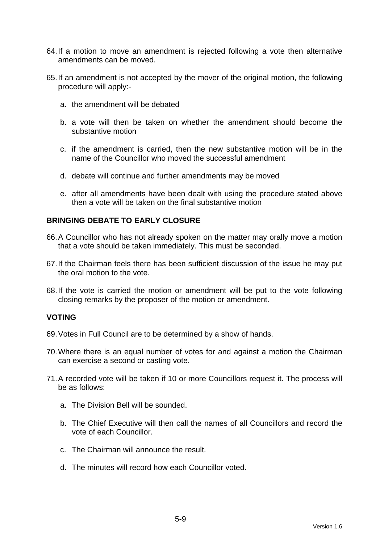- 64. If a motion to move an amendment is rejected following a vote then alternative amendments can be moved.
- 65. If an amendment is not accepted by the mover of the original motion, the following procedure will apply:
	- a. the amendment will be debated
	- b. a vote will then be taken on whether the amendment should become the substantive motion
	- c. if the amendment is carried, then the new substantive motion will be in the name of the Councillor who moved the successful amendment
	- d. debate will continue and further amendments may be moved
	- e. after all amendments have been dealt with using the procedure stated above then a vote will be taken on the final substantive motion

## **BRINGING DEBATE TO EARLY CLOSURE**

- 66. A Councillor who has not already spoken on the matter may orally move a motion that a vote should be taken immediately. This must be seconded.
- 67. If the Chairman feels there has been sufficient discussion of the issue he may put the oral motion to the vote.
- 68. If the vote is carried the motion or amendment will be put to the vote following closing remarks by the proposer of the motion or amendment.

#### **VOTING**

- 69. Votes in Full Council are to be determined by a show of hands.
- 70. Where there is an equal number of votes for and against a motion the Chairman can exercise a second or casting vote.
- 71. A recorded vote will be taken if 10 or more Councillors request it. The process will be as follows:
	- a. The Division Bell will be sounded.
	- b. The Chief Executive will then call the names of all Councillors and record the vote of each Councillor.
	- c. The Chairman will announce the result.
	- d. The minutes will record how each Councillor voted.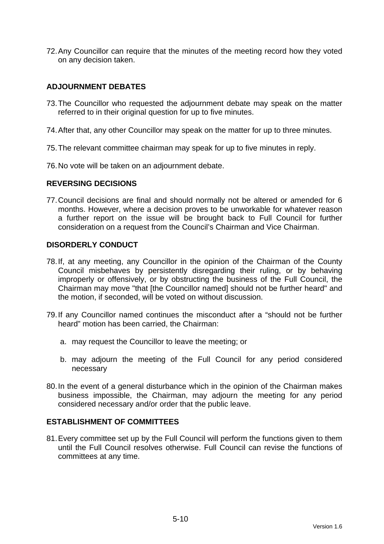72. Any Councillor can require that the minutes of the meeting record how they voted on any decision taken.

## **ADJOURNMENT DEBATES**

- 73. The Councillor who requested the adjournment debate may speak on the matter referred to in their original question for up to five minutes.
- 74. After that, any other Councillor may speak on the matter for up to three minutes.
- 75. The relevant committee chairman may speak for up to five minutes in reply.
- 76. No vote will be taken on an adjournment debate.

#### **REVERSING DECISIONS**

77. Council decisions are final and should normally not be altered or amended for 6 months. However, where a decision proves to be unworkable for whatever reason a further report on the issue will be brought back to Full Council for further consideration on a request from the Council's Chairman and Vice Chairman.

## **DISORDERLY CONDUCT**

- 78. If, at any meeting, any Councillor in the opinion of the Chairman of the County Council misbehaves by persistently disregarding their ruling, or by behaving improperly or offensively, or by obstructing the business of the Full Council, the Chairman may move "that [the Councillor named] should not be further heard" and the motion, if seconded, will be voted on without discussion.
- 79. If any Councillor named continues the misconduct after a "should not be further heard" motion has been carried, the Chairman:
	- a. may request the Councillor to leave the meeting; or
	- b. may adjourn the meeting of the Full Council for any period considered necessary
- 80. In the event of a general disturbance which in the opinion of the Chairman makes business impossible, the Chairman, may adjourn the meeting for any period considered necessary and/or order that the public leave.

## **ESTABLISHMENT OF COMMITTEES**

81. Every committee set up by the Full Council will perform the functions given to them until the Full Council resolves otherwise. Full Council can revise the functions of committees at any time.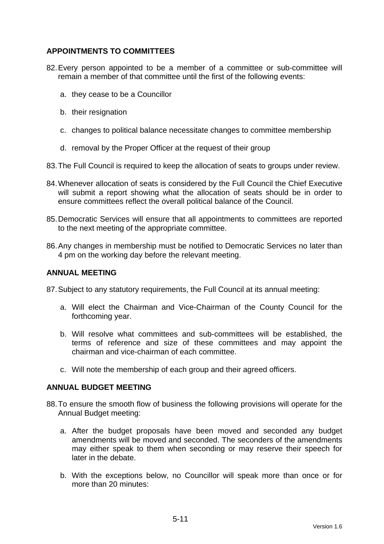# **APPOINTMENTS TO COMMITTEES**

- 82. Every person appointed to be a member of a committee or sub-committee will remain a member of that committee until the first of the following events:
	- a. they cease to be a Councillor
	- b. their resignation
	- c. changes to political balance necessitate changes to committee membership
	- d. removal by the Proper Officer at the request of their group
- 83. The Full Council is required to keep the allocation of seats to groups under review.
- 84. Whenever allocation of seats is considered by the Full Council the Chief Executive will submit a report showing what the allocation of seats should be in order to ensure committees reflect the overall political balance of the Council.
- 85. Democratic Services will ensure that all appointments to committees are reported to the next meeting of the appropriate committee.
- 86. Any changes in membership must be notified to Democratic Services no later than 4 pm on the working day before the relevant meeting.

#### **ANNUAL MEETING**

87. Subject to any statutory requirements, the Full Council at its annual meeting:

- a. Will elect the Chairman and Vice-Chairman of the County Council for the forthcoming year.
- b. Will resolve what committees and sub-committees will be established, the terms of reference and size of these committees and may appoint the chairman and vice-chairman of each committee.
- c. Will note the membership of each group and their agreed officers.

#### **ANNUAL BUDGET MEETING**

- 88. To ensure the smooth flow of business the following provisions will operate for the Annual Budget meeting:
	- a. After the budget proposals have been moved and seconded any budget amendments will be moved and seconded. The seconders of the amendments may either speak to them when seconding or may reserve their speech for later in the debate.
	- b. With the exceptions below, no Councillor will speak more than once or for more than 20 minutes: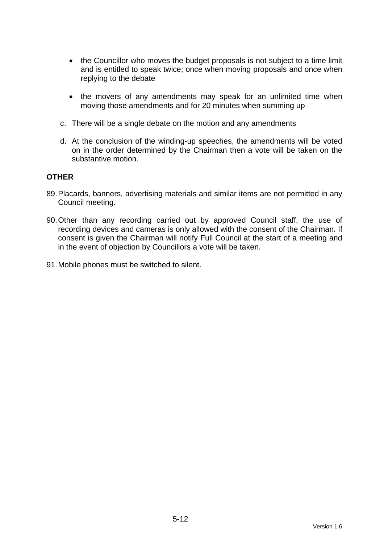- the Councillor who moves the budget proposals is not subject to a time limit and is entitled to speak twice; once when moving proposals and once when replying to the debate
- the movers of any amendments may speak for an unlimited time when moving those amendments and for 20 minutes when summing up
- c. There will be a single debate on the motion and any amendments
- d. At the conclusion of the winding-up speeches, the amendments will be voted on in the order determined by the Chairman then a vote will be taken on the substantive motion.

#### **OTHER**

- 89. Placards, banners, advertising materials and similar items are not permitted in any Council meeting.
- 90. Other than any recording carried out by approved Council staff, the use of recording devices and cameras is only allowed with the consent of the Chairman. If consent is given the Chairman will notify Full Council at the start of a meeting and in the event of objection by Councillors a vote will be taken.
- 91. Mobile phones must be switched to silent.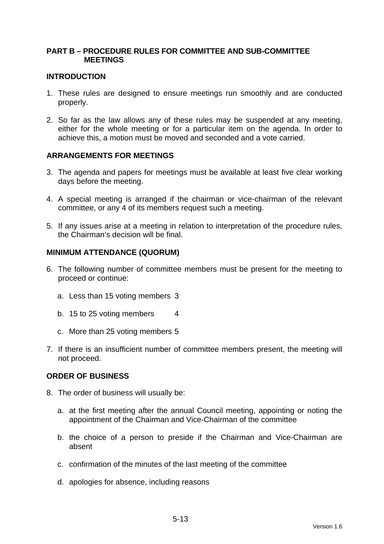## **PART B – PROCEDURE RULES FOR COMMITTEE AND SUB-COMMITTEE MEETINGS**

### **INTRODUCTION**

- 1. These rules are designed to ensure meetings run smoothly and are conducted properly.
- 2. So far as the law allows any of these rules may be suspended at any meeting, either for the whole meeting or for a particular item on the agenda. In order to achieve this, a motion must be moved and seconded and a vote carried.

## **ARRANGEMENTS FOR MEETINGS**

- 3. The agenda and papers for meetings must be available at least five clear working days before the meeting.
- 4. A special meeting is arranged if the chairman or vice-chairman of the relevant committee, or any 4 of its members request such a meeting.
- 5. If any issues arise at a meeting in relation to interpretation of the procedure rules, the Chairman's decision will be final.

#### **MINIMUM ATTENDANCE (QUORUM)**

- 6. The following number of committee members must be present for the meeting to proceed or continue:
	- a. Less than 15 voting members 3
	- b. 15 to 25 voting members 4
	- c. More than 25 voting members 5
- 7. If there is an insufficient number of committee members present, the meeting will not proceed.

#### **ORDER OF BUSINESS**

- 8. The order of business will usually be:
	- a. at the first meeting after the annual Council meeting, appointing or noting the appointment of the Chairman and Vice-Chairman of the committee
	- b. the choice of a person to preside if the Chairman and Vice-Chairman are absent
	- c. confirmation of the minutes of the last meeting of the committee
	- d. apologies for absence, including reasons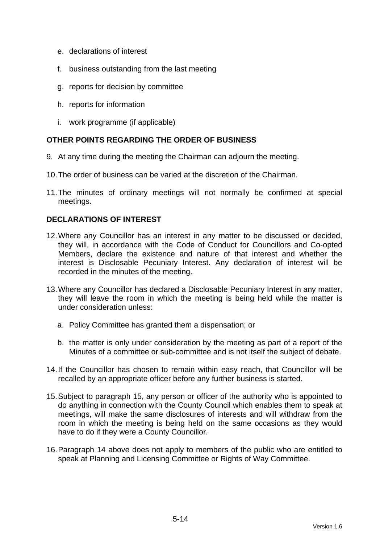- e. declarations of interest
- f. business outstanding from the last meeting
- g. reports for decision by committee
- h. reports for information
- i. work programme (if applicable)

# **OTHER POINTS REGARDING THE ORDER OF BUSINESS**

- 9. At any time during the meeting the Chairman can adjourn the meeting.
- 10. The order of business can be varied at the discretion of the Chairman.
- 11. The minutes of ordinary meetings will not normally be confirmed at special meetings.

## **DECLARATIONS OF INTEREST**

- 12. Where any Councillor has an interest in any matter to be discussed or decided, they will, in accordance with the Code of Conduct for Councillors and Co-opted Members, declare the existence and nature of that interest and whether the interest is Disclosable Pecuniary Interest. Any declaration of interest will be recorded in the minutes of the meeting.
- 13. Where any Councillor has declared a Disclosable Pecuniary Interest in any matter, they will leave the room in which the meeting is being held while the matter is under consideration unless:
	- a. Policy Committee has granted them a dispensation; or
	- b. the matter is only under consideration by the meeting as part of a report of the Minutes of a committee or sub-committee and is not itself the subject of debate.
- 14. If the Councillor has chosen to remain within easy reach, that Councillor will be recalled by an appropriate officer before any further business is started.
- 15. Subject to paragraph 15, any person or officer of the authority who is appointed to do anything in connection with the County Council which enables them to speak at meetings, will make the same disclosures of interests and will withdraw from the room in which the meeting is being held on the same occasions as they would have to do if they were a County Councillor.
- 16. Paragraph 14 above does not apply to members of the public who are entitled to speak at Planning and Licensing Committee or Rights of Way Committee.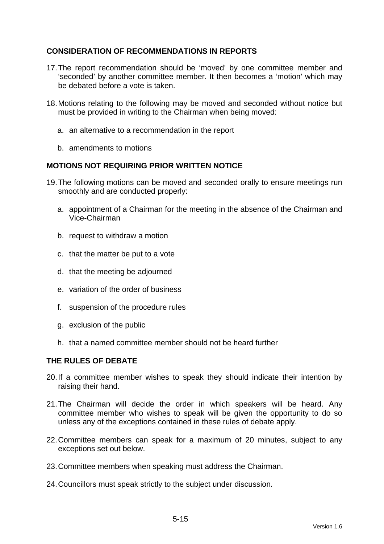# **CONSIDERATION OF RECOMMENDATIONS IN REPORTS**

- 17. The report recommendation should be 'moved' by one committee member and 'seconded' by another committee member. It then becomes a 'motion' which may be debated before a vote is taken.
- 18. Motions relating to the following may be moved and seconded without notice but must be provided in writing to the Chairman when being moved:
	- a. an alternative to a recommendation in the report
	- b. amendments to motions

## **MOTIONS NOT REQUIRING PRIOR WRITTEN NOTICE**

- 19. The following motions can be moved and seconded orally to ensure meetings run smoothly and are conducted properly:
	- a. appointment of a Chairman for the meeting in the absence of the Chairman and Vice-Chairman
	- b. request to withdraw a motion
	- c. that the matter be put to a vote
	- d. that the meeting be adjourned
	- e. variation of the order of business
	- f. suspension of the procedure rules
	- g. exclusion of the public
	- h. that a named committee member should not be heard further

## **THE RULES OF DEBATE**

- 20. If a committee member wishes to speak they should indicate their intention by raising their hand.
- 21. The Chairman will decide the order in which speakers will be heard. Any committee member who wishes to speak will be given the opportunity to do so unless any of the exceptions contained in these rules of debate apply.
- 22. Committee members can speak for a maximum of 20 minutes, subject to any exceptions set out below.
- 23. Committee members when speaking must address the Chairman.
- 24. Councillors must speak strictly to the subject under discussion.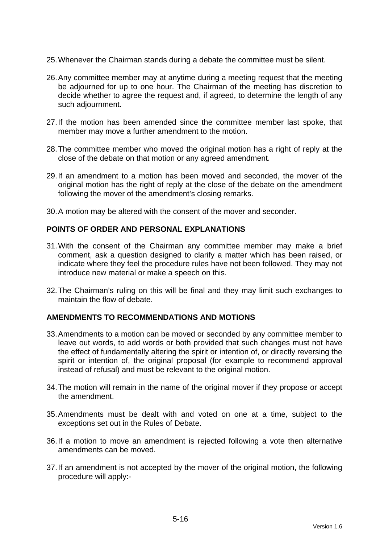- 25. Whenever the Chairman stands during a debate the committee must be silent.
- 26. Any committee member may at anytime during a meeting request that the meeting be adjourned for up to one hour. The Chairman of the meeting has discretion to decide whether to agree the request and, if agreed, to determine the length of any such adjournment.
- 27. If the motion has been amended since the committee member last spoke, that member may move a further amendment to the motion.
- 28. The committee member who moved the original motion has a right of reply at the close of the debate on that motion or any agreed amendment.
- 29. If an amendment to a motion has been moved and seconded, the mover of the original motion has the right of reply at the close of the debate on the amendment following the mover of the amendment's closing remarks.
- 30. A motion may be altered with the consent of the mover and seconder.

## **POINTS OF ORDER AND PERSONAL EXPLANATIONS**

- 31. With the consent of the Chairman any committee member may make a brief comment, ask a question designed to clarify a matter which has been raised, or indicate where they feel the procedure rules have not been followed. They may not introduce new material or make a speech on this.
- 32. The Chairman's ruling on this will be final and they may limit such exchanges to maintain the flow of debate.

#### **AMENDMENTS TO RECOMMENDATIONS AND MOTIONS**

- 33. Amendments to a motion can be moved or seconded by any committee member to leave out words, to add words or both provided that such changes must not have the effect of fundamentally altering the spirit or intention of, or directly reversing the spirit or intention of, the original proposal (for example to recommend approval instead of refusal) and must be relevant to the original motion.
- 34. The motion will remain in the name of the original mover if they propose or accept the amendment.
- 35. Amendments must be dealt with and voted on one at a time, subject to the exceptions set out in the Rules of Debate.
- 36. If a motion to move an amendment is rejected following a vote then alternative amendments can be moved.
- 37. If an amendment is not accepted by the mover of the original motion, the following procedure will apply:-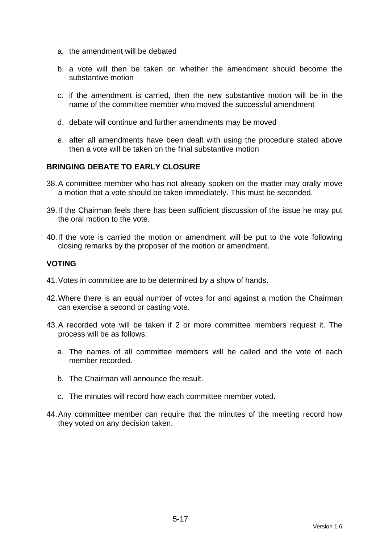- a. the amendment will be debated
- b. a vote will then be taken on whether the amendment should become the substantive motion
- c. if the amendment is carried, then the new substantive motion will be in the name of the committee member who moved the successful amendment
- d. debate will continue and further amendments may be moved
- e. after all amendments have been dealt with using the procedure stated above then a vote will be taken on the final substantive motion

## **BRINGING DEBATE TO EARLY CLOSURE**

- 38. A committee member who has not already spoken on the matter may orally move a motion that a vote should be taken immediately. This must be seconded.
- 39. If the Chairman feels there has been sufficient discussion of the issue he may put the oral motion to the vote.
- 40. If the vote is carried the motion or amendment will be put to the vote following closing remarks by the proposer of the motion or amendment.

#### **VOTING**

- 41. Votes in committee are to be determined by a show of hands.
- 42. Where there is an equal number of votes for and against a motion the Chairman can exercise a second or casting vote.
- 43. A recorded vote will be taken if 2 or more committee members request it. The process will be as follows:
	- a. The names of all committee members will be called and the vote of each member recorded.
	- b. The Chairman will announce the result.
	- c. The minutes will record how each committee member voted.
- 44. Any committee member can require that the minutes of the meeting record how they voted on any decision taken.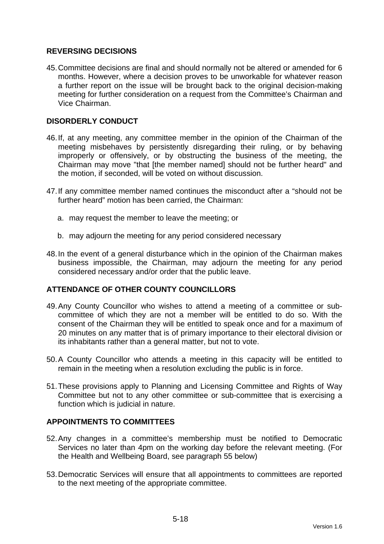## **REVERSING DECISIONS**

45. Committee decisions are final and should normally not be altered or amended for 6 months. However, where a decision proves to be unworkable for whatever reason a further report on the issue will be brought back to the original decision-making meeting for further consideration on a request from the Committee's Chairman and Vice Chairman.

## **DISORDERLY CONDUCT**

- 46. If, at any meeting, any committee member in the opinion of the Chairman of the meeting misbehaves by persistently disregarding their ruling, or by behaving improperly or offensively, or by obstructing the business of the meeting, the Chairman may move "that [the member named] should not be further heard" and the motion, if seconded, will be voted on without discussion.
- 47. If any committee member named continues the misconduct after a "should not be further heard" motion has been carried, the Chairman:
	- a. may request the member to leave the meeting; or
	- b. may adjourn the meeting for any period considered necessary
- 48. In the event of a general disturbance which in the opinion of the Chairman makes business impossible, the Chairman, may adjourn the meeting for any period considered necessary and/or order that the public leave.

## **ATTENDANCE OF OTHER COUNTY COUNCILLORS**

- 49. Any County Councillor who wishes to attend a meeting of a committee or subcommittee of which they are not a member will be entitled to do so. With the consent of the Chairman they will be entitled to speak once and for a maximum of 20 minutes on any matter that is of primary importance to their electoral division or its inhabitants rather than a general matter, but not to vote.
- 50. A County Councillor who attends a meeting in this capacity will be entitled to remain in the meeting when a resolution excluding the public is in force.
- 51. These provisions apply to Planning and Licensing Committee and Rights of Way Committee but not to any other committee or sub-committee that is exercising a function which is judicial in nature.

# **APPOINTMENTS TO COMMITTEES**

- 52. Any changes in a committee's membership must be notified to Democratic Services no later than 4pm on the working day before the relevant meeting. (For the Health and Wellbeing Board, see paragraph 55 below)
- 53. Democratic Services will ensure that all appointments to committees are reported to the next meeting of the appropriate committee.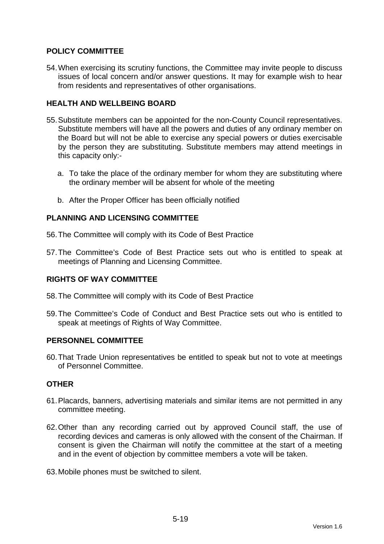# **POLICY COMMITTEE**

54. When exercising its scrutiny functions, the Committee may invite people to discuss issues of local concern and/or answer questions. It may for example wish to hear from residents and representatives of other organisations.

# **HEALTH AND WELLBEING BOARD**

- 55. Substitute members can be appointed for the non-County Council representatives. Substitute members will have all the powers and duties of any ordinary member on the Board but will not be able to exercise any special powers or duties exercisable by the person they are substituting. Substitute members may attend meetings in this capacity only:
	- a. To take the place of the ordinary member for whom they are substituting where the ordinary member will be absent for whole of the meeting
	- b. After the Proper Officer has been officially notified

## **PLANNING AND LICENSING COMMITTEE**

- 56. The Committee will comply with its Code of Best Practice
- 57. The Committee's Code of Best Practice sets out who is entitled to speak at meetings of Planning and Licensing Committee.

## **RIGHTS OF WAY COMMITTEE**

- 58. The Committee will comply with its Code of Best Practice
- 59. The Committee's Code of Conduct and Best Practice sets out who is entitled to speak at meetings of Rights of Way Committee.

## **PERSONNEL COMMITTEE**

60. That Trade Union representatives be entitled to speak but not to vote at meetings of Personnel Committee.

## **OTHER**

- 61. Placards, banners, advertising materials and similar items are not permitted in any committee meeting.
- 62. Other than any recording carried out by approved Council staff, the use of recording devices and cameras is only allowed with the consent of the Chairman. If consent is given the Chairman will notify the committee at the start of a meeting and in the event of objection by committee members a vote will be taken.
- 63. Mobile phones must be switched to silent.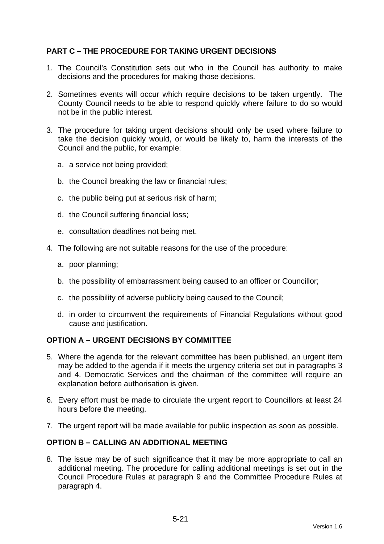# **PART C – THE PROCEDURE FOR TAKING URGENT DECISIONS**

- 1. The Council's Constitution sets out who in the Council has authority to make decisions and the procedures for making those decisions.
- 2. Sometimes events will occur which require decisions to be taken urgently. The County Council needs to be able to respond quickly where failure to do so would not be in the public interest.
- 3. The procedure for taking urgent decisions should only be used where failure to take the decision quickly would, or would be likely to, harm the interests of the Council and the public, for example:
	- a. a service not being provided;
	- b. the Council breaking the law or financial rules;
	- c. the public being put at serious risk of harm;
	- d. the Council suffering financial loss;
	- e. consultation deadlines not being met.
- 4. The following are not suitable reasons for the use of the procedure:
	- a. poor planning;
	- b. the possibility of embarrassment being caused to an officer or Councillor;
	- c. the possibility of adverse publicity being caused to the Council;
	- d. in order to circumvent the requirements of Financial Regulations without good cause and justification.

## **OPTION A – URGENT DECISIONS BY COMMITTEE**

- 5. Where the agenda for the relevant committee has been published, an urgent item may be added to the agenda if it meets the urgency criteria set out in paragraphs 3 and 4. Democratic Services and the chairman of the committee will require an explanation before authorisation is given.
- 6. Every effort must be made to circulate the urgent report to Councillors at least 24 hours before the meeting.
- 7. The urgent report will be made available for public inspection as soon as possible.

### **OPTION B – CALLING AN ADDITIONAL MEETING**

8. The issue may be of such significance that it may be more appropriate to call an additional meeting. The procedure for calling additional meetings is set out in the Council Procedure Rules at paragraph 9 and the Committee Procedure Rules at paragraph 4.

Version 1.6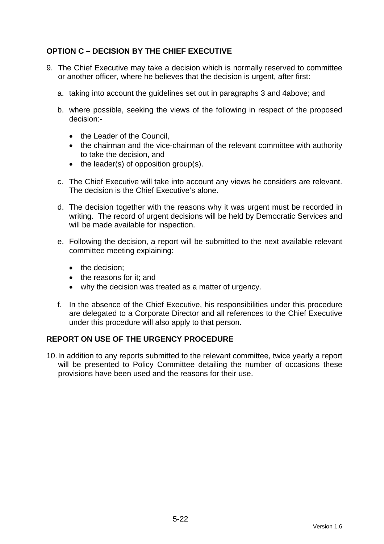# **OPTION C – DECISION BY THE CHIEF EXECUTIVE**

- 9. The Chief Executive may take a decision which is normally reserved to committee or another officer, where he believes that the decision is urgent, after first:
	- a. taking into account the guidelines set out in paragraphs 3 and 4above; and
	- b. where possible, seeking the views of the following in respect of the proposed decision:-
		- the Leader of the Council.
		- the chairman and the vice-chairman of the relevant committee with authority to take the decision, and
		- $\bullet$  the leader(s) of opposition group(s).
	- c. The Chief Executive will take into account any views he considers are relevant. The decision is the Chief Executive's alone.
	- d. The decision together with the reasons why it was urgent must be recorded in writing. The record of urgent decisions will be held by Democratic Services and will be made available for inspection.
	- e. Following the decision, a report will be submitted to the next available relevant committee meeting explaining:
		- the decision:
		- the reasons for it: and
		- why the decision was treated as a matter of urgency.
	- f. In the absence of the Chief Executive, his responsibilities under this procedure are delegated to a Corporate Director and all references to the Chief Executive under this procedure will also apply to that person.

## **REPORT ON USE OF THE URGENCY PROCEDURE**

10. In addition to any reports submitted to the relevant committee, twice yearly a report will be presented to Policy Committee detailing the number of occasions these provisions have been used and the reasons for their use.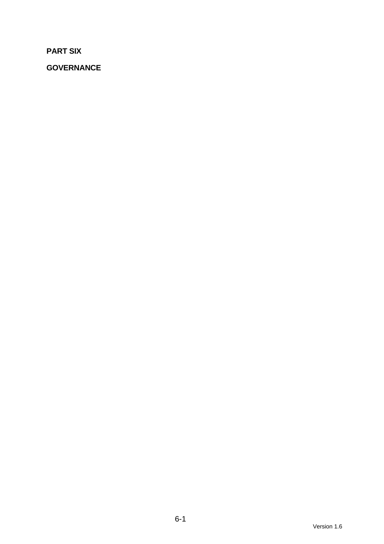**PART SIX** 

**GOVERNANCE**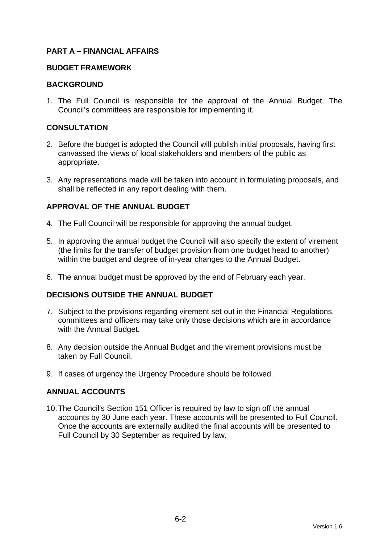## **PART A – FINANCIAL AFFAIRS**

#### **BUDGET FRAMEWORK**

### **BACKGROUND**

1. The Full Council is responsible for the approval of the Annual Budget. The Council's committees are responsible for implementing it.

## **CONSULTATION**

- 2. Before the budget is adopted the Council will publish initial proposals, having first canvassed the views of local stakeholders and members of the public as appropriate.
- 3. Any representations made will be taken into account in formulating proposals, and shall be reflected in any report dealing with them.

## **APPROVAL OF THE ANNUAL BUDGET**

- 4. The Full Council will be responsible for approving the annual budget.
- 5. In approving the annual budget the Council will also specify the extent of virement (the limits for the transfer of budget provision from one budget head to another) within the budget and degree of in-year changes to the Annual Budget.
- 6. The annual budget must be approved by the end of February each year.

## **DECISIONS OUTSIDE THE ANNUAL BUDGET**

- 7. Subject to the provisions regarding virement set out in the Financial Regulations, committees and officers may take only those decisions which are in accordance with the Annual Budget.
- 8. Any decision outside the Annual Budget and the virement provisions must be taken by Full Council.
- 9. If cases of urgency the Urgency Procedure should be followed.

## **ANNUAL ACCOUNTS**

10. The Council's Section 151 Officer is required by law to sign off the annual accounts by 30 June each year. These accounts will be presented to Full Council. Once the accounts are externally audited the final accounts will be presented to Full Council by 30 September as required by law.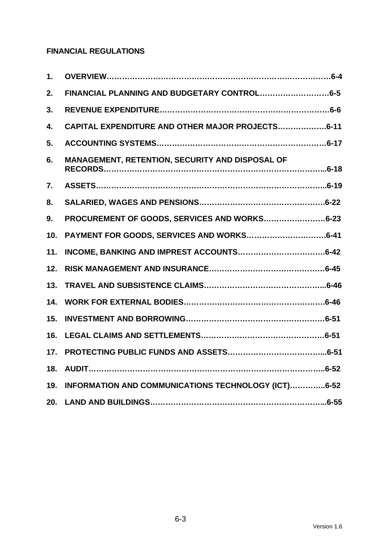# **FINANCIAL REGULATIONS**

| 1.  |                                                     |
|-----|-----------------------------------------------------|
| 2.  | FINANCIAL PLANNING AND BUDGETARY CONTROL6-5         |
| 3.  |                                                     |
| 4.  | CAPITAL EXPENDITURE AND OTHER MAJOR PROJECTS6-11    |
| 5.  |                                                     |
| 6.  | MANAGEMENT, RETENTION, SECURITY AND DISPOSAL OF     |
| 7.  |                                                     |
| 8.  |                                                     |
| 9.  | PROCUREMENT OF GOODS, SERVICES AND WORKS6-23        |
| 10. |                                                     |
| 11. |                                                     |
| 12. |                                                     |
| 13. |                                                     |
| 14. |                                                     |
| 15. |                                                     |
| 16. |                                                     |
| 17. |                                                     |
| 18. |                                                     |
| 19. | INFORMATION AND COMMUNICATIONS TECHNOLOGY (ICT)6-52 |
| 20. |                                                     |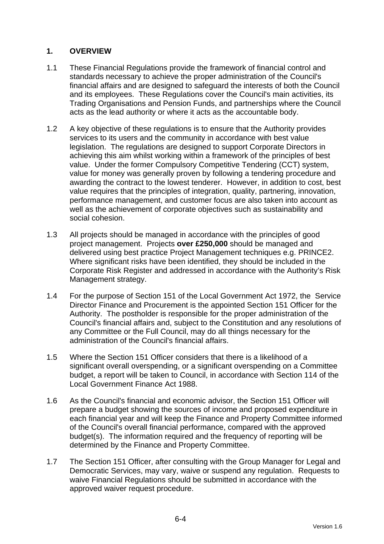## **1. OVERVIEW**

- 1.1 These Financial Regulations provide the framework of financial control and standards necessary to achieve the proper administration of the Council's financial affairs and are designed to safeguard the interests of both the Council and its employees. These Regulations cover the Council's main activities, its Trading Organisations and Pension Funds, and partnerships where the Council acts as the lead authority or where it acts as the accountable body.
- 1.2 A key objective of these regulations is to ensure that the Authority provides services to its users and the community in accordance with best value legislation. The regulations are designed to support Corporate Directors in achieving this aim whilst working within a framework of the principles of best value. Under the former Compulsory Competitive Tendering (CCT) system, value for money was generally proven by following a tendering procedure and awarding the contract to the lowest tenderer. However, in addition to cost, best value requires that the principles of integration, quality, partnering, innovation, performance management, and customer focus are also taken into account as well as the achievement of corporate objectives such as sustainability and social cohesion.
- 1.3 All projects should be managed in accordance with the principles of good project management. Projects **over £250,000** should be managed and delivered using best practice Project Management techniques e.g. PRINCE2. Where significant risks have been identified, they should be included in the Corporate Risk Register and addressed in accordance with the Authority's Risk Management strategy.
- 1.4 For the purpose of Section 151 of the Local Government Act 1972, the Service Director Finance and Procurement is the appointed Section 151 Officer for the Authority. The postholder is responsible for the proper administration of the Council's financial affairs and, subject to the Constitution and any resolutions of any Committee or the Full Council, may do all things necessary for the administration of the Council's financial affairs.
- 1.5 Where the Section 151 Officer considers that there is a likelihood of a significant overall overspending, or a significant overspending on a Committee budget, a report will be taken to Council, in accordance with Section 114 of the Local Government Finance Act 1988.
- 1.6 As the Council's financial and economic advisor, the Section 151 Officer will prepare a budget showing the sources of income and proposed expenditure in each financial year and will keep the Finance and Property Committee informed of the Council's overall financial performance, compared with the approved budget(s). The information required and the frequency of reporting will be determined by the Finance and Property Committee.
- 1.7 The Section 151 Officer, after consulting with the Group Manager for Legal and Democratic Services, may vary, waive or suspend any regulation. Requests to waive Financial Regulations should be submitted in accordance with the approved waiver request procedure.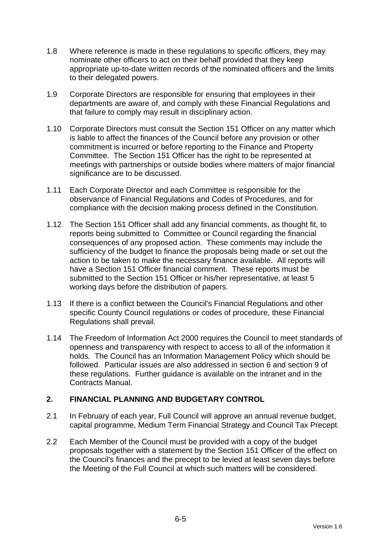- 1.8 Where reference is made in these regulations to specific officers, they may nominate other officers to act on their behalf provided that they keep appropriate up-to-date written records of the nominated officers and the limits to their delegated powers.
- 1.9 Corporate Directors are responsible for ensuring that employees in their departments are aware of, and comply with these Financial Regulations and that failure to comply may result in disciplinary action.
- 1.10 Corporate Directors must consult the Section 151 Officer on any matter which is liable to affect the finances of the Council before any provision or other commitment is incurred or before reporting to the Finance and Property Committee. The Section 151 Officer has the right to be represented at meetings with partnerships or outside bodies where matters of major financial significance are to be discussed.
- 1.11 Each Corporate Director and each Committee is responsible for the observance of Financial Regulations and Codes of Procedures, and for compliance with the decision making process defined in the Constitution.
- 1.12 The Section 151 Officer shall add any financial comments, as thought fit, to reports being submitted to Committee or Council regarding the financial consequences of any proposed action. These comments may include the sufficiency of the budget to finance the proposals being made or set out the action to be taken to make the necessary finance available. All reports will have a Section 151 Officer financial comment. These reports must be submitted to the Section 151 Officer or his/her representative, at least 5 working days before the distribution of papers.
- 1.13 If there is a conflict between the Council's Financial Regulations and other specific County Council regulations or codes of procedure, these Financial Regulations shall prevail.
- 1.14 The Freedom of Information Act 2000 requires the Council to meet standards of openness and transparency with respect to access to all of the information it holds. The Council has an Information Management Policy which should be followed. Particular issues are also addressed in section 6 and section 9 of these regulations. Further guidance is available on the intranet and in the Contracts Manual.

## **2. FINANCIAL PLANNING AND BUDGETARY CONTROL**

- 2.1 In February of each year, Full Council will approve an annual revenue budget, capital programme, Medium Term Financial Strategy and Council Tax Precept.
- 2.2 Each Member of the Council must be provided with a copy of the budget proposals together with a statement by the Section 151 Officer of the effect on the Council's finances and the precept to be levied at least seven days before the Meeting of the Full Council at which such matters will be considered.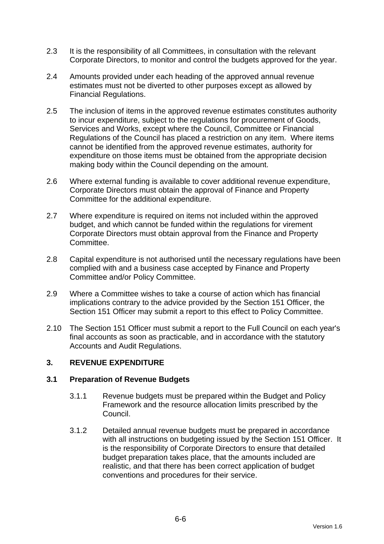- 2.3 It is the responsibility of all Committees, in consultation with the relevant Corporate Directors, to monitor and control the budgets approved for the year.
- 2.4 Amounts provided under each heading of the approved annual revenue estimates must not be diverted to other purposes except as allowed by Financial Regulations.
- 2.5 The inclusion of items in the approved revenue estimates constitutes authority to incur expenditure, subject to the regulations for procurement of Goods, Services and Works, except where the Council, Committee or Financial Regulations of the Council has placed a restriction on any item. Where items cannot be identified from the approved revenue estimates, authority for expenditure on those items must be obtained from the appropriate decision making body within the Council depending on the amount.
- 2.6 Where external funding is available to cover additional revenue expenditure, Corporate Directors must obtain the approval of Finance and Property Committee for the additional expenditure.
- 2.7 Where expenditure is required on items not included within the approved budget, and which cannot be funded within the regulations for virement Corporate Directors must obtain approval from the Finance and Property Committee.
- 2.8 Capital expenditure is not authorised until the necessary regulations have been complied with and a business case accepted by Finance and Property Committee and/or Policy Committee.
- 2.9 Where a Committee wishes to take a course of action which has financial implications contrary to the advice provided by the Section 151 Officer, the Section 151 Officer may submit a report to this effect to Policy Committee.
- 2.10 The Section 151 Officer must submit a report to the Full Council on each year's final accounts as soon as practicable, and in accordance with the statutory Accounts and Audit Regulations.

## **3. REVENUE EXPENDITURE**

## **3.1 Preparation of Revenue Budgets**

- 3.1.1 Revenue budgets must be prepared within the Budget and Policy Framework and the resource allocation limits prescribed by the Council.
- 3.1.2 Detailed annual revenue budgets must be prepared in accordance with all instructions on budgeting issued by the Section 151 Officer. It is the responsibility of Corporate Directors to ensure that detailed budget preparation takes place, that the amounts included are realistic, and that there has been correct application of budget conventions and procedures for their service.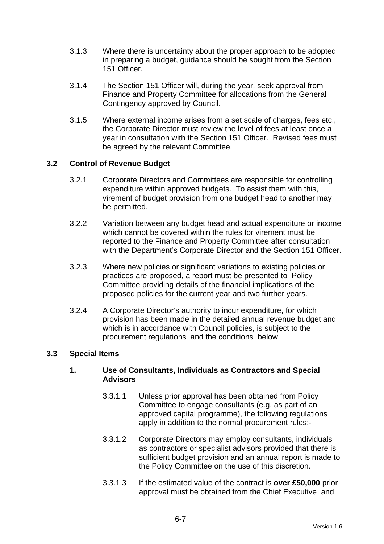- 3.1.3 Where there is uncertainty about the proper approach to be adopted in preparing a budget, guidance should be sought from the Section 151 Officer.
- 3.1.4 The Section 151 Officer will, during the year, seek approval from Finance and Property Committee for allocations from the General Contingency approved by Council.
- 3.1.5 Where external income arises from a set scale of charges, fees etc., the Corporate Director must review the level of fees at least once a year in consultation with the Section 151 Officer. Revised fees must be agreed by the relevant Committee.

## **3.2 Control of Revenue Budget**

- 3.2.1 Corporate Directors and Committees are responsible for controlling expenditure within approved budgets. To assist them with this, virement of budget provision from one budget head to another may be permitted.
- 3.2.2 Variation between any budget head and actual expenditure or income which cannot be covered within the rules for virement must be reported to the Finance and Property Committee after consultation with the Department's Corporate Director and the Section 151 Officer.
- 3.2.3 Where new policies or significant variations to existing policies or practices are proposed, a report must be presented to Policy Committee providing details of the financial implications of the proposed policies for the current year and two further years.
- 3.2.4 A Corporate Director's authority to incur expenditure, for which provision has been made in the detailed annual revenue budget and which is in accordance with Council policies, is subject to the procurement regulations and the conditions below.

## **3.3 Special Items**

## **1. Use of Consultants, Individuals as Contractors and Special Advisors**

- 3.3.1.1 Unless prior approval has been obtained from Policy Committee to engage consultants (e.g. as part of an approved capital programme), the following regulations apply in addition to the normal procurement rules:-
- 3.3.1.2 Corporate Directors may employ consultants, individuals as contractors or specialist advisors provided that there is sufficient budget provision and an annual report is made to the Policy Committee on the use of this discretion.
- 3.3.1.3 If the estimated value of the contract is **over £50,000** prior approval must be obtained from the Chief Executive and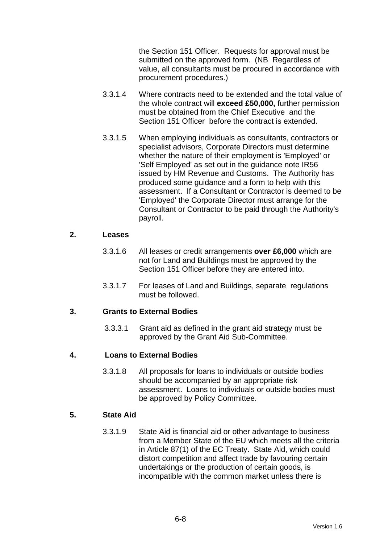the Section 151 Officer. Requests for approval must be submitted on the approved form. (NB Regardless of value, all consultants must be procured in accordance with procurement procedures.)

- 3.3.1.4 Where contracts need to be extended and the total value of the whole contract will **exceed £50,000,** further permission must be obtained from the Chief Executive and the Section 151 Officer before the contract is extended.
- 3.3.1.5 When employing individuals as consultants, contractors or specialist advisors, Corporate Directors must determine whether the nature of their employment is 'Employed' or 'Self Employed' as set out in the guidance note IR56 issued by HM Revenue and Customs. The Authority has produced some guidance and a form to help with this assessment. If a Consultant or Contractor is deemed to be 'Employed' the Corporate Director must arrange for the Consultant or Contractor to be paid through the Authority's payroll.

#### **2. Leases**

- 3.3.1.6 All leases or credit arrangements **over £6,000** which are not for Land and Buildings must be approved by the Section 151 Officer before they are entered into.
- 3.3.1.7 For leases of Land and Buildings, separate regulations must be followed.

## **3. Grants to External Bodies**

3.3.3.1 Grant aid as defined in the grant aid strategy must be approved by the Grant Aid Sub-Committee.

## **4. Loans to External Bodies**

3.3.1.8 All proposals for loans to individuals or outside bodies should be accompanied by an appropriate risk assessment. Loans to individuals or outside bodies must be approved by Policy Committee.

## **5. State Aid**

3.3.1.9 State Aid is financial aid or other advantage to business from a Member State of the EU which meets all the criteria in Article 87(1) of the EC Treaty. State Aid, which could distort competition and affect trade by favouring certain undertakings or the production of certain goods, is incompatible with the common market unless there is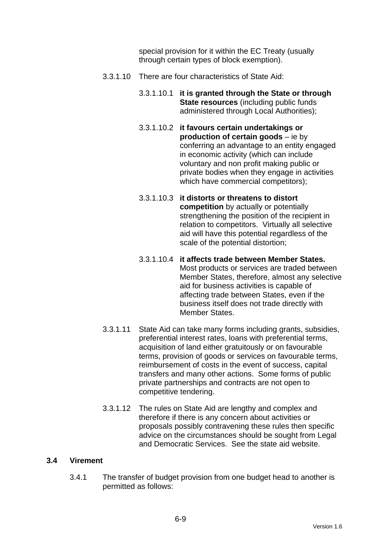special provision for it within the EC Treaty (usually through certain types of block exemption).

- 3.3.1.10 There are four characteristics of State Aid:
	- 3.3.1.10.1 **it is granted through the State or through State resources** (including public funds administered through Local Authorities);
	- 3.3.1.10.2 **it favours certain undertakings or production of certain goods** – ie by conferring an advantage to an entity engaged in economic activity (which can include voluntary and non profit making public or private bodies when they engage in activities which have commercial competitors);
	- 3.3.1.10.3 **it distorts or threatens to distort competition** by actually or potentially strengthening the position of the recipient in relation to competitors. Virtually all selective aid will have this potential regardless of the scale of the potential distortion;
	- 3.3.1.10.4 **it affects trade between Member States.** Most products or services are traded between Member States, therefore, almost any selective aid for business activities is capable of affecting trade between States, even if the business itself does not trade directly with Member States.
- 3.3.1.11 State Aid can take many forms including grants, subsidies, preferential interest rates, loans with preferential terms, acquisition of land either gratuitously or on favourable terms, provision of goods or services on favourable terms, reimbursement of costs in the event of success, capital transfers and many other actions. Some forms of public private partnerships and contracts are not open to competitive tendering.
- 3.3.1.12 The rules on State Aid are lengthy and complex and therefore if there is any concern about activities or proposals possibly contravening these rules then specific advice on the circumstances should be sought from Legal and Democratic Services. See the state aid website.

## **3.4 Virement**

3.4.1 The transfer of budget provision from one budget head to another is permitted as follows: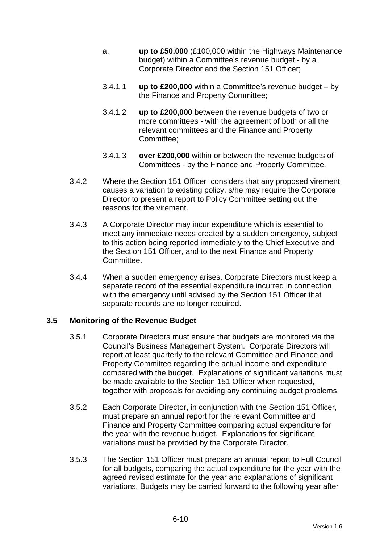- a. **up to £50,000** (£100,000 within the Highways Maintenance budget) within a Committee's revenue budget - by a Corporate Director and the Section 151 Officer;
- 3.4.1.1 **up to £200,000** within a Committee's revenue budget by the Finance and Property Committee;
- 3.4.1.2 **up to £200,000** between the revenue budgets of two or more committees - with the agreement of both or all the relevant committees and the Finance and Property Committee;
- 3.4.1.3 **over £200,000** within or between the revenue budgets of Committees - by the Finance and Property Committee.
- 3.4.2 Where the Section 151 Officer considers that any proposed virement causes a variation to existing policy, s/he may require the Corporate Director to present a report to Policy Committee setting out the reasons for the virement.
- 3.4.3 A Corporate Director may incur expenditure which is essential to meet any immediate needs created by a sudden emergency, subject to this action being reported immediately to the Chief Executive and the Section 151 Officer, and to the next Finance and Property Committee.
- 3.4.4 When a sudden emergency arises, Corporate Directors must keep a separate record of the essential expenditure incurred in connection with the emergency until advised by the Section 151 Officer that separate records are no longer required.

## **3.5 Monitoring of the Revenue Budget**

- 3.5.1 Corporate Directors must ensure that budgets are monitored via the Council's Business Management System. Corporate Directors will report at least quarterly to the relevant Committee and Finance and Property Committee regarding the actual income and expenditure compared with the budget. Explanations of significant variations must be made available to the Section 151 Officer when requested, together with proposals for avoiding any continuing budget problems.
- 3.5.2 Each Corporate Director, in conjunction with the Section 151 Officer, must prepare an annual report for the relevant Committee and Finance and Property Committee comparing actual expenditure for the year with the revenue budget. Explanations for significant variations must be provided by the Corporate Director.
- 3.5.3 The Section 151 Officer must prepare an annual report to Full Council for all budgets, comparing the actual expenditure for the year with the agreed revised estimate for the year and explanations of significant variations. Budgets may be carried forward to the following year after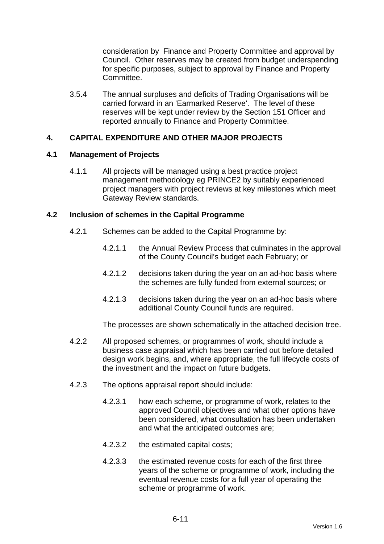consideration by Finance and Property Committee and approval by Council. Other reserves may be created from budget underspending for specific purposes, subject to approval by Finance and Property Committee.

3.5.4 The annual surpluses and deficits of Trading Organisations will be carried forward in an 'Earmarked Reserve'. The level of these reserves will be kept under review by the Section 151 Officer and reported annually to Finance and Property Committee.

## **4. CAPITAL EXPENDITURE AND OTHER MAJOR PROJECTS**

#### **4.1 Management of Projects**

4.1.1 All projects will be managed using a best practice project management methodology eg PRINCE2 by suitably experienced project managers with project reviews at key milestones which meet Gateway Review standards.

#### **4.2 Inclusion of schemes in the Capital Programme**

- 4.2.1 Schemes can be added to the Capital Programme by:
	- 4.2.1.1 the Annual Review Process that culminates in the approval of the County Council's budget each February; or
	- 4.2.1.2 decisions taken during the year on an ad-hoc basis where the schemes are fully funded from external sources; or
	- 4.2.1.3 decisions taken during the year on an ad-hoc basis where additional County Council funds are required.

The processes are shown schematically in the attached decision tree.

- 4.2.2 All proposed schemes, or programmes of work, should include a business case appraisal which has been carried out before detailed design work begins, and, where appropriate, the full lifecycle costs of the investment and the impact on future budgets.
- 4.2.3 The options appraisal report should include:
	- 4.2.3.1 how each scheme, or programme of work, relates to the approved Council objectives and what other options have been considered, what consultation has been undertaken and what the anticipated outcomes are;
	- 4.2.3.2 the estimated capital costs;
	- 4.2.3.3 the estimated revenue costs for each of the first three years of the scheme or programme of work, including the eventual revenue costs for a full year of operating the scheme or programme of work.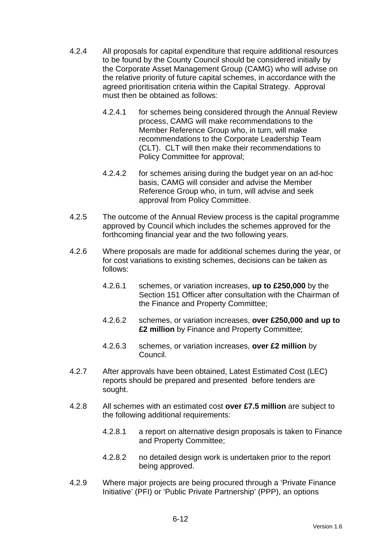- 4.2.4 All proposals for capital expenditure that require additional resources to be found by the County Council should be considered initially by the Corporate Asset Management Group (CAMG) who will advise on the relative priority of future capital schemes, in accordance with the agreed prioritisation criteria within the Capital Strategy. Approval must then be obtained as follows:
	- 4.2.4.1 for schemes being considered through the Annual Review process, CAMG will make recommendations to the Member Reference Group who, in turn, will make recommendations to the Corporate Leadership Team (CLT). CLT will then make their recommendations to Policy Committee for approval;
	- 4.2.4.2 for schemes arising during the budget year on an ad-hoc basis, CAMG will consider and advise the Member Reference Group who, in turn, will advise and seek approval from Policy Committee.
- 4.2.5 The outcome of the Annual Review process is the capital programme approved by Council which includes the schemes approved for the forthcoming financial year and the two following years.
- 4.2.6 Where proposals are made for additional schemes during the year, or for cost variations to existing schemes, decisions can be taken as follows:
	- 4.2.6.1 schemes, or variation increases, **up to £250,000** by the Section 151 Officer after consultation with the Chairman of the Finance and Property Committee;
	- 4.2.6.2 schemes, or variation increases, **over £250,000 and up to £2 million** by Finance and Property Committee;
	- 4.2.6.3 schemes, or variation increases, **over £2 million** by Council.
- 4.2.7 After approvals have been obtained, Latest Estimated Cost (LEC) reports should be prepared and presented before tenders are sought.
- 4.2.8 All schemes with an estimated cost **over £7.5 million** are subject to the following additional requirements:
	- 4.2.8.1 a report on alternative design proposals is taken to Finance and Property Committee;
	- 4.2.8.2 no detailed design work is undertaken prior to the report being approved.
- 4.2.9 Where major projects are being procured through a 'Private Finance Initiative' (PFI) or 'Public Private Partnership' (PPP), an options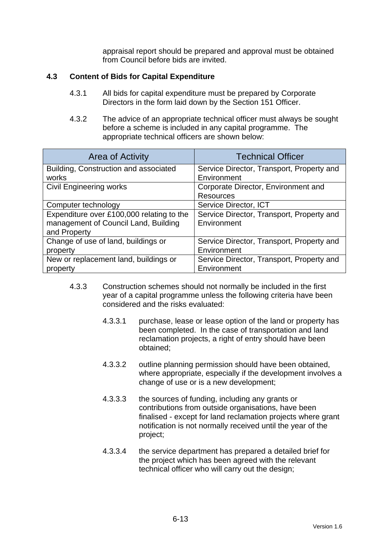appraisal report should be prepared and approval must be obtained from Council before bids are invited.

## **4.3 Content of Bids for Capital Expenditure**

- 4.3.1 All bids for capital expenditure must be prepared by Corporate Directors in the form laid down by the Section 151 Officer.
- 4.3.2 The advice of an appropriate technical officer must always be sought before a scheme is included in any capital programme. The appropriate technical officers are shown below:

| <b>Area of Activity</b>                   | <b>Technical Officer</b>                  |  |
|-------------------------------------------|-------------------------------------------|--|
| Building, Construction and associated     | Service Director, Transport, Property and |  |
| works                                     | Environment                               |  |
| <b>Civil Engineering works</b>            | Corporate Director, Environment and       |  |
|                                           | <b>Resources</b>                          |  |
| Computer technology                       | Service Director, ICT                     |  |
| Expenditure over £100,000 relating to the | Service Director, Transport, Property and |  |
| management of Council Land, Building      | Environment                               |  |
| and Property                              |                                           |  |
| Change of use of land, buildings or       | Service Director, Transport, Property and |  |
| property                                  | Environment                               |  |
| New or replacement land, buildings or     | Service Director, Transport, Property and |  |
| property                                  | Environment                               |  |

- 4.3.3 Construction schemes should not normally be included in the first year of a capital programme unless the following criteria have been considered and the risks evaluated:
	- 4.3.3.1 purchase, lease or lease option of the land or property has been completed. In the case of transportation and land reclamation projects, a right of entry should have been obtained;
	- 4.3.3.2 outline planning permission should have been obtained, where appropriate, especially if the development involves a change of use or is a new development;
	- 4.3.3.3 the sources of funding, including any grants or contributions from outside organisations, have been finalised - except for land reclamation projects where grant notification is not normally received until the year of the project;
	- 4.3.3.4 the service department has prepared a detailed brief for the project which has been agreed with the relevant technical officer who will carry out the design;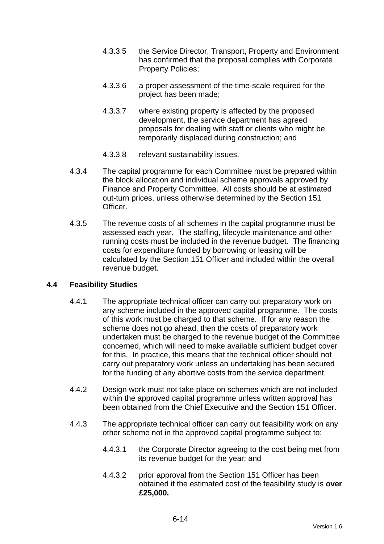- 4.3.3.5 the Service Director, Transport, Property and Environment has confirmed that the proposal complies with Corporate Property Policies;
- 4.3.3.6 a proper assessment of the time-scale required for the project has been made;
- 4.3.3.7 where existing property is affected by the proposed development, the service department has agreed proposals for dealing with staff or clients who might be temporarily displaced during construction; and
- 4.3.3.8 relevant sustainability issues.
- 4.3.4 The capital programme for each Committee must be prepared within the block allocation and individual scheme approvals approved by Finance and Property Committee. All costs should be at estimated out-turn prices, unless otherwise determined by the Section 151 Officer.
- 4.3.5 The revenue costs of all schemes in the capital programme must be assessed each year. The staffing, lifecycle maintenance and other running costs must be included in the revenue budget. The financing costs for expenditure funded by borrowing or leasing will be calculated by the Section 151 Officer and included within the overall revenue budget.

## **4.4 Feasibility Studies**

- 4.4.1 The appropriate technical officer can carry out preparatory work on any scheme included in the approved capital programme. The costs of this work must be charged to that scheme. If for any reason the scheme does not go ahead, then the costs of preparatory work undertaken must be charged to the revenue budget of the Committee concerned, which will need to make available sufficient budget cover for this. In practice, this means that the technical officer should not carry out preparatory work unless an undertaking has been secured for the funding of any abortive costs from the service department.
- 4.4.2 Design work must not take place on schemes which are not included within the approved capital programme unless written approval has been obtained from the Chief Executive and the Section 151 Officer.
- 4.4.3 The appropriate technical officer can carry out feasibility work on any other scheme not in the approved capital programme subject to:
	- 4.4.3.1 the Corporate Director agreeing to the cost being met from its revenue budget for the year; and
	- 4.4.3.2 prior approval from the Section 151 Officer has been obtained if the estimated cost of the feasibility study is **over £25,000.**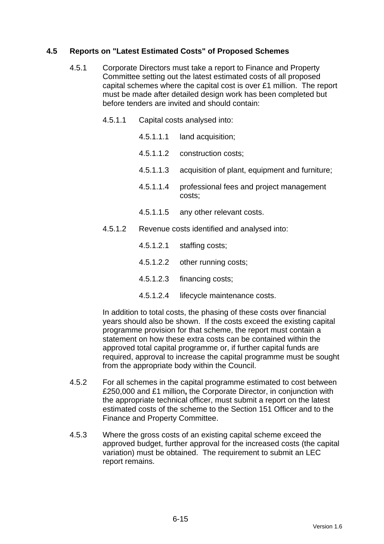## **4.5 Reports on "Latest Estimated Costs" of Proposed Schemes**

- 4.5.1 Corporate Directors must take a report to Finance and Property Committee setting out the latest estimated costs of all proposed capital schemes where the capital cost is over £1 million. The report must be made after detailed design work has been completed but before tenders are invited and should contain:
	- 4.5.1.1 Capital costs analysed into:
		- 4.5.1.1.1 land acquisition;
		- 4.5.1.1.2 construction costs;
		- 4.5.1.1.3 acquisition of plant, equipment and furniture;
		- 4.5.1.1.4 professional fees and project management costs;
		- 4.5.1.1.5 any other relevant costs.
	- 4.5.1.2 Revenue costs identified and analysed into:
		- 4.5.1.2.1 staffing costs;
		- 4.5.1.2.2 other running costs;
		- 4.5.1.2.3 financing costs;
		- 4.5.1.2.4 lifecycle maintenance costs.

In addition to total costs, the phasing of these costs over financial years should also be shown. If the costs exceed the existing capital programme provision for that scheme, the report must contain a statement on how these extra costs can be contained within the approved total capital programme or, if further capital funds are required, approval to increase the capital programme must be sought from the appropriate body within the Council.

- 4.5.2 For all schemes in the capital programme estimated to cost between £250,000 and £1 million**,** the Corporate Director, in conjunction with the appropriate technical officer, must submit a report on the latest estimated costs of the scheme to the Section 151 Officer and to the Finance and Property Committee.
- 4.5.3 Where the gross costs of an existing capital scheme exceed the approved budget, further approval for the increased costs (the capital variation) must be obtained. The requirement to submit an LEC report remains.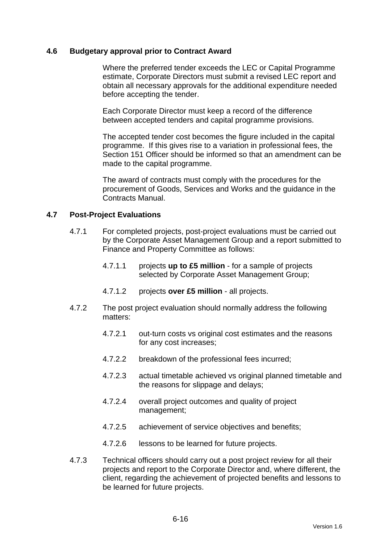#### **4.6 Budgetary approval prior to Contract Award**

 Where the preferred tender exceeds the LEC or Capital Programme estimate, Corporate Directors must submit a revised LEC report and obtain all necessary approvals for the additional expenditure needed before accepting the tender.

 Each Corporate Director must keep a record of the difference between accepted tenders and capital programme provisions.

 The accepted tender cost becomes the figure included in the capital programme. If this gives rise to a variation in professional fees, the Section 151 Officer should be informed so that an amendment can be made to the capital programme.

 The award of contracts must comply with the procedures for the procurement of Goods, Services and Works and the guidance in the Contracts Manual.

#### **4.7 Post-Project Evaluations**

- 4.7.1 For completed projects, post-project evaluations must be carried out by the Corporate Asset Management Group and a report submitted to Finance and Property Committee as follows:
	- 4.7.1.1 projects **up to £5 million** for a sample of projects selected by Corporate Asset Management Group;
	- 4.7.1.2 projects **over £5 million** all projects.
- 4.7.2 The post project evaluation should normally address the following matters:
	- 4.7.2.1 out-turn costs vs original cost estimates and the reasons for any cost increases;
	- 4.7.2.2 breakdown of the professional fees incurred;
	- 4.7.2.3 actual timetable achieved vs original planned timetable and the reasons for slippage and delays;
	- 4.7.2.4 overall project outcomes and quality of project management;
	- 4.7.2.5 achievement of service objectives and benefits;
	- 4.7.2.6 lessons to be learned for future projects.
- 4.7.3 Technical officers should carry out a post project review for all their projects and report to the Corporate Director and, where different, the client, regarding the achievement of projected benefits and lessons to be learned for future projects.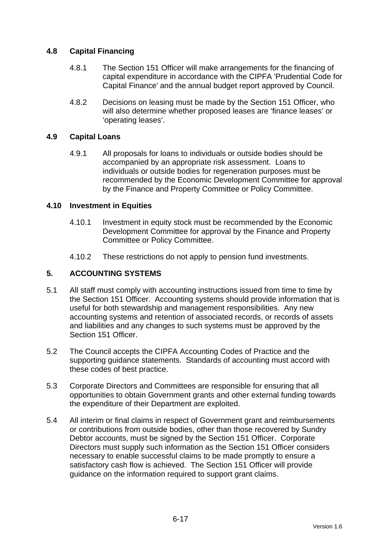## **4.8 Capital Financing**

- 4.8.1 The Section 151 Officer will make arrangements for the financing of capital expenditure in accordance with the CIPFA 'Prudential Code for Capital Finance' and the annual budget report approved by Council.
- 4.8.2 Decisions on leasing must be made by the Section 151 Officer, who will also determine whether proposed leases are 'finance leases' or 'operating leases'.

## **4.9 Capital Loans**

4.9.1 All proposals for loans to individuals or outside bodies should be accompanied by an appropriate risk assessment. Loans to individuals or outside bodies for regeneration purposes must be recommended by the Economic Development Committee for approval by the Finance and Property Committee or Policy Committee.

#### **4.10 Investment in Equities**

- 4.10.1 Investment in equity stock must be recommended by the Economic Development Committee for approval by the Finance and Property Committee or Policy Committee.
- 4.10.2 These restrictions do not apply to pension fund investments.

## **5. ACCOUNTING SYSTEMS**

- 5.1 All staff must comply with accounting instructions issued from time to time by the Section 151 Officer. Accounting systems should provide information that is useful for both stewardship and management responsibilities. Any new accounting systems and retention of associated records, or records of assets and liabilities and any changes to such systems must be approved by the Section 151 Officer.
- 5.2 The Council accepts the CIPFA Accounting Codes of Practice and the supporting guidance statements. Standards of accounting must accord with these codes of best practice.
- 5.3 Corporate Directors and Committees are responsible for ensuring that all opportunities to obtain Government grants and other external funding towards the expenditure of their Department are exploited.
- 5.4 All interim or final claims in respect of Government grant and reimbursements or contributions from outside bodies, other than those recovered by Sundry Debtor accounts, must be signed by the Section 151 Officer. Corporate Directors must supply such information as the Section 151 Officer considers necessary to enable successful claims to be made promptly to ensure a satisfactory cash flow is achieved. The Section 151 Officer will provide guidance on the information required to support grant claims.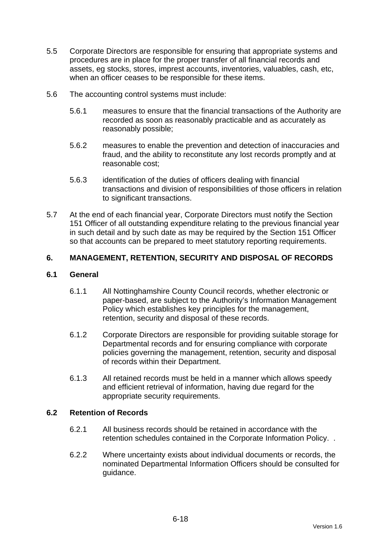- 5.5 Corporate Directors are responsible for ensuring that appropriate systems and procedures are in place for the proper transfer of all financial records and assets, eg stocks, stores, imprest accounts, inventories, valuables, cash, etc, when an officer ceases to be responsible for these items.
- 5.6 The accounting control systems must include:
	- 5.6.1 measures to ensure that the financial transactions of the Authority are recorded as soon as reasonably practicable and as accurately as reasonably possible;
	- 5.6.2 measures to enable the prevention and detection of inaccuracies and fraud, and the ability to reconstitute any lost records promptly and at reasonable cost;
	- 5.6.3 identification of the duties of officers dealing with financial transactions and division of responsibilities of those officers in relation to significant transactions.
- 5.7 At the end of each financial year, Corporate Directors must notify the Section 151 Officer of all outstanding expenditure relating to the previous financial year in such detail and by such date as may be required by the Section 151 Officer so that accounts can be prepared to meet statutory reporting requirements.

## **6. MANAGEMENT, RETENTION, SECURITY AND DISPOSAL OF RECORDS**

## **6.1 General**

- 6.1.1 All Nottinghamshire County Council records, whether electronic or paper-based, are subject to the Authority's Information Management Policy which establishes key principles for the management, retention, security and disposal of these records.
- 6.1.2 Corporate Directors are responsible for providing suitable storage for Departmental records and for ensuring compliance with corporate policies governing the management, retention, security and disposal of records within their Department.
- 6.1.3 All retained records must be held in a manner which allows speedy and efficient retrieval of information, having due regard for the appropriate security requirements.

## **6.2 Retention of Records**

- 6.2.1 All business records should be retained in accordance with the retention schedules contained in the Corporate Information Policy. .
- 6.2.2 Where uncertainty exists about individual documents or records, the nominated Departmental Information Officers should be consulted for guidance.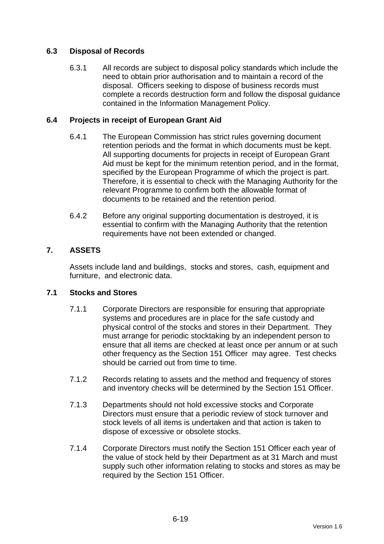## **6.3 Disposal of Records**

6.3.1 All records are subject to disposal policy standards which include the need to obtain prior authorisation and to maintain a record of the disposal. Officers seeking to dispose of business records must complete a records destruction form and follow the disposal guidance contained in the Information Management Policy.

## **6.4 Projects in receipt of European Grant Aid**

- 6.4.1 The European Commission has strict rules governing document retention periods and the format in which documents must be kept. All supporting documents for projects in receipt of European Grant Aid must be kept for the minimum retention period, and in the format, specified by the European Programme of which the project is part. Therefore, it is essential to check with the Managing Authority for the relevant Programme to confirm both the allowable format of documents to be retained and the retention period.
- 6.4.2 Before any original supporting documentation is destroyed, it is essential to confirm with the Managing Authority that the retention requirements have not been extended or changed.

## **7. ASSETS**

Assets include land and buildings, stocks and stores, cash, equipment and furniture, and electronic data.

## **7.1 Stocks and Stores**

- 7.1.1 Corporate Directors are responsible for ensuring that appropriate systems and procedures are in place for the safe custody and physical control of the stocks and stores in their Department. They must arrange for periodic stocktaking by an independent person to ensure that all items are checked at least once per annum or at such other frequency as the Section 151 Officer may agree. Test checks should be carried out from time to time.
- 7.1.2 Records relating to assets and the method and frequency of stores and inventory checks will be determined by the Section 151 Officer.
- 7.1.3 Departments should not hold excessive stocks and Corporate Directors must ensure that a periodic review of stock turnover and stock levels of all items is undertaken and that action is taken to dispose of excessive or obsolete stocks.
- 7.1.4 Corporate Directors must notify the Section 151 Officer each year of the value of stock held by their Department as at 31 March and must supply such other information relating to stocks and stores as may be required by the Section 151 Officer.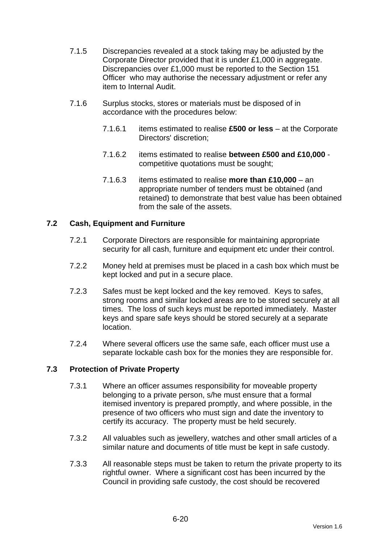- 7.1.5 Discrepancies revealed at a stock taking may be adjusted by the Corporate Director provided that it is under £1,000 in aggregate. Discrepancies over £1,000 must be reported to the Section 151 Officer who may authorise the necessary adjustment or refer any item to Internal Audit.
- 7.1.6 Surplus stocks, stores or materials must be disposed of in accordance with the procedures below:
	- 7.1.6.1 items estimated to realise **£500 or less** at the Corporate Directors' discretion;
	- 7.1.6.2 items estimated to realise **between £500 and £10,000** competitive quotations must be sought;
	- 7.1.6.3 items estimated to realise **more than £10,000** an appropriate number of tenders must be obtained (and retained) to demonstrate that best value has been obtained from the sale of the assets.

## **7.2 Cash, Equipment and Furniture**

- 7.2.1 Corporate Directors are responsible for maintaining appropriate security for all cash, furniture and equipment etc under their control.
- 7.2.2 Money held at premises must be placed in a cash box which must be kept locked and put in a secure place.
- 7.2.3 Safes must be kept locked and the key removed. Keys to safes, strong rooms and similar locked areas are to be stored securely at all times. The loss of such keys must be reported immediately. Master keys and spare safe keys should be stored securely at a separate location.
- 7.2.4 Where several officers use the same safe, each officer must use a separate lockable cash box for the monies they are responsible for.

## **7.3 Protection of Private Property**

- 7.3.1 Where an officer assumes responsibility for moveable property belonging to a private person, s/he must ensure that a formal itemised inventory is prepared promptly, and where possible, in the presence of two officers who must sign and date the inventory to certify its accuracy. The property must be held securely.
- 7.3.2 All valuables such as jewellery, watches and other small articles of a similar nature and documents of title must be kept in safe custody.
- 7.3.3 All reasonable steps must be taken to return the private property to its rightful owner. Where a significant cost has been incurred by the Council in providing safe custody, the cost should be recovered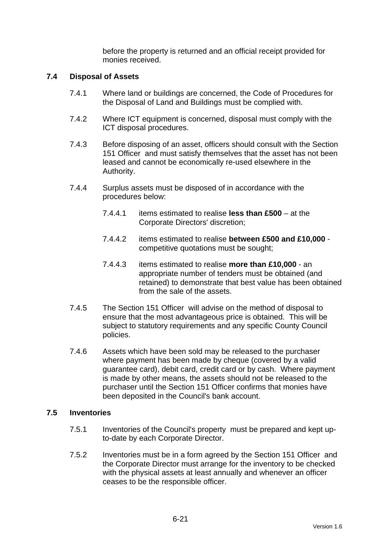before the property is returned and an official receipt provided for monies received.

#### **7.4 Disposal of Assets**

- 7.4.1 Where land or buildings are concerned, the Code of Procedures for the Disposal of Land and Buildings must be complied with.
- 7.4.2 Where ICT equipment is concerned, disposal must comply with the ICT disposal procedures.
- 7.4.3 Before disposing of an asset, officers should consult with the Section 151 Officer and must satisfy themselves that the asset has not been leased and cannot be economically re-used elsewhere in the Authority.
- 7.4.4 Surplus assets must be disposed of in accordance with the procedures below:
	- 7.4.4.1 items estimated to realise **less than £500** at the Corporate Directors' discretion;
	- 7.4.4.2 items estimated to realise **between £500 and £10,000** competitive quotations must be sought;
	- 7.4.4.3 items estimated to realise **more than £10,000** an appropriate number of tenders must be obtained (and retained) to demonstrate that best value has been obtained from the sale of the assets.
- 7.4.5 The Section 151 Officer will advise on the method of disposal to ensure that the most advantageous price is obtained. This will be subject to statutory requirements and any specific County Council policies.
- 7.4.6 Assets which have been sold may be released to the purchaser where payment has been made by cheque (covered by a valid guarantee card), debit card, credit card or by cash. Where payment is made by other means, the assets should not be released to the purchaser until the Section 151 Officer confirms that monies have been deposited in the Council's bank account.

#### **7.5 Inventories**

- 7.5.1 Inventories of the Council's property must be prepared and kept upto-date by each Corporate Director.
- 7.5.2 Inventories must be in a form agreed by the Section 151 Officer and the Corporate Director must arrange for the inventory to be checked with the physical assets at least annually and whenever an officer ceases to be the responsible officer.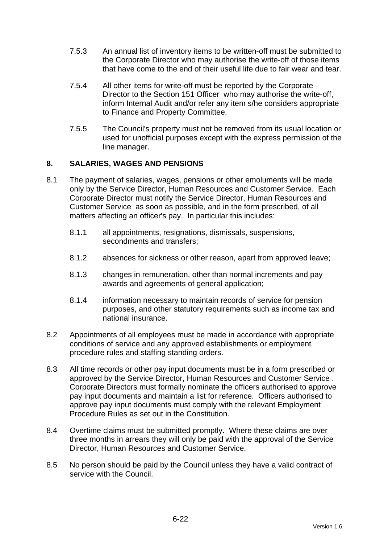- 7.5.3 An annual list of inventory items to be written-off must be submitted to the Corporate Director who may authorise the write-off of those items that have come to the end of their useful life due to fair wear and tear.
- 7.5.4 All other items for write-off must be reported by the Corporate Director to the Section 151 Officer who may authorise the write-off, inform Internal Audit and/or refer any item s/he considers appropriate to Finance and Property Committee.
- 7.5.5 The Council's property must not be removed from its usual location or used for unofficial purposes except with the express permission of the line manager.

## **8. SALARIES, WAGES AND PENSIONS**

- 8.1 The payment of salaries, wages, pensions or other emoluments will be made only by the Service Director, Human Resources and Customer Service. Each Corporate Director must notify the Service Director, Human Resources and Customer Service as soon as possible, and in the form prescribed, of all matters affecting an officer's pay. In particular this includes:
	- 8.1.1 all appointments, resignations, dismissals, suspensions, secondments and transfers;
	- 8.1.2 absences for sickness or other reason, apart from approved leave;
	- 8.1.3 changes in remuneration, other than normal increments and pay awards and agreements of general application;
	- 8.1.4 information necessary to maintain records of service for pension purposes, and other statutory requirements such as income tax and national insurance.
- 8.2 Appointments of all employees must be made in accordance with appropriate conditions of service and any approved establishments or employment procedure rules and staffing standing orders.
- 8.3 All time records or other pay input documents must be in a form prescribed or approved by the Service Director, Human Resources and Customer Service . Corporate Directors must formally nominate the officers authorised to approve pay input documents and maintain a list for reference. Officers authorised to approve pay input documents must comply with the relevant Employment Procedure Rules as set out in the Constitution.
- 8.4 Overtime claims must be submitted promptly. Where these claims are over three months in arrears they will only be paid with the approval of the Service Director, Human Resources and Customer Service.
- 8.5 No person should be paid by the Council unless they have a valid contract of service with the Council.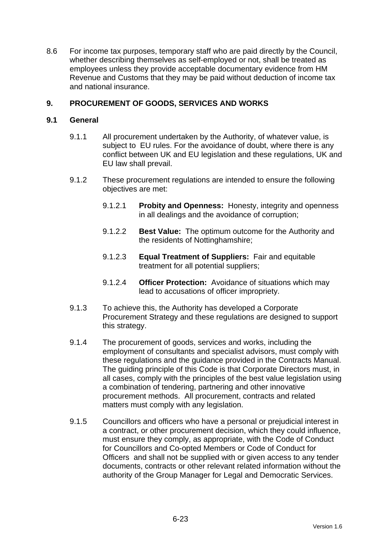8.6 For income tax purposes, temporary staff who are paid directly by the Council, whether describing themselves as self-employed or not, shall be treated as employees unless they provide acceptable documentary evidence from HM Revenue and Customs that they may be paid without deduction of income tax and national insurance.

## **9. PROCUREMENT OF GOODS, SERVICES AND WORKS**

## **9.1 General**

- 9.1.1 All procurement undertaken by the Authority, of whatever value, is subject to EU rules. For the avoidance of doubt, where there is any conflict between UK and EU legislation and these regulations, UK and EU law shall prevail.
- 9.1.2 These procurement regulations are intended to ensure the following objectives are met:
	- 9.1.2.1 **Probity and Openness:** Honesty, integrity and openness in all dealings and the avoidance of corruption;
	- 9.1.2.2 **Best Value:** The optimum outcome for the Authority and the residents of Nottinghamshire;
	- 9.1.2.3 **Equal Treatment of Suppliers:** Fair and equitable treatment for all potential suppliers;
	- 9.1.2.4 **Officer Protection:** Avoidance of situations which may lead to accusations of officer impropriety.
- 9.1.3 To achieve this, the Authority has developed a Corporate Procurement Strategy and these regulations are designed to support this strategy.
- 9.1.4 The procurement of goods, services and works, including the employment of consultants and specialist advisors, must comply with these regulations and the guidance provided in the Contracts Manual. The guiding principle of this Code is that Corporate Directors must, in all cases, comply with the principles of the best value legislation using a combination of tendering, partnering and other innovative procurement methods. All procurement, contracts and related matters must comply with any legislation.
- 9.1.5 Councillors and officers who have a personal or prejudicial interest in a contract, or other procurement decision, which they could influence, must ensure they comply, as appropriate, with the Code of Conduct for Councillors and Co-opted Members or Code of Conduct for Officers and shall not be supplied with or given access to any tender documents, contracts or other relevant related information without the authority of the Group Manager for Legal and Democratic Services.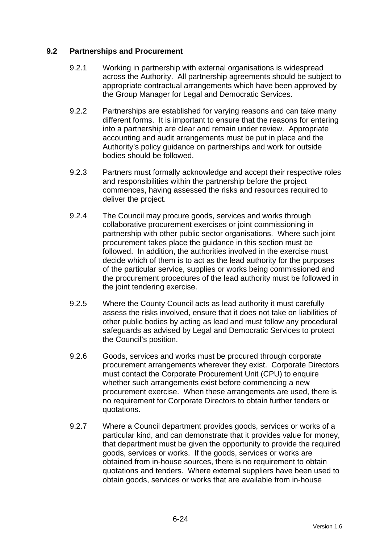## **9.2 Partnerships and Procurement**

- 9.2.1 Working in partnership with external organisations is widespread across the Authority. All partnership agreements should be subject to appropriate contractual arrangements which have been approved by the Group Manager for Legal and Democratic Services.
- 9.2.2 Partnerships are established for varying reasons and can take many different forms. It is important to ensure that the reasons for entering into a partnership are clear and remain under review. Appropriate accounting and audit arrangements must be put in place and the Authority's policy guidance on partnerships and work for outside bodies should be followed.
- 9.2.3 Partners must formally acknowledge and accept their respective roles and responsibilities within the partnership before the project commences, having assessed the risks and resources required to deliver the project.
- 9.2.4 The Council may procure goods, services and works through collaborative procurement exercises or joint commissioning in partnership with other public sector organisations. Where such joint procurement takes place the guidance in this section must be followed. In addition, the authorities involved in the exercise must decide which of them is to act as the lead authority for the purposes of the particular service, supplies or works being commissioned and the procurement procedures of the lead authority must be followed in the joint tendering exercise.
- 9.2.5 Where the County Council acts as lead authority it must carefully assess the risks involved, ensure that it does not take on liabilities of other public bodies by acting as lead and must follow any procedural safeguards as advised by Legal and Democratic Services to protect the Council's position.
- 9.2.6 Goods, services and works must be procured through corporate procurement arrangements wherever they exist. Corporate Directors must contact the Corporate Procurement Unit (CPU) to enquire whether such arrangements exist before commencing a new procurement exercise. When these arrangements are used, there is no requirement for Corporate Directors to obtain further tenders or quotations.
- 9.2.7 Where a Council department provides goods, services or works of a particular kind, and can demonstrate that it provides value for money, that department must be given the opportunity to provide the required goods, services or works. If the goods, services or works are obtained from in-house sources, there is no requirement to obtain quotations and tenders. Where external suppliers have been used to obtain goods, services or works that are available from in-house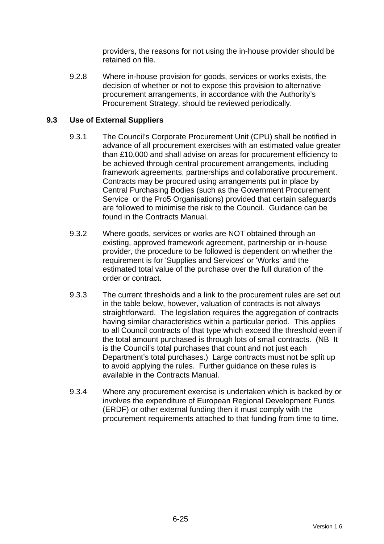providers, the reasons for not using the in-house provider should be retained on file.

9.2.8 Where in-house provision for goods, services or works exists, the decision of whether or not to expose this provision to alternative procurement arrangements, in accordance with the Authority's Procurement Strategy, should be reviewed periodically.

## **9.3 Use of External Suppliers**

- 9.3.1 The Council's Corporate Procurement Unit (CPU) shall be notified in advance of all procurement exercises with an estimated value greater than £10,000 and shall advise on areas for procurement efficiency to be achieved through central procurement arrangements, including framework agreements, partnerships and collaborative procurement. Contracts may be procured using arrangements put in place by Central Purchasing Bodies (such as the Government Procurement Service or the Pro5 Organisations) provided that certain safeguards are followed to minimise the risk to the Council. Guidance can be found in the Contracts Manual.
- 9.3.2 Where goods, services or works are NOT obtained through an existing, approved framework agreement, partnership or in-house provider, the procedure to be followed is dependent on whether the requirement is for 'Supplies and Services' or 'Works' and the estimated total value of the purchase over the full duration of the order or contract.
- 9.3.3 The current thresholds and a link to the procurement rules are set out in the table below, however, valuation of contracts is not always straightforward. The legislation requires the aggregation of contracts having similar characteristics within a particular period. This applies to all Council contracts of that type which exceed the threshold even if the total amount purchased is through lots of small contracts. (NB It is the Council's total purchases that count and not just each Department's total purchases.) Large contracts must not be split up to avoid applying the rules. Further guidance on these rules is available in the Contracts Manual.
- 9.3.4 Where any procurement exercise is undertaken which is backed by or involves the expenditure of European Regional Development Funds (ERDF) or other external funding then it must comply with the procurement requirements attached to that funding from time to time.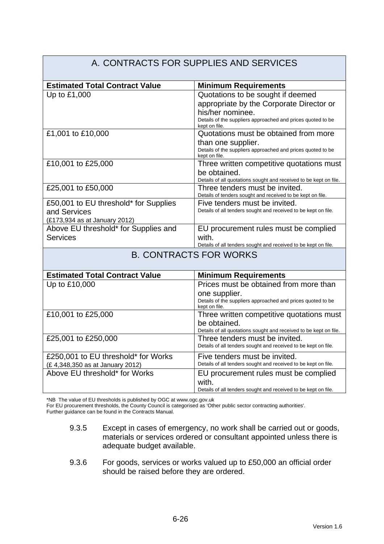#### A. CONTRACTS FOR SUPPLIES AND SERVICES **Estimated Total Contract Value | Minimum Requirements** Up to £1,000  $\vert$  Quotations to be sought if deemed appropriate by the Corporate Director or his/her nominee. Details of the suppliers approached and prices quoted to be kept on file. £1,001 to £10,000 Quotations must be obtained from more than one supplier. Details of the suppliers approached and prices quoted to be kept on file. £10,001 to £25,000 Three written competitive quotations must be obtained. Details of all quotations sought and received to be kept on file. £25,001 to £50,000 Three tenders must be invited. Details of tenders sought and received to be kept on file. £50,001 to EU threshold\* for Supplies and Services (£173,934 as at January 2012) Five tenders must be invited. Details of all tenders sought and received to be kept on file. Above EU threshold\* for Supplies and **Services** EU procurement rules must be complied with. Details of all tenders sought and received to be kept on file. B. CONTRACTS FOR WORKS **Estimated Total Contract Value Minimum Requirements** Up to £10,000 Prices must be obtained from more than one supplier. Details of the suppliers approached and prices quoted to be kept on file. £10,001 to £25,000 Three written competitive quotations must be obtained. Details of all quotations sought and received to be kept on file. £25,001 to £250,000 Three tenders must be invited. Details of all tenders sought and received to be kept on file. £250,001 to EU threshold\* for Works (£ 4,348,350 as at January 2012) Five tenders must be invited. Details of all tenders sought and received to be kept on file. Above EU threshold\* for Works **EU** procurement rules must be complied with. Details of all tenders sought and received to be kept on file.

\*NB The value of EU thresholds is published by OGC at www.ogc.gov.uk

For EU procurement thresholds, the County Council is categorised as 'Other public sector contracting authorities'.

Further guidance can be found in the Contracts Manual.

- 9.3.5 Except in cases of emergency, no work shall be carried out or goods, materials or services ordered or consultant appointed unless there is adequate budget available.
- 9.3.6 For goods, services or works valued up to £50,000 an official order should be raised before they are ordered.

Version 1.6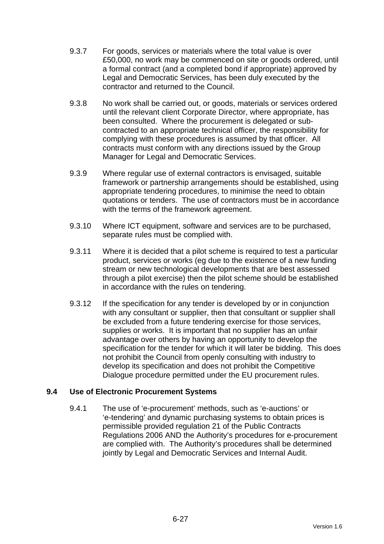- 9.3.7 For goods, services or materials where the total value is over £50,000, no work may be commenced on site or goods ordered, until a formal contract (and a completed bond if appropriate) approved by Legal and Democratic Services, has been duly executed by the contractor and returned to the Council.
- 9.3.8 No work shall be carried out, or goods, materials or services ordered until the relevant client Corporate Director, where appropriate, has been consulted. Where the procurement is delegated or subcontracted to an appropriate technical officer, the responsibility for complying with these procedures is assumed by that officer. All contracts must conform with any directions issued by the Group Manager for Legal and Democratic Services.
- 9.3.9 Where regular use of external contractors is envisaged, suitable framework or partnership arrangements should be established, using appropriate tendering procedures, to minimise the need to obtain quotations or tenders. The use of contractors must be in accordance with the terms of the framework agreement.
- 9.3.10 Where ICT equipment, software and services are to be purchased, separate rules must be complied with.
- 9.3.11 Where it is decided that a pilot scheme is required to test a particular product, services or works (eg due to the existence of a new funding stream or new technological developments that are best assessed through a pilot exercise) then the pilot scheme should be established in accordance with the rules on tendering.
- 9.3.12 If the specification for any tender is developed by or in conjunction with any consultant or supplier, then that consultant or supplier shall be excluded from a future tendering exercise for those services, supplies or works. It is important that no supplier has an unfair advantage over others by having an opportunity to develop the specification for the tender for which it will later be bidding. This does not prohibit the Council from openly consulting with industry to develop its specification and does not prohibit the Competitive Dialogue procedure permitted under the EU procurement rules.

## **9.4 Use of Electronic Procurement Systems**

9.4.1 The use of 'e-procurement' methods, such as 'e-auctions' or 'e-tendering' and dynamic purchasing systems to obtain prices is permissible provided regulation 21 of the Public Contracts Regulations 2006 AND the Authority's procedures for e-procurement are complied with. The Authority's procedures shall be determined jointly by Legal and Democratic Services and Internal Audit.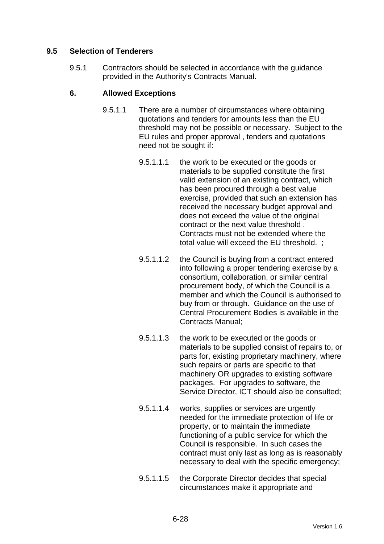## **9.5 Selection of Tenderers**

9.5.1 Contractors should be selected in accordance with the guidance provided in the Authority's Contracts Manual.

## **6. Allowed Exceptions**

- 9.5.1.1 There are a number of circumstances where obtaining quotations and tenders for amounts less than the EU threshold may not be possible or necessary. Subject to the EU rules and proper approval , tenders and quotations need not be sought if:
	- 9.5.1.1.1 the work to be executed or the goods or materials to be supplied constitute the first valid extension of an existing contract, which has been procured through a best value exercise, provided that such an extension has received the necessary budget approval and does not exceed the value of the original contract or the next value threshold . Contracts must not be extended where the total value will exceed the EU threshold. ;
	- 9.5.1.1.2 the Council is buying from a contract entered into following a proper tendering exercise by a consortium, collaboration, or similar central procurement body, of which the Council is a member and which the Council is authorised to buy from or through. Guidance on the use of Central Procurement Bodies is available in the Contracts Manual;
	- 9.5.1.1.3 the work to be executed or the goods or materials to be supplied consist of repairs to, or parts for, existing proprietary machinery, where such repairs or parts are specific to that machinery OR upgrades to existing software packages. For upgrades to software, the Service Director, ICT should also be consulted;
	- 9.5.1.1.4 works, supplies or services are urgently needed for the immediate protection of life or property, or to maintain the immediate functioning of a public service for which the Council is responsible. In such cases the contract must only last as long as is reasonably necessary to deal with the specific emergency;
	- 9.5.1.1.5 the Corporate Director decides that special circumstances make it appropriate and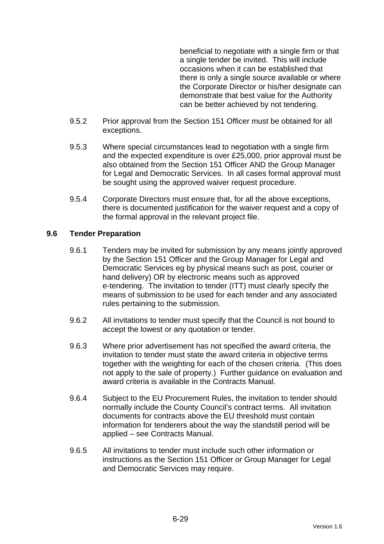beneficial to negotiate with a single firm or that a single tender be invited. This will include occasions when it can be established that there is only a single source available or where the Corporate Director or his/her designate can demonstrate that best value for the Authority can be better achieved by not tendering.

- 9.5.2 Prior approval from the Section 151 Officer must be obtained for all exceptions.
- 9.5.3 Where special circumstances lead to negotiation with a single firm and the expected expenditure is over £25,000, prior approval must be also obtained from the Section 151 Officer AND the Group Manager for Legal and Democratic Services. In all cases formal approval must be sought using the approved waiver request procedure.
- 9.5.4 Corporate Directors must ensure that, for all the above exceptions, there is documented justification for the waiver request and a copy of the formal approval in the relevant project file.

## **9.6 Tender Preparation**

- 9.6.1 Tenders may be invited for submission by any means jointly approved by the Section 151 Officer and the Group Manager for Legal and Democratic Services eg by physical means such as post, courier or hand delivery) OR by electronic means such as approved e-tendering. The invitation to tender (ITT) must clearly specify the means of submission to be used for each tender and any associated rules pertaining to the submission.
- 9.6.2 All invitations to tender must specify that the Council is not bound to accept the lowest or any quotation or tender.
- 9.6.3 Where prior advertisement has not specified the award criteria, the invitation to tender must state the award criteria in objective terms together with the weighting for each of the chosen criteria. (This does not apply to the sale of property.) Further guidance on evaluation and award criteria is available in the Contracts Manual.
- 9.6.4 Subject to the EU Procurement Rules, the invitation to tender should normally include the County Council's contract terms. All invitation documents for contracts above the EU threshold must contain information for tenderers about the way the standstill period will be applied – see Contracts Manual.
- 9.6.5 All invitations to tender must include such other information or instructions as the Section 151 Officer or Group Manager for Legal and Democratic Services may require.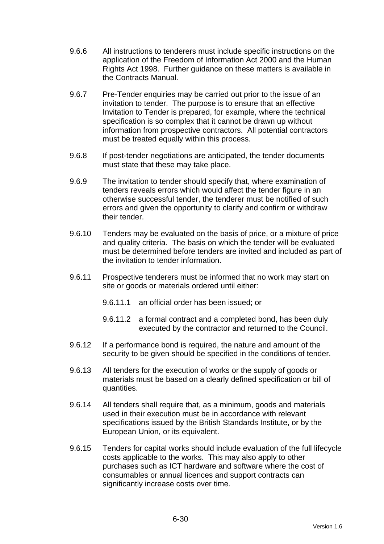- 9.6.6 All instructions to tenderers must include specific instructions on the application of the Freedom of Information Act 2000 and the Human Rights Act 1998. Further guidance on these matters is available in the Contracts Manual.
- 9.6.7 Pre-Tender enquiries may be carried out prior to the issue of an invitation to tender. The purpose is to ensure that an effective Invitation to Tender is prepared, for example, where the technical specification is so complex that it cannot be drawn up without information from prospective contractors. All potential contractors must be treated equally within this process.
- 9.6.8 If post-tender negotiations are anticipated, the tender documents must state that these may take place.
- 9.6.9 The invitation to tender should specify that, where examination of tenders reveals errors which would affect the tender figure in an otherwise successful tender, the tenderer must be notified of such errors and given the opportunity to clarify and confirm or withdraw their tender.
- 9.6.10 Tenders may be evaluated on the basis of price, or a mixture of price and quality criteria. The basis on which the tender will be evaluated must be determined before tenders are invited and included as part of the invitation to tender information.
- 9.6.11 Prospective tenderers must be informed that no work may start on site or goods or materials ordered until either:
	- 9.6.11.1 an official order has been issued; or
	- 9.6.11.2 a formal contract and a completed bond, has been duly executed by the contractor and returned to the Council.
- 9.6.12 If a performance bond is required, the nature and amount of the security to be given should be specified in the conditions of tender.
- 9.6.13 All tenders for the execution of works or the supply of goods or materials must be based on a clearly defined specification or bill of quantities.
- 9.6.14 All tenders shall require that, as a minimum, goods and materials used in their execution must be in accordance with relevant specifications issued by the British Standards Institute, or by the European Union, or its equivalent.
- 9.6.15 Tenders for capital works should include evaluation of the full lifecycle costs applicable to the works. This may also apply to other purchases such as ICT hardware and software where the cost of consumables or annual licences and support contracts can significantly increase costs over time.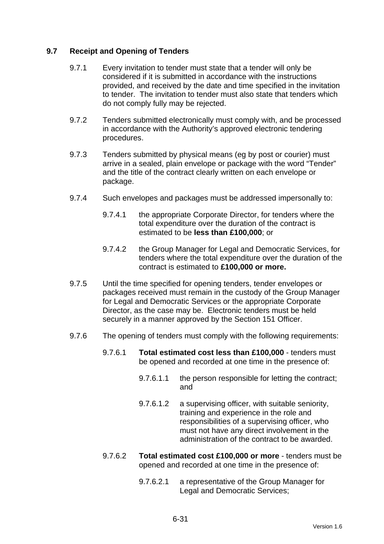## **9.7 Receipt and Opening of Tenders**

- 9.7.1 Every invitation to tender must state that a tender will only be considered if it is submitted in accordance with the instructions provided, and received by the date and time specified in the invitation to tender. The invitation to tender must also state that tenders which do not comply fully may be rejected.
- 9.7.2 Tenders submitted electronically must comply with, and be processed in accordance with the Authority's approved electronic tendering procedures.
- 9.7.3 Tenders submitted by physical means (eg by post or courier) must arrive in a sealed, plain envelope or package with the word "Tender" and the title of the contract clearly written on each envelope or package.
- 9.7.4 Such envelopes and packages must be addressed impersonally to:
	- 9.7.4.1 the appropriate Corporate Director, for tenders where the total expenditure over the duration of the contract is estimated to be **less than £100,000**; or
	- 9.7.4.2 the Group Manager for Legal and Democratic Services, for tenders where the total expenditure over the duration of the contract is estimated to **£100,000 or more.**
- 9.7.5 Until the time specified for opening tenders, tender envelopes or packages received must remain in the custody of the Group Manager for Legal and Democratic Services or the appropriate Corporate Director, as the case may be. Electronic tenders must be held securely in a manner approved by the Section 151 Officer.
- 9.7.6 The opening of tenders must comply with the following requirements:
	- 9.7.6.1 **Total estimated cost less than £100,000** tenders must be opened and recorded at one time in the presence of:
		- 9.7.6.1.1 the person responsible for letting the contract; and
		- 9.7.6.1.2 a supervising officer, with suitable seniority, training and experience in the role and responsibilities of a supervising officer, who must not have any direct involvement in the administration of the contract to be awarded.
	- 9.7.6.2 **Total estimated cost £100,000 or more** tenders must be opened and recorded at one time in the presence of:
		- 9.7.6.2.1 a representative of the Group Manager for Legal and Democratic Services;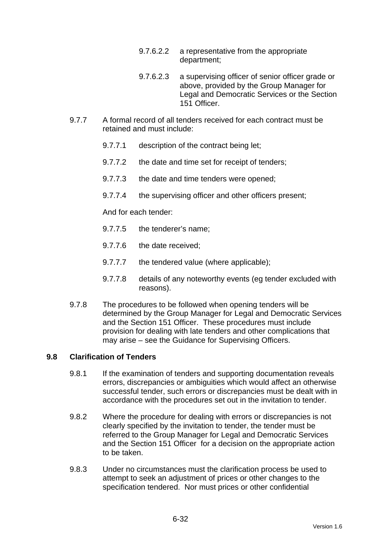- 9.7.6.2.2 a representative from the appropriate department;
- 9.7.6.2.3 a supervising officer of senior officer grade or above, provided by the Group Manager for Legal and Democratic Services or the Section 151 Officer.
- 9.7.7 A formal record of all tenders received for each contract must be retained and must include:
	- 9.7.7.1 description of the contract being let;
	- 9.7.7.2 the date and time set for receipt of tenders;
	- 9.7.7.3 the date and time tenders were opened;
	- 9.7.7.4 the supervising officer and other officers present;

And for each tender:

- 9.7.7.5 the tenderer's name;
- 9.7.7.6 the date received;
- 9.7.7.7 the tendered value (where applicable);
- 9.7.7.8 details of any noteworthy events (eg tender excluded with reasons).
- 9.7.8 The procedures to be followed when opening tenders will be determined by the Group Manager for Legal and Democratic Services and the Section 151 Officer. These procedures must include provision for dealing with late tenders and other complications that may arise – see the Guidance for Supervising Officers.

## **9.8 Clarification of Tenders**

- 9.8.1 If the examination of tenders and supporting documentation reveals errors, discrepancies or ambiguities which would affect an otherwise successful tender, such errors or discrepancies must be dealt with in accordance with the procedures set out in the invitation to tender.
- 9.8.2 Where the procedure for dealing with errors or discrepancies is not clearly specified by the invitation to tender, the tender must be referred to the Group Manager for Legal and Democratic Services and the Section 151 Officer for a decision on the appropriate action to be taken.
- 9.8.3 Under no circumstances must the clarification process be used to attempt to seek an adjustment of prices or other changes to the specification tendered. Nor must prices or other confidential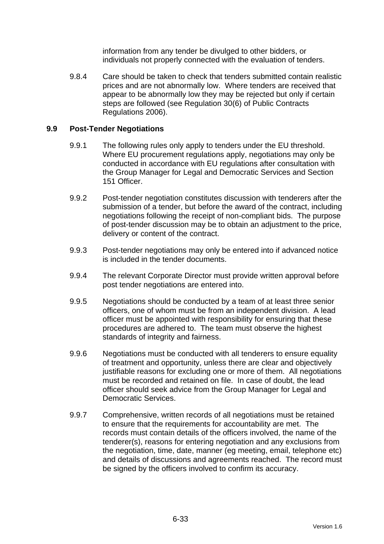information from any tender be divulged to other bidders, or individuals not properly connected with the evaluation of tenders.

9.8.4 Care should be taken to check that tenders submitted contain realistic prices and are not abnormally low. Where tenders are received that appear to be abnormally low they may be rejected but only if certain steps are followed (see Regulation 30(6) of Public Contracts Regulations 2006).

## **9.9 Post-Tender Negotiations**

- 9.9.1 The following rules only apply to tenders under the EU threshold. Where EU procurement regulations apply, negotiations may only be conducted in accordance with EU regulations after consultation with the Group Manager for Legal and Democratic Services and Section 151 Officer.
- 9.9.2 Post-tender negotiation constitutes discussion with tenderers after the submission of a tender, but before the award of the contract, including negotiations following the receipt of non-compliant bids. The purpose of post-tender discussion may be to obtain an adjustment to the price, delivery or content of the contract.
- 9.9.3 Post-tender negotiations may only be entered into if advanced notice is included in the tender documents.
- 9.9.4 The relevant Corporate Director must provide written approval before post tender negotiations are entered into.
- 9.9.5 Negotiations should be conducted by a team of at least three senior officers, one of whom must be from an independent division. A lead officer must be appointed with responsibility for ensuring that these procedures are adhered to. The team must observe the highest standards of integrity and fairness.
- 9.9.6 Negotiations must be conducted with all tenderers to ensure equality of treatment and opportunity, unless there are clear and objectively justifiable reasons for excluding one or more of them. All negotiations must be recorded and retained on file. In case of doubt, the lead officer should seek advice from the Group Manager for Legal and Democratic Services.
- 9.9.7 Comprehensive, written records of all negotiations must be retained to ensure that the requirements for accountability are met. The records must contain details of the officers involved, the name of the tenderer(s), reasons for entering negotiation and any exclusions from the negotiation, time, date, manner (eg meeting, email, telephone etc) and details of discussions and agreements reached. The record must be signed by the officers involved to confirm its accuracy.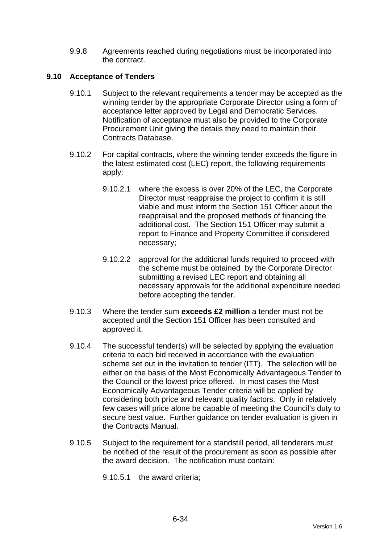9.9.8 Agreements reached during negotiations must be incorporated into the contract.

## **9.10 Acceptance of Tenders**

- 9.10.1 Subject to the relevant requirements a tender may be accepted as the winning tender by the appropriate Corporate Director using a form of acceptance letter approved by Legal and Democratic Services. Notification of acceptance must also be provided to the Corporate Procurement Unit giving the details they need to maintain their Contracts Database.
- 9.10.2 For capital contracts, where the winning tender exceeds the figure in the latest estimated cost (LEC) report, the following requirements apply:
	- 9.10.2.1 where the excess is over 20% of the LEC, the Corporate Director must reappraise the project to confirm it is still viable and must inform the Section 151 Officer about the reappraisal and the proposed methods of financing the additional cost. The Section 151 Officer may submit a report to Finance and Property Committee if considered necessary;
	- 9.10.2.2 approval for the additional funds required to proceed with the scheme must be obtained by the Corporate Director submitting a revised LEC report and obtaining all necessary approvals for the additional expenditure needed before accepting the tender.
- 9.10.3 Where the tender sum **exceeds £2 million** a tender must not be accepted until the Section 151 Officer has been consulted and approved it.
- 9.10.4 The successful tender(s) will be selected by applying the evaluation criteria to each bid received in accordance with the evaluation scheme set out in the invitation to tender (ITT). The selection will be either on the basis of the Most Economically Advantageous Tender to the Council or the lowest price offered. In most cases the Most Economically Advantageous Tender criteria will be applied by considering both price and relevant quality factors. Only in relatively few cases will price alone be capable of meeting the Council's duty to secure best value. Further guidance on tender evaluation is given in the Contracts Manual.
- 9.10.5 Subject to the requirement for a standstill period, all tenderers must be notified of the result of the procurement as soon as possible after the award decision. The notification must contain:

9.10.5.1 the award criteria;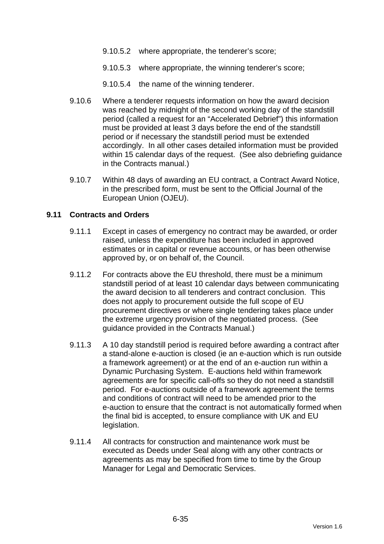- 9.10.5.2 where appropriate, the tenderer's score;
- 9.10.5.3 where appropriate, the winning tenderer's score;
- 9.10.5.4 the name of the winning tenderer.
- 9.10.6 Where a tenderer requests information on how the award decision was reached by midnight of the second working day of the standstill period (called a request for an "Accelerated Debrief") this information must be provided at least 3 days before the end of the standstill period or if necessary the standstill period must be extended accordingly. In all other cases detailed information must be provided within 15 calendar days of the request. (See also debriefing quidance in the Contracts manual.)
- 9.10.7 Within 48 days of awarding an EU contract, a Contract Award Notice, in the prescribed form, must be sent to the Official Journal of the European Union (OJEU).

#### **9.11 Contracts and Orders**

- 9.11.1 Except in cases of emergency no contract may be awarded, or order raised, unless the expenditure has been included in approved estimates or in capital or revenue accounts, or has been otherwise approved by, or on behalf of, the Council.
- 9.11.2 For contracts above the EU threshold, there must be a minimum standstill period of at least 10 calendar days between communicating the award decision to all tenderers and contract conclusion. This does not apply to procurement outside the full scope of EU procurement directives or where single tendering takes place under the extreme urgency provision of the negotiated process. (See guidance provided in the Contracts Manual.)
- 9.11.3 A 10 day standstill period is required before awarding a contract after a stand-alone e-auction is closed (ie an e-auction which is run outside a framework agreement) or at the end of an e-auction run within a Dynamic Purchasing System. E-auctions held within framework agreements are for specific call-offs so they do not need a standstill period. For e-auctions outside of a framework agreement the terms and conditions of contract will need to be amended prior to the e-auction to ensure that the contract is not automatically formed when the final bid is accepted, to ensure compliance with UK and EU legislation.
- 9.11.4 All contracts for construction and maintenance work must be executed as Deeds under Seal along with any other contracts or agreements as may be specified from time to time by the Group Manager for Legal and Democratic Services.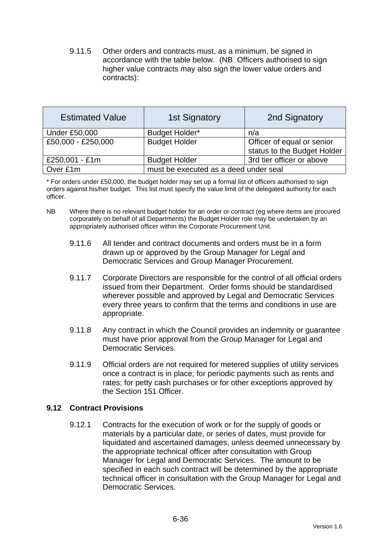9.11.5 Other orders and contracts must, as a minimum, be signed in accordance with the table below. (NB Officers authorised to sign higher value contracts may also sign the lower value orders and contracts):

| <b>Estimated Value</b> | <b>1st Signatory</b>                  | 2nd Signatory               |  |
|------------------------|---------------------------------------|-----------------------------|--|
| <b>Under £50,000</b>   | Budget Holder*                        | n/a                         |  |
| £50,000 - £250,000     | <b>Budget Holder</b>                  | Officer of equal or senior  |  |
|                        |                                       | status to the Budget Holder |  |
| £250,001 - £1m         | <b>Budget Holder</b>                  | 3rd tier officer or above   |  |
| Over £1m               | must be executed as a deed under seal |                             |  |

\* For orders under £50,000, the budget holder may set up a formal list of officers authorised to sign orders against his/her budget. This list must specify the value limit of the delegated authority for each officer.

- NB Where there is no relevant budget holder for an order or contract (eg where items are procured corporately on behalf of all Departments) the Budget Holder role may be undertaken by an appropriately authorised officer within the Corporate Procurement Unit.
	- 9.11.6 All tender and contract documents and orders must be in a form drawn up or approved by the Group Manager for Legal and Democratic Services and Group Manager Procurement.
	- 9.11.7 Corporate Directors are responsible for the control of all official orders issued from their Department. Order forms should be standardised wherever possible and approved by Legal and Democratic Services every three years to confirm that the terms and conditions in use are appropriate.
	- 9.11.8 Any contract in which the Council provides an indemnity or guarantee must have prior approval from the Group Manager for Legal and Democratic Services.
	- 9.11.9 Official orders are not required for metered supplies of utility services once a contract is in place; for periodic payments such as rents and rates; for petty cash purchases or for other exceptions approved by the Section 151 Officer.

## **9.12 Contract Provisions**

9.12.1 Contracts for the execution of work or for the supply of goods or materials by a particular date, or series of dates, must provide for liquidated and ascertained damages, unless deemed unnecessary by the appropriate technical officer after consultation with Group Manager for Legal and Democratic Services. The amount to be specified in each such contract will be determined by the appropriate technical officer in consultation with the Group Manager for Legal and Democratic Services.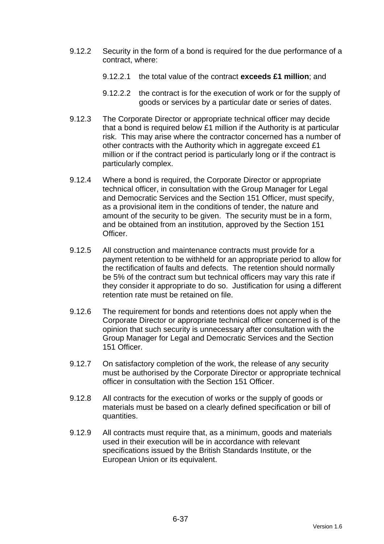- 9.12.2 Security in the form of a bond is required for the due performance of a contract, where:
	- 9.12.2.1 the total value of the contract **exceeds £1 million**; and
	- 9.12.2.2 the contract is for the execution of work or for the supply of goods or services by a particular date or series of dates.
- 9.12.3 The Corporate Director or appropriate technical officer may decide that a bond is required below £1 million if the Authority is at particular risk. This may arise where the contractor concerned has a number of other contracts with the Authority which in aggregate exceed £1 million or if the contract period is particularly long or if the contract is particularly complex.
- 9.12.4 Where a bond is required, the Corporate Director or appropriate technical officer, in consultation with the Group Manager for Legal and Democratic Services and the Section 151 Officer, must specify, as a provisional item in the conditions of tender, the nature and amount of the security to be given. The security must be in a form, and be obtained from an institution, approved by the Section 151 Officer.
- 9.12.5 All construction and maintenance contracts must provide for a payment retention to be withheld for an appropriate period to allow for the rectification of faults and defects. The retention should normally be 5% of the contract sum but technical officers may vary this rate if they consider it appropriate to do so. Justification for using a different retention rate must be retained on file.
- 9.12.6 The requirement for bonds and retentions does not apply when the Corporate Director or appropriate technical officer concerned is of the opinion that such security is unnecessary after consultation with the Group Manager for Legal and Democratic Services and the Section 151 Officer.
- 9.12.7 On satisfactory completion of the work, the release of any security must be authorised by the Corporate Director or appropriate technical officer in consultation with the Section 151 Officer.
- 9.12.8 All contracts for the execution of works or the supply of goods or materials must be based on a clearly defined specification or bill of quantities.
- 9.12.9 All contracts must require that, as a minimum, goods and materials used in their execution will be in accordance with relevant specifications issued by the British Standards Institute, or the European Union or its equivalent.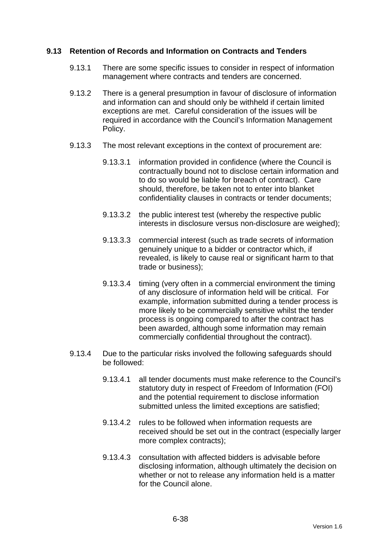## **9.13 Retention of Records and Information on Contracts and Tenders**

- 9.13.1 There are some specific issues to consider in respect of information management where contracts and tenders are concerned.
- 9.13.2 There is a general presumption in favour of disclosure of information and information can and should only be withheld if certain limited exceptions are met. Careful consideration of the issues will be required in accordance with the Council's Information Management Policy.
- 9.13.3 The most relevant exceptions in the context of procurement are:
	- 9.13.3.1 information provided in confidence (where the Council is contractually bound not to disclose certain information and to do so would be liable for breach of contract). Care should, therefore, be taken not to enter into blanket confidentiality clauses in contracts or tender documents;
	- 9.13.3.2 the public interest test (whereby the respective public interests in disclosure versus non-disclosure are weighed);
	- 9.13.3.3 commercial interest (such as trade secrets of information genuinely unique to a bidder or contractor which, if revealed, is likely to cause real or significant harm to that trade or business);
	- 9.13.3.4 timing (very often in a commercial environment the timing of any disclosure of information held will be critical. For example, information submitted during a tender process is more likely to be commercially sensitive whilst the tender process is ongoing compared to after the contract has been awarded, although some information may remain commercially confidential throughout the contract).
- 9.13.4 Due to the particular risks involved the following safeguards should be followed:
	- 9.13.4.1 all tender documents must make reference to the Council's statutory duty in respect of Freedom of Information (FOI) and the potential requirement to disclose information submitted unless the limited exceptions are satisfied;
	- 9.13.4.2 rules to be followed when information requests are received should be set out in the contract (especially larger more complex contracts);
	- 9.13.4.3 consultation with affected bidders is advisable before disclosing information, although ultimately the decision on whether or not to release any information held is a matter for the Council alone.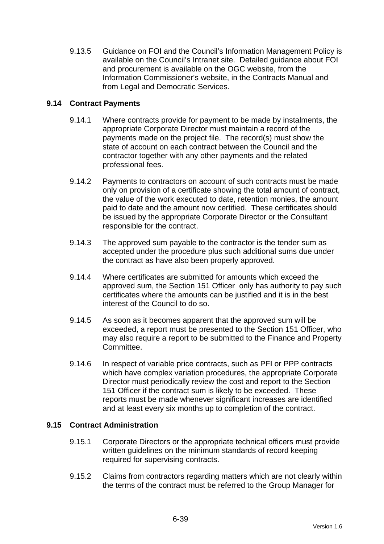9.13.5 Guidance on FOI and the Council's Information Management Policy is available on the Council's Intranet site. Detailed guidance about FOI and procurement is available on the OGC website, from the Information Commissioner's website, in the Contracts Manual and from Legal and Democratic Services.

## **9.14 Contract Payments**

- 9.14.1 Where contracts provide for payment to be made by instalments, the appropriate Corporate Director must maintain a record of the payments made on the project file. The record(s) must show the state of account on each contract between the Council and the contractor together with any other payments and the related professional fees.
- 9.14.2 Payments to contractors on account of such contracts must be made only on provision of a certificate showing the total amount of contract, the value of the work executed to date, retention monies, the amount paid to date and the amount now certified. These certificates should be issued by the appropriate Corporate Director or the Consultant responsible for the contract.
- 9.14.3 The approved sum payable to the contractor is the tender sum as accepted under the procedure plus such additional sums due under the contract as have also been properly approved.
- 9.14.4 Where certificates are submitted for amounts which exceed the approved sum, the Section 151 Officer only has authority to pay such certificates where the amounts can be justified and it is in the best interest of the Council to do so.
- 9.14.5 As soon as it becomes apparent that the approved sum will be exceeded, a report must be presented to the Section 151 Officer, who may also require a report to be submitted to the Finance and Property Committee.
- 9.14.6 In respect of variable price contracts, such as PFI or PPP contracts which have complex variation procedures, the appropriate Corporate Director must periodically review the cost and report to the Section 151 Officer if the contract sum is likely to be exceeded. These reports must be made whenever significant increases are identified and at least every six months up to completion of the contract.

#### **9.15 Contract Administration**

- 9.15.1 Corporate Directors or the appropriate technical officers must provide written guidelines on the minimum standards of record keeping required for supervising contracts.
- 9.15.2 Claims from contractors regarding matters which are not clearly within the terms of the contract must be referred to the Group Manager for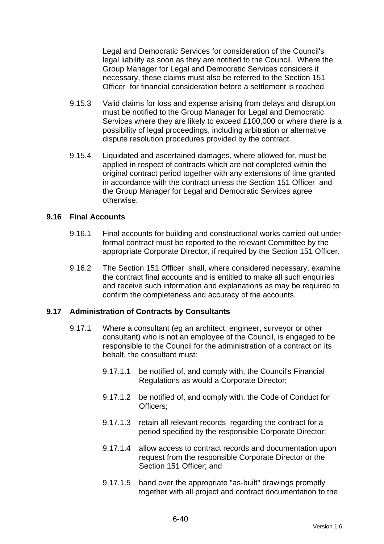Legal and Democratic Services for consideration of the Council's legal liability as soon as they are notified to the Council. Where the Group Manager for Legal and Democratic Services considers it necessary, these claims must also be referred to the Section 151 Officer for financial consideration before a settlement is reached.

- 9.15.3 Valid claims for loss and expense arising from delays and disruption must be notified to the Group Manager for Legal and Democratic Services where they are likely to exceed £100,000 or where there is a possibility of legal proceedings, including arbitration or alternative dispute resolution procedures provided by the contract.
- 9.15.4 Liquidated and ascertained damages, where allowed for, must be applied in respect of contracts which are not completed within the original contract period together with any extensions of time granted in accordance with the contract unless the Section 151 Officer and the Group Manager for Legal and Democratic Services agree otherwise.

#### **9.16 Final Accounts**

- 9.16.1 Final accounts for building and constructional works carried out under formal contract must be reported to the relevant Committee by the appropriate Corporate Director, if required by the Section 151 Officer.
- 9.16.2 The Section 151 Officer shall, where considered necessary, examine the contract final accounts and is entitled to make all such enquiries and receive such information and explanations as may be required to confirm the completeness and accuracy of the accounts.

#### **9.17 Administration of Contracts by Consultants**

- 9.17.1 Where a consultant (eg an architect, engineer, surveyor or other consultant) who is not an employee of the Council, is engaged to be responsible to the Council for the administration of a contract on its behalf, the consultant must:
	- 9.17.1.1 be notified of, and comply with, the Council's Financial Regulations as would a Corporate Director;
	- 9.17.1.2 be notified of, and comply with, the Code of Conduct for Officers;
	- 9.17.1.3 retain all relevant records regarding the contract for a period specified by the responsible Corporate Director;
	- 9.17.1.4 allow access to contract records and documentation upon request from the responsible Corporate Director or the Section 151 Officer: and
	- 9.17.1.5 hand over the appropriate "as-built" drawings promptly together with all project and contract documentation to the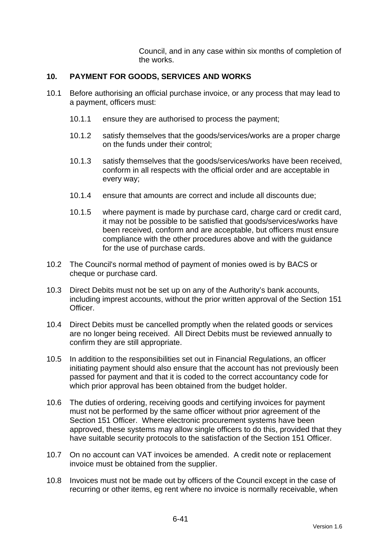Council, and in any case within six months of completion of the works.

## **10. PAYMENT FOR GOODS, SERVICES AND WORKS**

- 10.1 Before authorising an official purchase invoice, or any process that may lead to a payment, officers must:
	- 10.1.1 ensure they are authorised to process the payment;
	- 10.1.2 satisfy themselves that the goods/services/works are a proper charge on the funds under their control;
	- 10.1.3 satisfy themselves that the goods/services/works have been received, conform in all respects with the official order and are acceptable in every way;
	- 10.1.4 ensure that amounts are correct and include all discounts due;
	- 10.1.5 where payment is made by purchase card, charge card or credit card, it may not be possible to be satisfied that goods/services/works have been received, conform and are acceptable, but officers must ensure compliance with the other procedures above and with the guidance for the use of purchase cards.
- 10.2 The Council's normal method of payment of monies owed is by BACS or cheque or purchase card.
- 10.3 Direct Debits must not be set up on any of the Authority's bank accounts, including imprest accounts, without the prior written approval of the Section 151 Officer.
- 10.4 Direct Debits must be cancelled promptly when the related goods or services are no longer being received. All Direct Debits must be reviewed annually to confirm they are still appropriate.
- 10.5 In addition to the responsibilities set out in Financial Regulations, an officer initiating payment should also ensure that the account has not previously been passed for payment and that it is coded to the correct accountancy code for which prior approval has been obtained from the budget holder.
- 10.6 The duties of ordering, receiving goods and certifying invoices for payment must not be performed by the same officer without prior agreement of the Section 151 Officer. Where electronic procurement systems have been approved, these systems may allow single officers to do this, provided that they have suitable security protocols to the satisfaction of the Section 151 Officer.
- 10.7 On no account can VAT invoices be amended. A credit note or replacement invoice must be obtained from the supplier.
- 10.8 Invoices must not be made out by officers of the Council except in the case of recurring or other items, eg rent where no invoice is normally receivable, when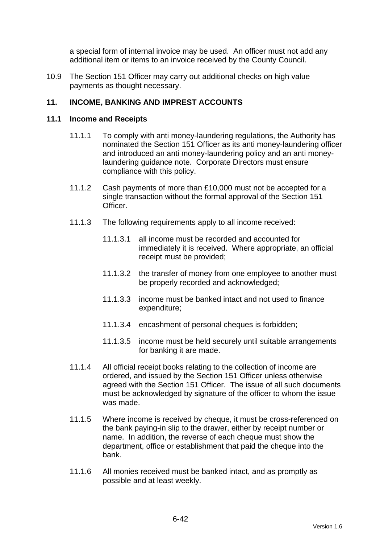a special form of internal invoice may be used. An officer must not add any additional item or items to an invoice received by the County Council.

10.9 The Section 151 Officer may carry out additional checks on high value payments as thought necessary.

## **11. INCOME, BANKING AND IMPREST ACCOUNTS**

#### **11.1 Income and Receipts**

- 11.1.1 To comply with anti money-laundering regulations, the Authority has nominated the Section 151 Officer as its anti money-laundering officer and introduced an anti money-laundering policy and an anti moneylaundering guidance note. Corporate Directors must ensure compliance with this policy.
- 11.1.2 Cash payments of more than £10,000 must not be accepted for a single transaction without the formal approval of the Section 151 Officer.
- 11.1.3 The following requirements apply to all income received:
	- 11.1.3.1 all income must be recorded and accounted for immediately it is received. Where appropriate, an official receipt must be provided;
	- 11.1.3.2 the transfer of money from one employee to another must be properly recorded and acknowledged;
	- 11.1.3.3 income must be banked intact and not used to finance expenditure;
	- 11.1.3.4 encashment of personal cheques is forbidden;
	- 11.1.3.5 income must be held securely until suitable arrangements for banking it are made.
- 11.1.4 All official receipt books relating to the collection of income are ordered, and issued by the Section 151 Officer unless otherwise agreed with the Section 151 Officer. The issue of all such documents must be acknowledged by signature of the officer to whom the issue was made.
- 11.1.5 Where income is received by cheque, it must be cross-referenced on the bank paying-in slip to the drawer, either by receipt number or name. In addition, the reverse of each cheque must show the department, office or establishment that paid the cheque into the bank.
- 11.1.6 All monies received must be banked intact, and as promptly as possible and at least weekly.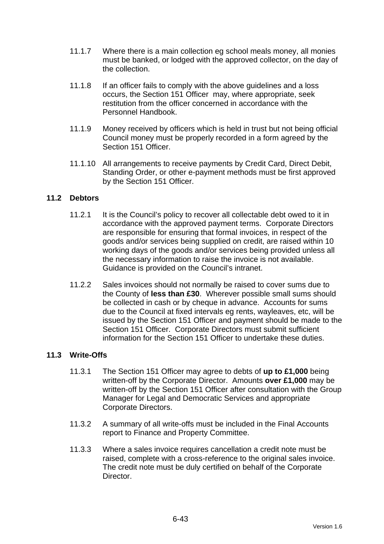- 11.1.7 Where there is a main collection eg school meals money, all monies must be banked, or lodged with the approved collector, on the day of the collection.
- 11.1.8 If an officer fails to comply with the above guidelines and a loss occurs, the Section 151 Officer may, where appropriate, seek restitution from the officer concerned in accordance with the Personnel Handbook.
- 11.1.9 Money received by officers which is held in trust but not being official Council money must be properly recorded in a form agreed by the Section 151 Officer
- 11.1.10 All arrangements to receive payments by Credit Card, Direct Debit, Standing Order, or other e-payment methods must be first approved by the Section 151 Officer.

## **11.2 Debtors**

- 11.2.1 It is the Council's policy to recover all collectable debt owed to it in accordance with the approved payment terms. Corporate Directors are responsible for ensuring that formal invoices, in respect of the goods and/or services being supplied on credit, are raised within 10 working days of the goods and/or services being provided unless all the necessary information to raise the invoice is not available. Guidance is provided on the Council's intranet.
- 11.2.2 Sales invoices should not normally be raised to cover sums due to the County of **less than £30**. Wherever possible small sums should be collected in cash or by cheque in advance. Accounts for sums due to the Council at fixed intervals eg rents, wayleaves, etc, will be issued by the Section 151 Officer and payment should be made to the Section 151 Officer. Corporate Directors must submit sufficient information for the Section 151 Officer to undertake these duties.

#### **11.3 Write-Offs**

- 11.3.1 The Section 151 Officer may agree to debts of **up to £1,000** being written-off by the Corporate Director. Amounts **over £1,000** may be written-off by the Section 151 Officer after consultation with the Group Manager for Legal and Democratic Services and appropriate Corporate Directors.
- 11.3.2 A summary of all write-offs must be included in the Final Accounts report to Finance and Property Committee.
- 11.3.3 Where a sales invoice requires cancellation a credit note must be raised, complete with a cross-reference to the original sales invoice. The credit note must be duly certified on behalf of the Corporate Director.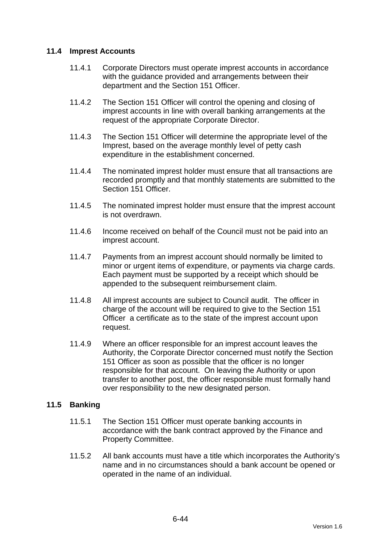## **11.4 Imprest Accounts**

- 11.4.1 Corporate Directors must operate imprest accounts in accordance with the guidance provided and arrangements between their department and the Section 151 Officer.
- 11.4.2 The Section 151 Officer will control the opening and closing of imprest accounts in line with overall banking arrangements at the request of the appropriate Corporate Director.
- 11.4.3 The Section 151 Officer will determine the appropriate level of the Imprest, based on the average monthly level of petty cash expenditure in the establishment concerned.
- 11.4.4 The nominated imprest holder must ensure that all transactions are recorded promptly and that monthly statements are submitted to the Section 151 Officer.
- 11.4.5 The nominated imprest holder must ensure that the imprest account is not overdrawn.
- 11.4.6 Income received on behalf of the Council must not be paid into an imprest account.
- 11.4.7 Payments from an imprest account should normally be limited to minor or urgent items of expenditure, or payments via charge cards. Each payment must be supported by a receipt which should be appended to the subsequent reimbursement claim.
- 11.4.8 All imprest accounts are subject to Council audit. The officer in charge of the account will be required to give to the Section 151 Officer a certificate as to the state of the imprest account upon request.
- 11.4.9 Where an officer responsible for an imprest account leaves the Authority, the Corporate Director concerned must notify the Section 151 Officer as soon as possible that the officer is no longer responsible for that account. On leaving the Authority or upon transfer to another post, the officer responsible must formally hand over responsibility to the new designated person.

#### **11.5 Banking**

- 11.5.1 The Section 151 Officer must operate banking accounts in accordance with the bank contract approved by the Finance and Property Committee.
- 11.5.2 All bank accounts must have a title which incorporates the Authority's name and in no circumstances should a bank account be opened or operated in the name of an individual.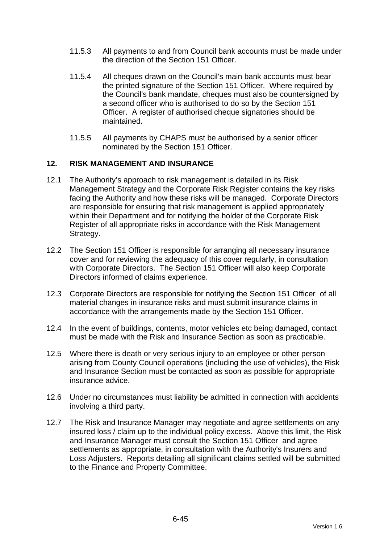- 11.5.3 All payments to and from Council bank accounts must be made under the direction of the Section 151 Officer.
- 11.5.4 All cheques drawn on the Council's main bank accounts must bear the printed signature of the Section 151 Officer. Where required by the Council's bank mandate, cheques must also be countersigned by a second officer who is authorised to do so by the Section 151 Officer. A register of authorised cheque signatories should be maintained.
- 11.5.5 All payments by CHAPS must be authorised by a senior officer nominated by the Section 151 Officer.

## **12. RISK MANAGEMENT AND INSURANCE**

- 12.1 The Authority's approach to risk management is detailed in its Risk Management Strategy and the Corporate Risk Register contains the key risks facing the Authority and how these risks will be managed. Corporate Directors are responsible for ensuring that risk management is applied appropriately within their Department and for notifying the holder of the Corporate Risk Register of all appropriate risks in accordance with the Risk Management Strategy.
- 12.2 The Section 151 Officer is responsible for arranging all necessary insurance cover and for reviewing the adequacy of this cover regularly, in consultation with Corporate Directors. The Section 151 Officer will also keep Corporate Directors informed of claims experience.
- 12.3 Corporate Directors are responsible for notifying the Section 151 Officer of all material changes in insurance risks and must submit insurance claims in accordance with the arrangements made by the Section 151 Officer.
- 12.4 In the event of buildings, contents, motor vehicles etc being damaged, contact must be made with the Risk and Insurance Section as soon as practicable.
- 12.5 Where there is death or very serious injury to an employee or other person arising from County Council operations (including the use of vehicles), the Risk and Insurance Section must be contacted as soon as possible for appropriate insurance advice.
- 12.6 Under no circumstances must liability be admitted in connection with accidents involving a third party.
- 12.7 The Risk and Insurance Manager may negotiate and agree settlements on any insured loss / claim up to the individual policy excess. Above this limit, the Risk and Insurance Manager must consult the Section 151 Officer and agree settlements as appropriate, in consultation with the Authority's Insurers and Loss Adjusters. Reports detailing all significant claims settled will be submitted to the Finance and Property Committee.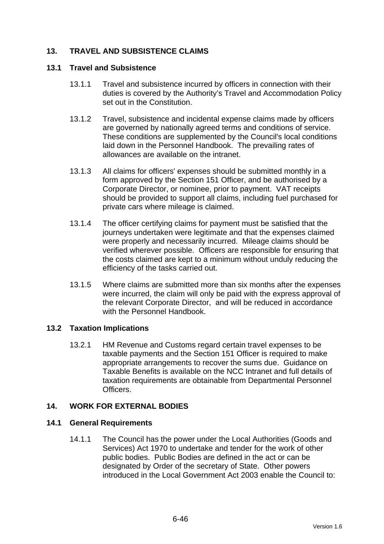## **13. TRAVEL AND SUBSISTENCE CLAIMS**

#### **13.1 Travel and Subsistence**

- 13.1.1 Travel and subsistence incurred by officers in connection with their duties is covered by the Authority's Travel and Accommodation Policy set out in the Constitution.
- 13.1.2 Travel, subsistence and incidental expense claims made by officers are governed by nationally agreed terms and conditions of service. These conditions are supplemented by the Council's local conditions laid down in the Personnel Handbook. The prevailing rates of allowances are available on the intranet.
- 13.1.3 All claims for officers' expenses should be submitted monthly in a form approved by the Section 151 Officer, and be authorised by a Corporate Director, or nominee, prior to payment. VAT receipts should be provided to support all claims, including fuel purchased for private cars where mileage is claimed.
- 13.1.4 The officer certifying claims for payment must be satisfied that the journeys undertaken were legitimate and that the expenses claimed were properly and necessarily incurred. Mileage claims should be verified wherever possible. Officers are responsible for ensuring that the costs claimed are kept to a minimum without unduly reducing the efficiency of the tasks carried out.
- 13.1.5 Where claims are submitted more than six months after the expenses were incurred, the claim will only be paid with the express approval of the relevant Corporate Director, and will be reduced in accordance with the Personnel Handbook.

#### **13.2 Taxation Implications**

13.2.1 HM Revenue and Customs regard certain travel expenses to be taxable payments and the Section 151 Officer is required to make appropriate arrangements to recover the sums due. Guidance on Taxable Benefits is available on the NCC Intranet and full details of taxation requirements are obtainable from Departmental Personnel **Officers** 

#### **14. WORK FOR EXTERNAL BODIES**

#### **14.1 General Requirements**

14.1.1 The Council has the power under the Local Authorities (Goods and Services) Act 1970 to undertake and tender for the work of other public bodies. Public Bodies are defined in the act or can be designated by Order of the secretary of State. Other powers introduced in the Local Government Act 2003 enable the Council to: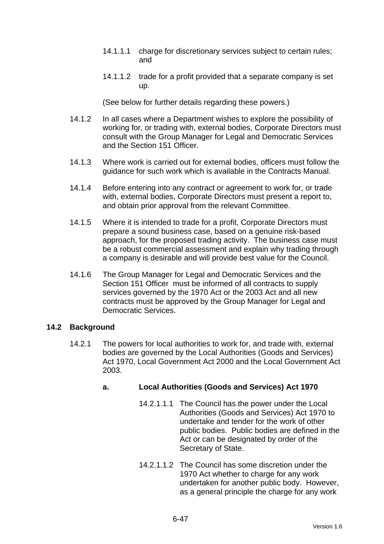- 14.1.1.1 charge for discretionary services subject to certain rules; and
- 14.1.1.2 trade for a profit provided that a separate company is set up.

(See below for further details regarding these powers.)

- 14.1.2 In all cases where a Department wishes to explore the possibility of working for, or trading with, external bodies, Corporate Directors must consult with the Group Manager for Legal and Democratic Services and the Section 151 Officer.
- 14.1.3 Where work is carried out for external bodies, officers must follow the guidance for such work which is available in the Contracts Manual.
- 14.1.4 Before entering into any contract or agreement to work for, or trade with, external bodies, Corporate Directors must present a report to, and obtain prior approval from the relevant Committee.
- 14.1.5 Where it is intended to trade for a profit, Corporate Directors must prepare a sound business case, based on a genuine risk-based approach, for the proposed trading activity. The business case must be a robust commercial assessment and explain why trading through a company is desirable and will provide best value for the Council.
- 14.1.6 The Group Manager for Legal and Democratic Services and the Section 151 Officer must be informed of all contracts to supply services governed by the 1970 Act or the 2003 Act and all new contracts must be approved by the Group Manager for Legal and Democratic Services.

#### **14.2 Background**

14.2.1 The powers for local authorities to work for, and trade with, external bodies are governed by the Local Authorities (Goods and Services) Act 1970, Local Government Act 2000 and the Local Government Act 2003.

## **a. Local Authorities (Goods and Services) Act 1970**

- 14.2.1.1.1 The Council has the power under the Local Authorities (Goods and Services) Act 1970 to undertake and tender for the work of other public bodies. Public bodies are defined in the Act or can be designated by order of the Secretary of State.
- 14.2.1.1.2 The Council has some discretion under the 1970 Act whether to charge for any work undertaken for another public body. However, as a general principle the charge for any work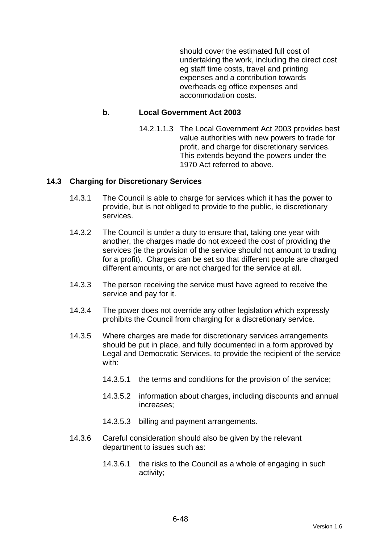should cover the estimated full cost of undertaking the work, including the direct cost eg staff time costs, travel and printing expenses and a contribution towards overheads eg office expenses and accommodation costs.

#### **b. Local Government Act 2003**

14.2.1.1.3 The Local Government Act 2003 provides best value authorities with new powers to trade for profit, and charge for discretionary services. This extends beyond the powers under the 1970 Act referred to above.

#### **14.3 Charging for Discretionary Services**

- 14.3.1 The Council is able to charge for services which it has the power to provide, but is not obliged to provide to the public, ie discretionary services.
- 14.3.2 The Council is under a duty to ensure that, taking one year with another, the charges made do not exceed the cost of providing the services (ie the provision of the service should not amount to trading for a profit). Charges can be set so that different people are charged different amounts, or are not charged for the service at all.
- 14.3.3 The person receiving the service must have agreed to receive the service and pay for it.
- 14.3.4 The power does not override any other legislation which expressly prohibits the Council from charging for a discretionary service.
- 14.3.5 Where charges are made for discretionary services arrangements should be put in place, and fully documented in a form approved by Legal and Democratic Services, to provide the recipient of the service with:
	- 14.3.5.1 the terms and conditions for the provision of the service;
	- 14.3.5.2 information about charges, including discounts and annual increases;
	- 14.3.5.3 billing and payment arrangements.
- 14.3.6 Careful consideration should also be given by the relevant department to issues such as:
	- 14.3.6.1 the risks to the Council as a whole of engaging in such activity;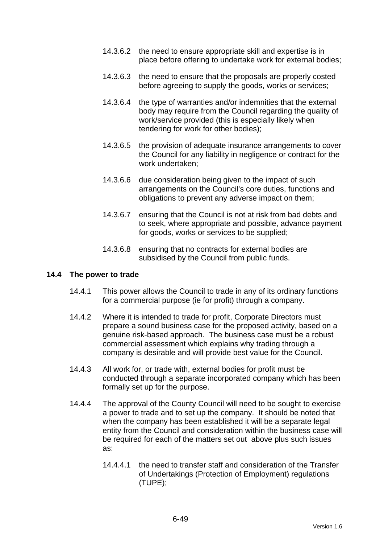- 14.3.6.2 the need to ensure appropriate skill and expertise is in place before offering to undertake work for external bodies;
- 14.3.6.3 the need to ensure that the proposals are properly costed before agreeing to supply the goods, works or services;
- 14.3.6.4 the type of warranties and/or indemnities that the external body may require from the Council regarding the quality of work/service provided (this is especially likely when tendering for work for other bodies);
- 14.3.6.5 the provision of adequate insurance arrangements to cover the Council for any liability in negligence or contract for the work undertaken;
- 14.3.6.6 due consideration being given to the impact of such arrangements on the Council's core duties, functions and obligations to prevent any adverse impact on them;
- 14.3.6.7 ensuring that the Council is not at risk from bad debts and to seek, where appropriate and possible, advance payment for goods, works or services to be supplied;
- 14.3.6.8 ensuring that no contracts for external bodies are subsidised by the Council from public funds.

#### **14.4 The power to trade**

- 14.4.1 This power allows the Council to trade in any of its ordinary functions for a commercial purpose (ie for profit) through a company.
- 14.4.2 Where it is intended to trade for profit, Corporate Directors must prepare a sound business case for the proposed activity, based on a genuine risk-based approach. The business case must be a robust commercial assessment which explains why trading through a company is desirable and will provide best value for the Council.
- 14.4.3 All work for, or trade with, external bodies for profit must be conducted through a separate incorporated company which has been formally set up for the purpose.
- 14.4.4 The approval of the County Council will need to be sought to exercise a power to trade and to set up the company. It should be noted that when the company has been established it will be a separate legal entity from the Council and consideration within the business case will be required for each of the matters set out above plus such issues as:
	- 14.4.4.1 the need to transfer staff and consideration of the Transfer of Undertakings (Protection of Employment) regulations (TUPE);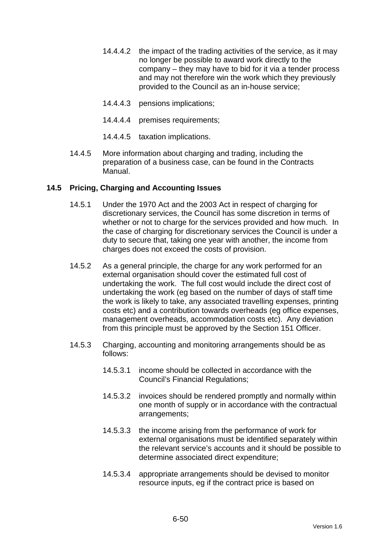- 14.4.4.2 the impact of the trading activities of the service, as it may no longer be possible to award work directly to the company – they may have to bid for it via a tender process and may not therefore win the work which they previously provided to the Council as an in-house service;
- 14.4.4.3 pensions implications;
- 14.4.4.4 premises requirements;
- 14.4.4.5 taxation implications.
- 14.4.5 More information about charging and trading, including the preparation of a business case, can be found in the Contracts Manual.

## **14.5 Pricing, Charging and Accounting Issues**

- 14.5.1 Under the 1970 Act and the 2003 Act in respect of charging for discretionary services, the Council has some discretion in terms of whether or not to charge for the services provided and how much. In the case of charging for discretionary services the Council is under a duty to secure that, taking one year with another, the income from charges does not exceed the costs of provision.
- 14.5.2 As a general principle, the charge for any work performed for an external organisation should cover the estimated full cost of undertaking the work. The full cost would include the direct cost of undertaking the work (eg based on the number of days of staff time the work is likely to take, any associated travelling expenses, printing costs etc) and a contribution towards overheads (eg office expenses, management overheads, accommodation costs etc). Any deviation from this principle must be approved by the Section 151 Officer.
- 14.5.3 Charging, accounting and monitoring arrangements should be as follows:
	- 14.5.3.1 income should be collected in accordance with the Council's Financial Regulations;
	- 14.5.3.2 invoices should be rendered promptly and normally within one month of supply or in accordance with the contractual arrangements;
	- 14.5.3.3 the income arising from the performance of work for external organisations must be identified separately within the relevant service's accounts and it should be possible to determine associated direct expenditure;
	- 14.5.3.4 appropriate arrangements should be devised to monitor resource inputs, eg if the contract price is based on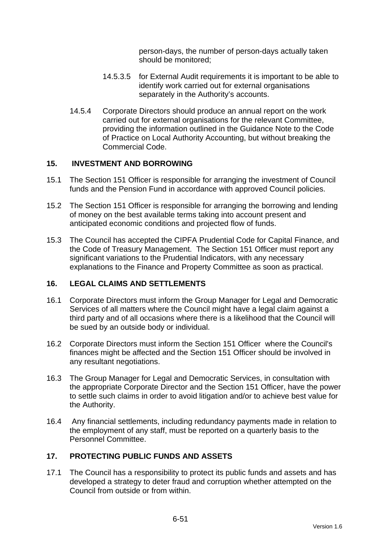person-days, the number of person-days actually taken should be monitored;

- 14.5.3.5 for External Audit requirements it is important to be able to identify work carried out for external organisations separately in the Authority's accounts.
- 14.5.4 Corporate Directors should produce an annual report on the work carried out for external organisations for the relevant Committee, providing the information outlined in the Guidance Note to the Code of Practice on Local Authority Accounting, but without breaking the Commercial Code.

## **15. INVESTMENT AND BORROWING**

- 15.1 The Section 151 Officer is responsible for arranging the investment of Council funds and the Pension Fund in accordance with approved Council policies.
- 15.2 The Section 151 Officer is responsible for arranging the borrowing and lending of money on the best available terms taking into account present and anticipated economic conditions and projected flow of funds.
- 15.3 The Council has accepted the CIPFA Prudential Code for Capital Finance, and the Code of Treasury Management. The Section 151 Officer must report any significant variations to the Prudential Indicators, with any necessary explanations to the Finance and Property Committee as soon as practical.

#### **16. LEGAL CLAIMS AND SETTLEMENTS**

- 16.1 Corporate Directors must inform the Group Manager for Legal and Democratic Services of all matters where the Council might have a legal claim against a third party and of all occasions where there is a likelihood that the Council will be sued by an outside body or individual.
- 16.2 Corporate Directors must inform the Section 151 Officer where the Council's finances might be affected and the Section 151 Officer should be involved in any resultant negotiations.
- 16.3 The Group Manager for Legal and Democratic Services, in consultation with the appropriate Corporate Director and the Section 151 Officer, have the power to settle such claims in order to avoid litigation and/or to achieve best value for the Authority.
- 16.4 Any financial settlements, including redundancy payments made in relation to the employment of any staff, must be reported on a quarterly basis to the Personnel Committee.

## **17. PROTECTING PUBLIC FUNDS AND ASSETS**

17.1 The Council has a responsibility to protect its public funds and assets and has developed a strategy to deter fraud and corruption whether attempted on the Council from outside or from within.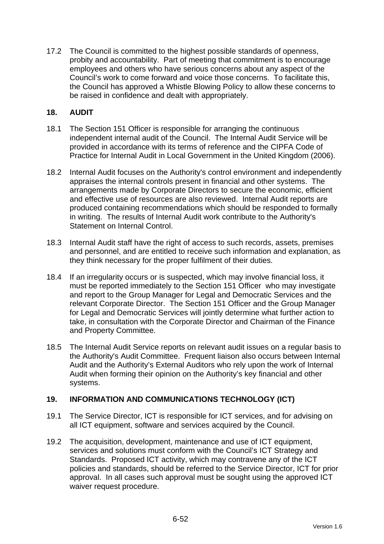17.2 The Council is committed to the highest possible standards of openness, probity and accountability. Part of meeting that commitment is to encourage employees and others who have serious concerns about any aspect of the Council's work to come forward and voice those concerns. To facilitate this, the Council has approved a Whistle Blowing Policy to allow these concerns to be raised in confidence and dealt with appropriately.

## **18. AUDIT**

- 18.1 The Section 151 Officer is responsible for arranging the continuous independent internal audit of the Council. The Internal Audit Service will be provided in accordance with its terms of reference and the CIPFA Code of Practice for Internal Audit in Local Government in the United Kingdom (2006).
- 18.2 Internal Audit focuses on the Authority's control environment and independently appraises the internal controls present in financial and other systems. The arrangements made by Corporate Directors to secure the economic, efficient and effective use of resources are also reviewed. Internal Audit reports are produced containing recommendations which should be responded to formally in writing. The results of Internal Audit work contribute to the Authority's Statement on Internal Control.
- 18.3 Internal Audit staff have the right of access to such records, assets, premises and personnel, and are entitled to receive such information and explanation, as they think necessary for the proper fulfilment of their duties.
- 18.4 If an irregularity occurs or is suspected, which may involve financial loss, it must be reported immediately to the Section 151 Officer who may investigate and report to the Group Manager for Legal and Democratic Services and the relevant Corporate Director. The Section 151 Officer and the Group Manager for Legal and Democratic Services will jointly determine what further action to take, in consultation with the Corporate Director and Chairman of the Finance and Property Committee.
- 18.5 The Internal Audit Service reports on relevant audit issues on a regular basis to the Authority's Audit Committee. Frequent liaison also occurs between Internal Audit and the Authority's External Auditors who rely upon the work of Internal Audit when forming their opinion on the Authority's key financial and other systems.

## **19. INFORMATION AND COMMUNICATIONS TECHNOLOGY (ICT)**

- 19.1 The Service Director, ICT is responsible for ICT services, and for advising on all ICT equipment, software and services acquired by the Council.
- 19.2 The acquisition, development, maintenance and use of ICT equipment, services and solutions must conform with the Council's ICT Strategy and Standards. Proposed ICT activity, which may contravene any of the ICT policies and standards, should be referred to the Service Director, ICT for prior approval. In all cases such approval must be sought using the approved ICT waiver request procedure.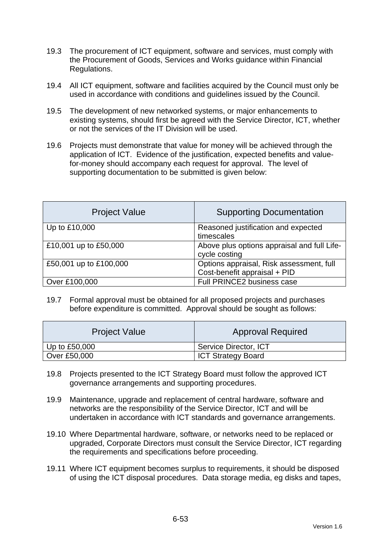- 19.3 The procurement of ICT equipment, software and services, must comply with the Procurement of Goods, Services and Works guidance within Financial Regulations.
- 19.4 All ICT equipment, software and facilities acquired by the Council must only be used in accordance with conditions and guidelines issued by the Council.
- 19.5 The development of new networked systems, or major enhancements to existing systems, should first be agreed with the Service Director, ICT, whether or not the services of the IT Division will be used.
- 19.6 Projects must demonstrate that value for money will be achieved through the application of ICT. Evidence of the justification, expected benefits and valuefor-money should accompany each request for approval. The level of supporting documentation to be submitted is given below:

| <b>Project Value</b>   | <b>Supporting Documentation</b>                                          |
|------------------------|--------------------------------------------------------------------------|
| Up to £10,000          | Reasoned justification and expected<br>timescales                        |
| £10,001 up to £50,000  | Above plus options appraisal and full Life-<br>cycle costing             |
| £50,001 up to £100,000 | Options appraisal, Risk assessment, full<br>Cost-benefit appraisal + PID |
| Over £100,000          | Full PRINCE2 business case                                               |

19.7 Formal approval must be obtained for all proposed projects and purchases before expenditure is committed. Approval should be sought as follows:

| <b>Project Value</b> | <b>Approval Required</b>  |
|----------------------|---------------------------|
| Up to $£50,000$      | Service Director, ICT     |
| Over £50,000         | <b>ICT Strategy Board</b> |

- 19.8 Projects presented to the ICT Strategy Board must follow the approved ICT governance arrangements and supporting procedures.
- 19.9 Maintenance, upgrade and replacement of central hardware, software and networks are the responsibility of the Service Director, ICT and will be undertaken in accordance with ICT standards and governance arrangements.
- 19.10 Where Departmental hardware, software, or networks need to be replaced or upgraded, Corporate Directors must consult the Service Director, ICT regarding the requirements and specifications before proceeding.
- 19.11 Where ICT equipment becomes surplus to requirements, it should be disposed of using the ICT disposal procedures. Data storage media, eg disks and tapes,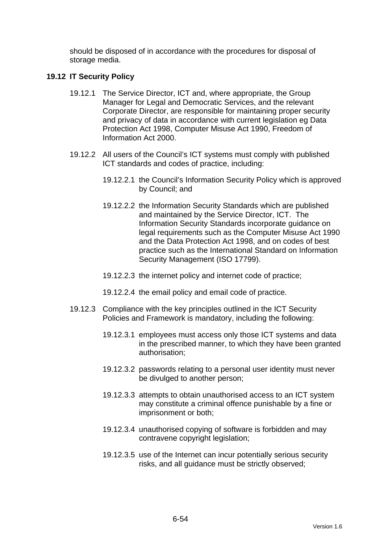should be disposed of in accordance with the procedures for disposal of storage media.

## **19.12 IT Security Policy**

- 19.12.1 The Service Director, ICT and, where appropriate, the Group Manager for Legal and Democratic Services, and the relevant Corporate Director, are responsible for maintaining proper security and privacy of data in accordance with current legislation eg Data Protection Act 1998, Computer Misuse Act 1990, Freedom of Information Act 2000.
- 19.12.2 All users of the Council's ICT systems must comply with published ICT standards and codes of practice, including:
	- 19.12.2.1 the Council's Information Security Policy which is approved by Council; and
	- 19.12.2.2 the Information Security Standards which are published and maintained by the Service Director, ICT. The Information Security Standards incorporate guidance on legal requirements such as the Computer Misuse Act 1990 and the Data Protection Act 1998, and on codes of best practice such as the International Standard on Information Security Management (ISO 17799).
	- 19.12.2.3 the internet policy and internet code of practice;
	- 19.12.2.4 the email policy and email code of practice.
- 19.12.3 Compliance with the key principles outlined in the ICT Security Policies and Framework is mandatory, including the following:
	- 19.12.3.1 employees must access only those ICT systems and data in the prescribed manner, to which they have been granted authorisation;
	- 19.12.3.2 passwords relating to a personal user identity must never be divulged to another person;
	- 19.12.3.3 attempts to obtain unauthorised access to an ICT system may constitute a criminal offence punishable by a fine or imprisonment or both;
	- 19.12.3.4 unauthorised copying of software is forbidden and may contravene copyright legislation;
	- 19.12.3.5 use of the Internet can incur potentially serious security risks, and all guidance must be strictly observed;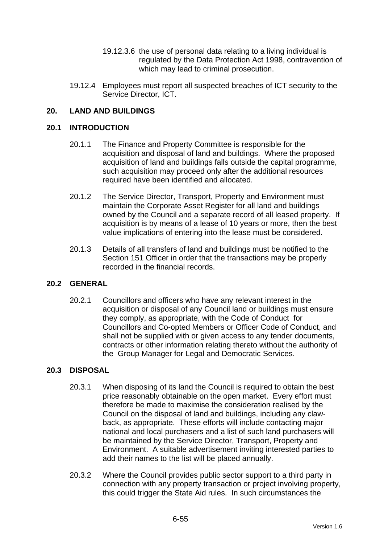- 19.12.3.6 the use of personal data relating to a living individual is regulated by the Data Protection Act 1998, contravention of which may lead to criminal prosecution.
- 19.12.4 Employees must report all suspected breaches of ICT security to the Service Director, ICT.

## **20. LAND AND BUILDINGS**

#### **20.1 INTRODUCTION**

- 20.1.1 The Finance and Property Committee is responsible for the acquisition and disposal of land and buildings. Where the proposed acquisition of land and buildings falls outside the capital programme, such acquisition may proceed only after the additional resources required have been identified and allocated.
- 20.1.2 The Service Director, Transport, Property and Environment must maintain the Corporate Asset Register for all land and buildings owned by the Council and a separate record of all leased property. If acquisition is by means of a lease of 10 years or more, then the best value implications of entering into the lease must be considered.
- 20.1.3 Details of all transfers of land and buildings must be notified to the Section 151 Officer in order that the transactions may be properly recorded in the financial records.

#### **20.2 GENERAL**

20.2.1 Councillors and officers who have any relevant interest in the acquisition or disposal of any Council land or buildings must ensure they comply, as appropriate, with the Code of Conduct for Councillors and Co-opted Members or Officer Code of Conduct, and shall not be supplied with or given access to any tender documents, contracts or other information relating thereto without the authority of the Group Manager for Legal and Democratic Services.

#### **20.3 DISPOSAL**

- 20.3.1 When disposing of its land the Council is required to obtain the best price reasonably obtainable on the open market. Every effort must therefore be made to maximise the consideration realised by the Council on the disposal of land and buildings, including any clawback, as appropriate. These efforts will include contacting major national and local purchasers and a list of such land purchasers will be maintained by the Service Director, Transport, Property and Environment. A suitable advertisement inviting interested parties to add their names to the list will be placed annually.
- 20.3.2 Where the Council provides public sector support to a third party in connection with any property transaction or project involving property, this could trigger the State Aid rules. In such circumstances the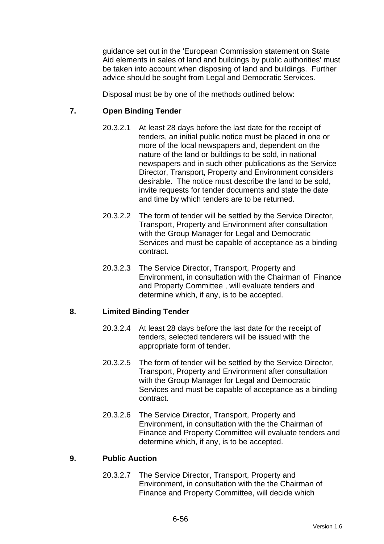guidance set out in the 'European Commission statement on State Aid elements in sales of land and buildings by public authorities' must be taken into account when disposing of land and buildings. Further advice should be sought from Legal and Democratic Services.

Disposal must be by one of the methods outlined below:

## **7. Open Binding Tender**

- 20.3.2.1 At least 28 days before the last date for the receipt of tenders, an initial public notice must be placed in one or more of the local newspapers and, dependent on the nature of the land or buildings to be sold, in national newspapers and in such other publications as the Service Director, Transport, Property and Environment considers desirable. The notice must describe the land to be sold, invite requests for tender documents and state the date and time by which tenders are to be returned.
- 20.3.2.2 The form of tender will be settled by the Service Director, Transport, Property and Environment after consultation with the Group Manager for Legal and Democratic Services and must be capable of acceptance as a binding contract.
- 20.3.2.3 The Service Director, Transport, Property and Environment, in consultation with the Chairman of Finance and Property Committee , will evaluate tenders and determine which, if any, is to be accepted.

#### **8. Limited Binding Tender**

- 20.3.2.4 At least 28 days before the last date for the receipt of tenders, selected tenderers will be issued with the appropriate form of tender.
- 20.3.2.5 The form of tender will be settled by the Service Director, Transport, Property and Environment after consultation with the Group Manager for Legal and Democratic Services and must be capable of acceptance as a binding contract.
- 20.3.2.6 The Service Director, Transport, Property and Environment, in consultation with the the Chairman of Finance and Property Committee will evaluate tenders and determine which, if any, is to be accepted.

#### **9. Public Auction**

20.3.2.7 The Service Director, Transport, Property and Environment, in consultation with the the Chairman of Finance and Property Committee, will decide which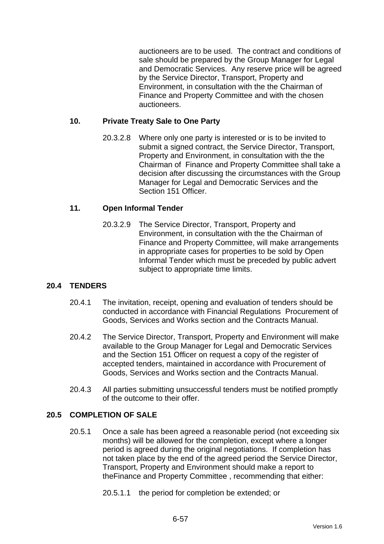auctioneers are to be used. The contract and conditions of sale should be prepared by the Group Manager for Legal and Democratic Services. Any reserve price will be agreed by the Service Director, Transport, Property and Environment, in consultation with the the Chairman of Finance and Property Committee and with the chosen auctioneers.

## **10. Private Treaty Sale to One Party**

20.3.2.8 Where only one party is interested or is to be invited to submit a signed contract, the Service Director, Transport, Property and Environment, in consultation with the the Chairman of Finance and Property Committee shall take a decision after discussing the circumstances with the Group Manager for Legal and Democratic Services and the Section 151 Officer.

## **11. Open Informal Tender**

20.3.2.9 The Service Director, Transport, Property and Environment, in consultation with the the Chairman of Finance and Property Committee, will make arrangements in appropriate cases for properties to be sold by Open Informal Tender which must be preceded by public advert subject to appropriate time limits.

## **20.4 TENDERS**

- 20.4.1 The invitation, receipt, opening and evaluation of tenders should be conducted in accordance with Financial Regulations Procurement of Goods, Services and Works section and the Contracts Manual.
- 20.4.2 The Service Director, Transport, Property and Environment will make available to the Group Manager for Legal and Democratic Services and the Section 151 Officer on request a copy of the register of accepted tenders, maintained in accordance with Procurement of Goods, Services and Works section and the Contracts Manual.
- 20.4.3 All parties submitting unsuccessful tenders must be notified promptly of the outcome to their offer.

#### **20.5 COMPLETION OF SALE**

20.5.1 Once a sale has been agreed a reasonable period (not exceeding six months) will be allowed for the completion, except where a longer period is agreed during the original negotiations. If completion has not taken place by the end of the agreed period the Service Director, Transport, Property and Environment should make a report to theFinance and Property Committee , recommending that either:

20.5.1.1 the period for completion be extended; or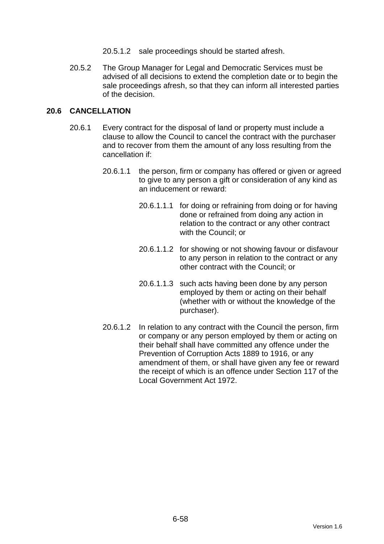- 20.5.1.2 sale proceedings should be started afresh.
- 20.5.2 The Group Manager for Legal and Democratic Services must be advised of all decisions to extend the completion date or to begin the sale proceedings afresh, so that they can inform all interested parties of the decision.

## **20.6 CANCELLATION**

- 20.6.1 Every contract for the disposal of land or property must include a clause to allow the Council to cancel the contract with the purchaser and to recover from them the amount of any loss resulting from the cancellation if:
	- 20.6.1.1 the person, firm or company has offered or given or agreed to give to any person a gift or consideration of any kind as an inducement or reward:
		- 20.6.1.1.1 for doing or refraining from doing or for having done or refrained from doing any action in relation to the contract or any other contract with the Council; or
		- 20.6.1.1.2 for showing or not showing favour or disfavour to any person in relation to the contract or any other contract with the Council; or
		- 20.6.1.1.3 such acts having been done by any person employed by them or acting on their behalf (whether with or without the knowledge of the purchaser).
	- 20.6.1.2 In relation to any contract with the Council the person, firm or company or any person employed by them or acting on their behalf shall have committed any offence under the Prevention of Corruption Acts 1889 to 1916, or any amendment of them, or shall have given any fee or reward the receipt of which is an offence under Section 117 of the Local Government Act 1972.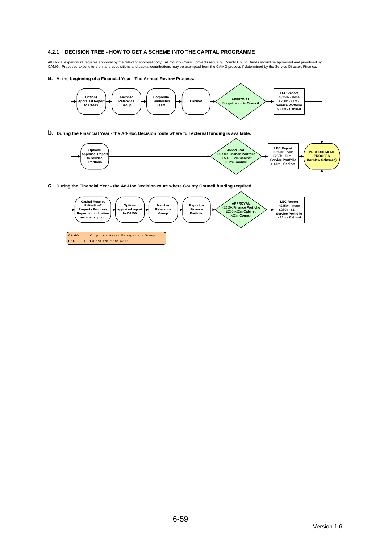#### **4.2.1 DECISION TREE - HOW TO GET A SCHEME INTO THE CAPITAL PROGRAMME**

All capital expenditure requires approval by the relevant approval body. All County Council projects requiring County Council funds should be appraised and prioritised by<br>CAMG. Proposed expenditure on land acquisitions an

#### **a. At the beginning of a Financial Year - The Annual Review Process.**

**LEC** = **L** atest **E** stimate **C** ost

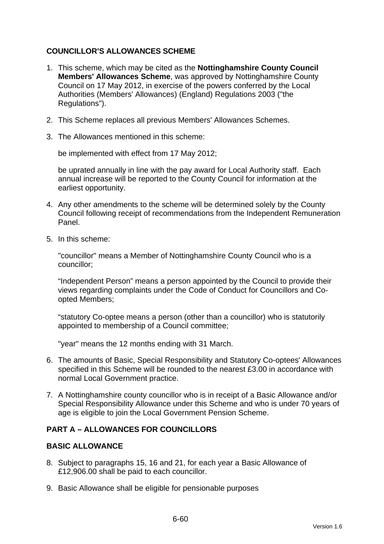## **COUNCILLOR'S ALLOWANCES SCHEME**

- 1. This scheme, which may be cited as the **Nottinghamshire County Council Members' Allowances Scheme**, was approved by Nottinghamshire County Council on 17 May 2012, in exercise of the powers conferred by the Local Authorities (Members' Allowances) (England) Regulations 2003 ("the Regulations").
- 2. This Scheme replaces all previous Members' Allowances Schemes.
- 3. The Allowances mentioned in this scheme:

be implemented with effect from 17 May 2012;

be uprated annually in line with the pay award for Local Authority staff. Each annual increase will be reported to the County Council for information at the earliest opportunity.

- 4. Any other amendments to the scheme will be determined solely by the County Council following receipt of recommendations from the Independent Remuneration Panel.
- 5. In this scheme:

"councillor" means a Member of Nottinghamshire County Council who is a councillor;

"Independent Person" means a person appointed by the Council to provide their views regarding complaints under the Code of Conduct for Councillors and Coopted Members;

"statutory Co-optee means a person (other than a councillor) who is statutorily appointed to membership of a Council committee;

"year" means the 12 months ending with 31 March.

- 6. The amounts of Basic, Special Responsibility and Statutory Co-optees' Allowances specified in this Scheme will be rounded to the nearest £3.00 in accordance with normal Local Government practice.
- 7. A Nottinghamshire county councillor who is in receipt of a Basic Allowance and/or Special Responsibility Allowance under this Scheme and who is under 70 years of age is eligible to join the Local Government Pension Scheme.

## **PART A – ALLOWANCES FOR COUNCILLORS**

#### **BASIC ALLOWANCE**

- 8. Subject to paragraphs 15, 16 and 21, for each year a Basic Allowance of £12,906.00 shall be paid to each councillor.
- 9. Basic Allowance shall be eligible for pensionable purposes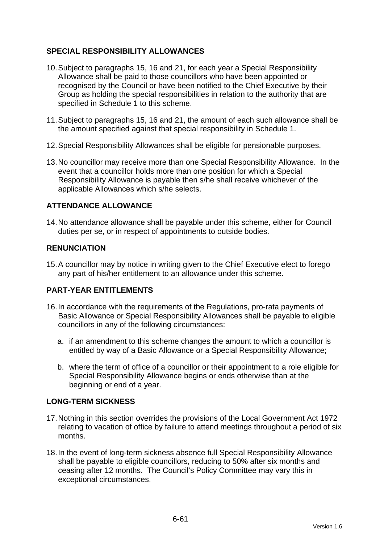## **SPECIAL RESPONSIBILITY ALLOWANCES**

- 10. Subject to paragraphs 15, 16 and 21, for each year a Special Responsibility Allowance shall be paid to those councillors who have been appointed or recognised by the Council or have been notified to the Chief Executive by their Group as holding the special responsibilities in relation to the authority that are specified in Schedule 1 to this scheme.
- 11. Subject to paragraphs 15, 16 and 21, the amount of each such allowance shall be the amount specified against that special responsibility in Schedule 1.
- 12. Special Responsibility Allowances shall be eligible for pensionable purposes.
- 13. No councillor may receive more than one Special Responsibility Allowance. In the event that a councillor holds more than one position for which a Special Responsibility Allowance is payable then s/he shall receive whichever of the applicable Allowances which s/he selects.

## **ATTENDANCE ALLOWANCE**

14. No attendance allowance shall be payable under this scheme, either for Council duties per se, or in respect of appointments to outside bodies.

## **RENUNCIATION**

15. A councillor may by notice in writing given to the Chief Executive elect to forego any part of his/her entitlement to an allowance under this scheme.

## **PART-YEAR ENTITLEMENTS**

- 16. In accordance with the requirements of the Regulations, pro-rata payments of Basic Allowance or Special Responsibility Allowances shall be payable to eligible councillors in any of the following circumstances:
	- a. if an amendment to this scheme changes the amount to which a councillor is entitled by way of a Basic Allowance or a Special Responsibility Allowance;
	- b. where the term of office of a councillor or their appointment to a role eligible for Special Responsibility Allowance begins or ends otherwise than at the beginning or end of a year.

## **LONG-TERM SICKNESS**

- 17. Nothing in this section overrides the provisions of the Local Government Act 1972 relating to vacation of office by failure to attend meetings throughout a period of six months.
- 18. In the event of long-term sickness absence full Special Responsibility Allowance shall be payable to eligible councillors, reducing to 50% after six months and ceasing after 12 months. The Council's Policy Committee may vary this in exceptional circumstances.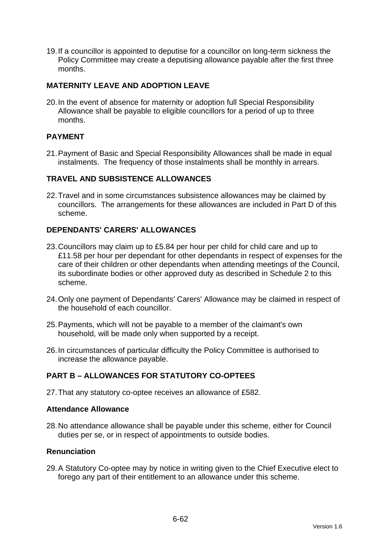19. If a councillor is appointed to deputise for a councillor on long-term sickness the Policy Committee may create a deputising allowance payable after the first three months.

## **MATERNITY LEAVE AND ADOPTION LEAVE**

20. In the event of absence for maternity or adoption full Special Responsibility Allowance shall be payable to eligible councillors for a period of up to three months.

## **PAYMENT**

21. Payment of Basic and Special Responsibility Allowances shall be made in equal instalments. The frequency of those instalments shall be monthly in arrears.

#### **TRAVEL AND SUBSISTENCE ALLOWANCES**

22. Travel and in some circumstances subsistence allowances may be claimed by councillors. The arrangements for these allowances are included in Part D of this scheme.

## **DEPENDANTS' CARERS' ALLOWANCES**

- 23. Councillors may claim up to £5.84 per hour per child for child care and up to £11.58 per hour per dependant for other dependants in respect of expenses for the care of their children or other dependants when attending meetings of the Council, its subordinate bodies or other approved duty as described in Schedule 2 to this scheme.
- 24. Only one payment of Dependants' Carers' Allowance may be claimed in respect of the household of each councillor.
- 25. Payments, which will not be payable to a member of the claimant's own household, will be made only when supported by a receipt.
- 26. In circumstances of particular difficulty the Policy Committee is authorised to increase the allowance payable.

## **PART B – ALLOWANCES FOR STATUTORY CO-OPTEES**

27. That any statutory co-optee receives an allowance of £582.

#### **Attendance Allowance**

28. No attendance allowance shall be payable under this scheme, either for Council duties per se, or in respect of appointments to outside bodies.

#### **Renunciation**

29. A Statutory Co-optee may by notice in writing given to the Chief Executive elect to forego any part of their entitlement to an allowance under this scheme.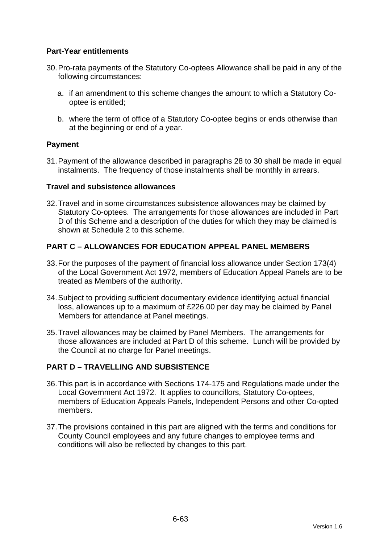## **Part-Year entitlements**

- 30. Pro-rata payments of the Statutory Co-optees Allowance shall be paid in any of the following circumstances:
	- a. if an amendment to this scheme changes the amount to which a Statutory Cooptee is entitled;
	- b. where the term of office of a Statutory Co-optee begins or ends otherwise than at the beginning or end of a year.

## **Payment**

31. Payment of the allowance described in paragraphs 28 to 30 shall be made in equal instalments. The frequency of those instalments shall be monthly in arrears.

#### **Travel and subsistence allowances**

32. Travel and in some circumstances subsistence allowances may be claimed by Statutory Co-optees. The arrangements for those allowances are included in Part D of this Scheme and a description of the duties for which they may be claimed is shown at Schedule 2 to this scheme.

## **PART C – ALLOWANCES FOR EDUCATION APPEAL PANEL MEMBERS**

- 33. For the purposes of the payment of financial loss allowance under Section 173(4) of the Local Government Act 1972, members of Education Appeal Panels are to be treated as Members of the authority.
- 34. Subject to providing sufficient documentary evidence identifying actual financial loss, allowances up to a maximum of £226.00 per day may be claimed by Panel Members for attendance at Panel meetings.
- 35. Travel allowances may be claimed by Panel Members. The arrangements for those allowances are included at Part D of this scheme. Lunch will be provided by the Council at no charge for Panel meetings.

## **PART D – TRAVELLING AND SUBSISTENCE**

- 36. This part is in accordance with Sections 174-175 and Regulations made under the Local Government Act 1972. It applies to councillors, Statutory Co-optees, members of Education Appeals Panels, Independent Persons and other Co-opted members.
- 37. The provisions contained in this part are aligned with the terms and conditions for County Council employees and any future changes to employee terms and conditions will also be reflected by changes to this part.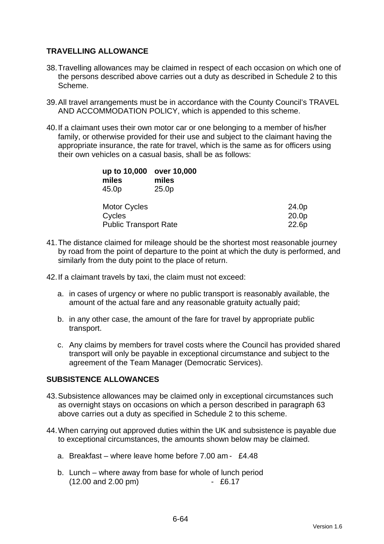## **TRAVELLING ALLOWANCE**

- 38. Travelling allowances may be claimed in respect of each occasion on which one of the persons described above carries out a duty as described in Schedule 2 to this Scheme.
- 39. All travel arrangements must be in accordance with the County Council's TRAVEL AND ACCOMMODATION POLICY, which is appended to this scheme.
- 40. If a claimant uses their own motor car or one belonging to a member of his/her family, or otherwise provided for their use and subject to the claimant having the appropriate insurance, the rate for travel, which is the same as for officers using their own vehicles on a casual basis, shall be as follows:

| up to 10,000<br>miles<br>45.0p | over 10,000<br>miles<br>25.0 <sub>p</sub> |                   |
|--------------------------------|-------------------------------------------|-------------------|
| <b>Motor Cycles</b>            |                                           | 24.0p             |
| Cycles                         |                                           | 20.0 <sub>p</sub> |
| <b>Public Transport Rate</b>   |                                           | 22.6p             |

- 41. The distance claimed for mileage should be the shortest most reasonable journey by road from the point of departure to the point at which the duty is performed, and similarly from the duty point to the place of return.
- 42. If a claimant travels by taxi, the claim must not exceed:
	- a. in cases of urgency or where no public transport is reasonably available, the amount of the actual fare and any reasonable gratuity actually paid;
	- b. in any other case, the amount of the fare for travel by appropriate public transport.
	- c. Any claims by members for travel costs where the Council has provided shared transport will only be payable in exceptional circumstance and subject to the agreement of the Team Manager (Democratic Services).

## **SUBSISTENCE ALLOWANCES**

- 43. Subsistence allowances may be claimed only in exceptional circumstances such as overnight stays on occasions on which a person described in paragraph 63 above carries out a duty as specified in Schedule 2 to this scheme.
- 44. When carrying out approved duties within the UK and subsistence is payable due to exceptional circumstances, the amounts shown below may be claimed.
	- a. Breakfast where leave home before 7.00 am £4.48
	- b. Lunch where away from base for whole of lunch period (12.00 and 2.00 pm) - £6.17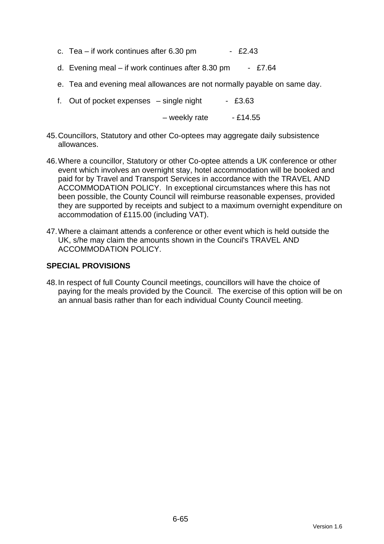- c. Tea if work continues after  $6.30 \text{ pm}$  £2.43
- d. Evening meal if work continues after 8.30 pm £7.64
- e. Tea and evening meal allowances are not normally payable on same day.
- f. Out of pocket expenses  $-$  single night  $-$  £3.63

 $-$  weekly rate  $-$  £14.55

- 45. Councillors, Statutory and other Co-optees may aggregate daily subsistence allowances.
- 46. Where a councillor, Statutory or other Co-optee attends a UK conference or other event which involves an overnight stay, hotel accommodation will be booked and paid for by Travel and Transport Services in accordance with the TRAVEL AND ACCOMMODATION POLICY. In exceptional circumstances where this has not been possible, the County Council will reimburse reasonable expenses, provided they are supported by receipts and subject to a maximum overnight expenditure on accommodation of £115.00 (including VAT).
- 47. Where a claimant attends a conference or other event which is held outside the UK, s/he may claim the amounts shown in the Council's TRAVEL AND ACCOMMODATION POLICY.

#### **SPECIAL PROVISIONS**

48. In respect of full County Council meetings, councillors will have the choice of paying for the meals provided by the Council. The exercise of this option will be on an annual basis rather than for each individual County Council meeting.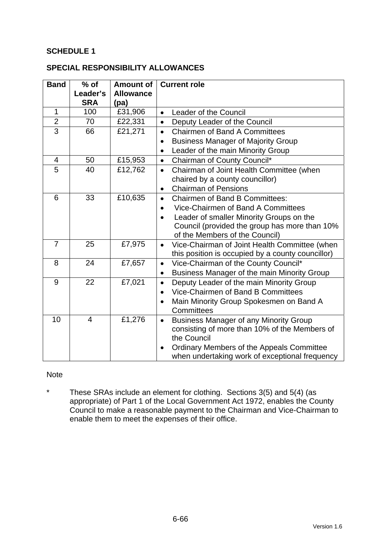## **SCHEDULE 1**

#### **SPECIAL RESPONSIBILITY ALLOWANCES**

| <b>Band</b>    | $%$ of                 | <b>Amount of</b>         | <b>Current role</b>                                        |  |
|----------------|------------------------|--------------------------|------------------------------------------------------------|--|
|                | Leader's<br><b>SRA</b> | <b>Allowance</b><br>(pa) |                                                            |  |
| $\mathbf{1}$   | 100                    | £31,906                  | Leader of the Council<br>$\bullet$                         |  |
| $\overline{2}$ | 70                     | £22,331                  | Deputy Leader of the Council<br>$\bullet$                  |  |
| $\overline{3}$ | 66                     | £21,271                  | <b>Chairmen of Band A Committees</b><br>$\bullet$          |  |
|                |                        |                          | <b>Business Manager of Majority Group</b><br>$\bullet$     |  |
|                |                        |                          | Leader of the main Minority Group                          |  |
| $\overline{4}$ | 50                     | £15,953                  | Chairman of County Council*<br>$\bullet$                   |  |
| 5              | 40                     | £12,762                  | Chairman of Joint Health Committee (when<br>$\bullet$      |  |
|                |                        |                          | chaired by a county councillor)                            |  |
|                |                        |                          | <b>Chairman of Pensions</b><br>$\bullet$                   |  |
| 6              | 33                     | £10,635                  | <b>Chairmen of Band B Committees:</b><br>$\bullet$         |  |
|                |                        |                          | Vice-Chairmen of Band A Committees                         |  |
|                |                        |                          | Leader of smaller Minority Groups on the<br>$\bullet$      |  |
|                |                        |                          | Council (provided the group has more than 10%              |  |
|                |                        |                          | of the Members of the Council)                             |  |
| $\overline{7}$ | 25                     | £7,975                   | Vice-Chairman of Joint Health Committee (when<br>$\bullet$ |  |
|                |                        |                          | this position is occupied by a county councillor)          |  |
| 8              | 24                     | £7,657                   | Vice-Chairman of the County Council*<br>$\bullet$          |  |
|                |                        |                          | Business Manager of the main Minority Group<br>$\bullet$   |  |
| 9              | 22                     | £7,021                   | Deputy Leader of the main Minority Group<br>$\bullet$      |  |
|                |                        |                          | Vice-Chairmen of Band B Committees<br>$\bullet$            |  |
|                |                        |                          | Main Minority Group Spokesmen on Band A                    |  |
|                |                        |                          | Committees                                                 |  |
| 10             | $\overline{4}$         | £1,276                   | <b>Business Manager of any Minority Group</b><br>$\bullet$ |  |
|                |                        |                          | consisting of more than 10% of the Members of              |  |
|                |                        |                          | the Council                                                |  |
|                |                        |                          | Ordinary Members of the Appeals Committee<br>$\bullet$     |  |
|                |                        |                          | when undertaking work of exceptional frequency             |  |

#### Note

\* These SRAs include an element for clothing. Sections 3(5) and 5(4) (as appropriate) of Part 1 of the Local Government Act 1972, enables the County Council to make a reasonable payment to the Chairman and Vice-Chairman to enable them to meet the expenses of their office.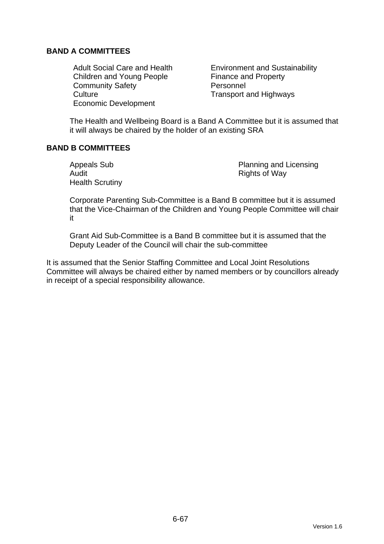## **BAND A COMMITTEES**

Children and Young People Finance and Property Community Safety **Personnel** Culture Culture **Transport and Highways** Economic Development

Adult Social Care and Health **Environment and Sustainability** 

The Health and Wellbeing Board is a Band A Committee but it is assumed that it will always be chaired by the holder of an existing SRA

## **BAND B COMMITTEES**

Audit **Audit** Rights of Way Health Scrutiny

Appeals Sub **Planning and Licensing** 

Corporate Parenting Sub-Committee is a Band B committee but it is assumed that the Vice-Chairman of the Children and Young People Committee will chair it

Grant Aid Sub-Committee is a Band B committee but it is assumed that the Deputy Leader of the Council will chair the sub-committee

It is assumed that the Senior Staffing Committee and Local Joint Resolutions Committee will always be chaired either by named members or by councillors already in receipt of a special responsibility allowance.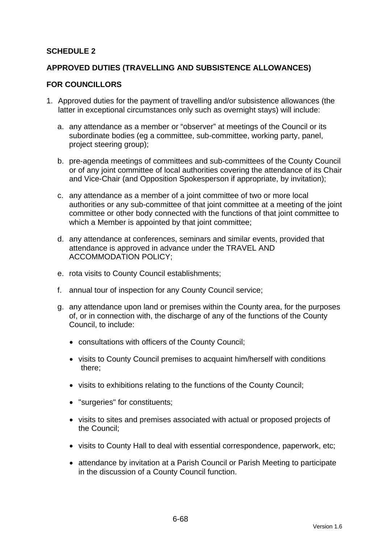## **SCHEDULE 2**

#### **APPROVED DUTIES (TRAVELLING AND SUBSISTENCE ALLOWANCES)**

#### **FOR COUNCILLORS**

- 1. Approved duties for the payment of travelling and/or subsistence allowances (the latter in exceptional circumstances only such as overnight stays) will include:
	- a. any attendance as a member or "observer" at meetings of the Council or its subordinate bodies (eg a committee, sub-committee, working party, panel, project steering group);
	- b. pre-agenda meetings of committees and sub-committees of the County Council or of any joint committee of local authorities covering the attendance of its Chair and Vice-Chair (and Opposition Spokesperson if appropriate, by invitation);
	- c. any attendance as a member of a joint committee of two or more local authorities or any sub-committee of that joint committee at a meeting of the joint committee or other body connected with the functions of that joint committee to which a Member is appointed by that joint committee;
	- d. any attendance at conferences, seminars and similar events, provided that attendance is approved in advance under the TRAVEL AND ACCOMMODATION POLICY;
	- e. rota visits to County Council establishments;
	- f. annual tour of inspection for any County Council service;
	- g. any attendance upon land or premises within the County area, for the purposes of, or in connection with, the discharge of any of the functions of the County Council, to include:
		- consultations with officers of the County Council;
		- visits to County Council premises to acquaint him/herself with conditions there;
		- visits to exhibitions relating to the functions of the County Council;
		- "surgeries" for constituents;
		- visits to sites and premises associated with actual or proposed projects of the Council;
		- visits to County Hall to deal with essential correspondence, paperwork, etc;
		- attendance by invitation at a Parish Council or Parish Meeting to participate in the discussion of a County Council function.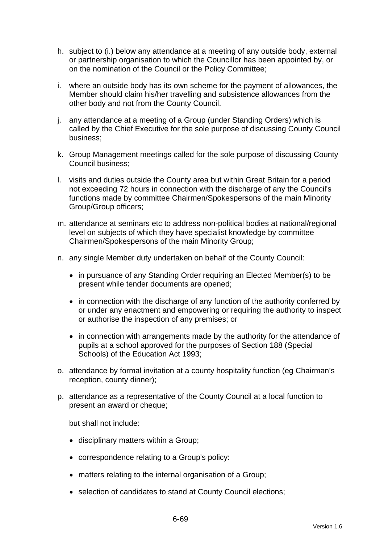- h. subject to (i.) below any attendance at a meeting of any outside body, external or partnership organisation to which the Councillor has been appointed by, or on the nomination of the Council or the Policy Committee;
- i. where an outside body has its own scheme for the payment of allowances, the Member should claim his/her travelling and subsistence allowances from the other body and not from the County Council.
- j. any attendance at a meeting of a Group (under Standing Orders) which is called by the Chief Executive for the sole purpose of discussing County Council business;
- k. Group Management meetings called for the sole purpose of discussing County Council business;
- l. visits and duties outside the County area but within Great Britain for a period not exceeding 72 hours in connection with the discharge of any the Council's functions made by committee Chairmen/Spokespersons of the main Minority Group/Group officers;
- m. attendance at seminars etc to address non-political bodies at national/regional level on subjects of which they have specialist knowledge by committee Chairmen/Spokespersons of the main Minority Group;
- n. any single Member duty undertaken on behalf of the County Council:
	- in pursuance of any Standing Order requiring an Elected Member(s) to be present while tender documents are opened;
	- in connection with the discharge of any function of the authority conferred by or under any enactment and empowering or requiring the authority to inspect or authorise the inspection of any premises; or
	- in connection with arrangements made by the authority for the attendance of pupils at a school approved for the purposes of Section 188 (Special Schools) of the Education Act 1993;
- o. attendance by formal invitation at a county hospitality function (eg Chairman's reception, county dinner);
- p. attendance as a representative of the County Council at a local function to present an award or cheque;

but shall not include:

- disciplinary matters within a Group;
- correspondence relating to a Group's policy:
- matters relating to the internal organisation of a Group;
- selection of candidates to stand at County Council elections;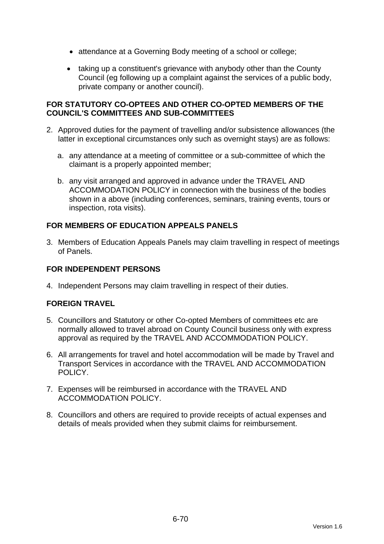- attendance at a Governing Body meeting of a school or college;
- taking up a constituent's grievance with anybody other than the County Council (eg following up a complaint against the services of a public body, private company or another council).

## **FOR STATUTORY CO-OPTEES AND OTHER CO-OPTED MEMBERS OF THE COUNCIL'S COMMITTEES AND SUB-COMMITTEES**

- 2. Approved duties for the payment of travelling and/or subsistence allowances (the latter in exceptional circumstances only such as overnight stays) are as follows:
	- a. any attendance at a meeting of committee or a sub-committee of which the claimant is a properly appointed member;
	- b. any visit arranged and approved in advance under the TRAVEL AND ACCOMMODATION POLICY in connection with the business of the bodies shown in a above (including conferences, seminars, training events, tours or inspection, rota visits).

## **FOR MEMBERS OF EDUCATION APPEALS PANELS**

3. Members of Education Appeals Panels may claim travelling in respect of meetings of Panels.

## **FOR INDEPENDENT PERSONS**

4. Independent Persons may claim travelling in respect of their duties.

## **FOREIGN TRAVEL**

- 5. Councillors and Statutory or other Co-opted Members of committees etc are normally allowed to travel abroad on County Council business only with express approval as required by the TRAVEL AND ACCOMMODATION POLICY.
- 6. All arrangements for travel and hotel accommodation will be made by Travel and Transport Services in accordance with the TRAVEL AND ACCOMMODATION POLICY.
- 7. Expenses will be reimbursed in accordance with the TRAVEL AND ACCOMMODATION POLICY.
- 8. Councillors and others are required to provide receipts of actual expenses and details of meals provided when they submit claims for reimbursement.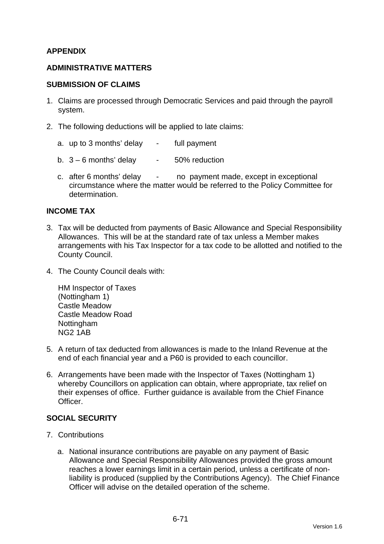## **APPENDIX**

#### **ADMINISTRATIVE MATTERS**

#### **SUBMISSION OF CLAIMS**

- 1. Claims are processed through Democratic Services and paid through the payroll system.
- 2. The following deductions will be applied to late claims:
	- a. up to 3 months' delay full payment
	- b.  $3 6$  months' delay  $-50\%$  reduction
	- c. after 6 months' delay no payment made, except in exceptional circumstance where the matter would be referred to the Policy Committee for determination.

#### **INCOME TAX**

- 3. Tax will be deducted from payments of Basic Allowance and Special Responsibility Allowances. This will be at the standard rate of tax unless a Member makes arrangements with his Tax Inspector for a tax code to be allotted and notified to the County Council.
- 4. The County Council deals with:

HM Inspector of Taxes (Nottingham 1) Castle Meadow Castle Meadow Road Nottingham NG2 1AB

- 5. A return of tax deducted from allowances is made to the Inland Revenue at the end of each financial year and a P60 is provided to each councillor.
- 6. Arrangements have been made with the Inspector of Taxes (Nottingham 1) whereby Councillors on application can obtain, where appropriate, tax relief on their expenses of office. Further guidance is available from the Chief Finance Officer.

#### **SOCIAL SECURITY**

- 7. Contributions
	- a. National insurance contributions are payable on any payment of Basic Allowance and Special Responsibility Allowances provided the gross amount reaches a lower earnings limit in a certain period, unless a certificate of nonliability is produced (supplied by the Contributions Agency). The Chief Finance Officer will advise on the detailed operation of the scheme.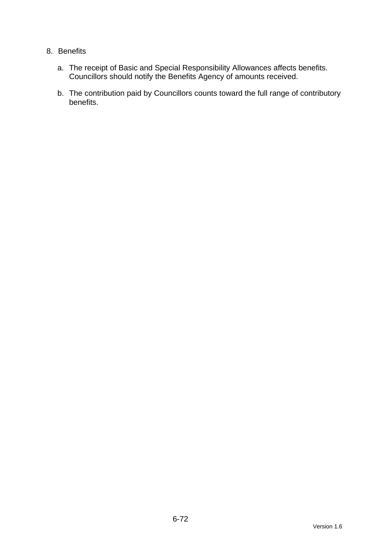## 8. Benefits

- a. The receipt of Basic and Special Responsibility Allowances affects benefits. Councillors should notify the Benefits Agency of amounts received.
- b. The contribution paid by Councillors counts toward the full range of contributory benefits.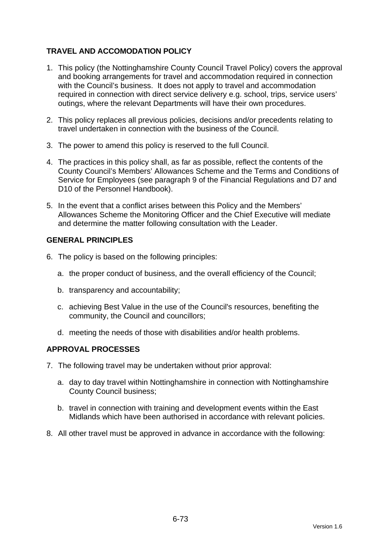# **TRAVEL AND ACCOMODATION POLICY**

- 1. This policy (the Nottinghamshire County Council Travel Policy) covers the approval and booking arrangements for travel and accommodation required in connection with the Council's business. It does not apply to travel and accommodation required in connection with direct service delivery e.g. school, trips, service users' outings, where the relevant Departments will have their own procedures.
- 2. This policy replaces all previous policies, decisions and/or precedents relating to travel undertaken in connection with the business of the Council.
- 3. The power to amend this policy is reserved to the full Council.
- 4. The practices in this policy shall, as far as possible, reflect the contents of the County Council's Members' Allowances Scheme and the Terms and Conditions of Service for Employees (see paragraph 9 of the Financial Regulations and D7 and D10 of the Personnel Handbook).
- 5. In the event that a conflict arises between this Policy and the Members' Allowances Scheme the Monitoring Officer and the Chief Executive will mediate and determine the matter following consultation with the Leader.

#### **GENERAL PRINCIPLES**

- 6. The policy is based on the following principles:
	- a. the proper conduct of business, and the overall efficiency of the Council;
	- b. transparency and accountability;
	- c. achieving Best Value in the use of the Council's resources, benefiting the community, the Council and councillors;
	- d. meeting the needs of those with disabilities and/or health problems.

#### **APPROVAL PROCESSES**

- 7. The following travel may be undertaken without prior approval:
	- a. day to day travel within Nottinghamshire in connection with Nottinghamshire County Council business;
	- b. travel in connection with training and development events within the East Midlands which have been authorised in accordance with relevant policies.
- 8. All other travel must be approved in advance in accordance with the following: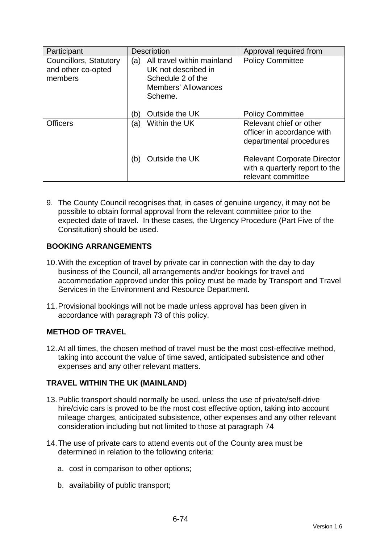| Participant                                             | <b>Description</b>                                                                                                     | Approval required from                                                                     |
|---------------------------------------------------------|------------------------------------------------------------------------------------------------------------------------|--------------------------------------------------------------------------------------------|
| Councillors, Statutory<br>and other co-opted<br>members | All travel within mainland<br>(a)<br>UK not described in<br>Schedule 2 of the<br><b>Members' Allowances</b><br>Scheme. | <b>Policy Committee</b>                                                                    |
|                                                         | Outside the UK<br>(b)                                                                                                  | <b>Policy Committee</b>                                                                    |
| <b>Officers</b>                                         | Within the UK<br>(a)                                                                                                   | Relevant chief or other<br>officer in accordance with<br>departmental procedures           |
|                                                         | Outside the UK<br>(b)                                                                                                  | <b>Relevant Corporate Director</b><br>with a quarterly report to the<br>relevant committee |

9. The County Council recognises that, in cases of genuine urgency, it may not be possible to obtain formal approval from the relevant committee prior to the expected date of travel. In these cases, the Urgency Procedure (Part Five of the Constitution) should be used.

## **BOOKING ARRANGEMENTS**

- 10. With the exception of travel by private car in connection with the day to day business of the Council, all arrangements and/or bookings for travel and accommodation approved under this policy must be made by Transport and Travel Services in the Environment and Resource Department.
- 11. Provisional bookings will not be made unless approval has been given in accordance with paragraph 73 of this policy.

## **METHOD OF TRAVEL**

12. At all times, the chosen method of travel must be the most cost-effective method, taking into account the value of time saved, anticipated subsistence and other expenses and any other relevant matters.

## **TRAVEL WITHIN THE UK (MAINLAND)**

- 13. Public transport should normally be used, unless the use of private/self-drive hire/civic cars is proved to be the most cost effective option, taking into account mileage charges, anticipated subsistence, other expenses and any other relevant consideration including but not limited to those at paragraph 74
- 14. The use of private cars to attend events out of the County area must be determined in relation to the following criteria:
	- a. cost in comparison to other options;
	- b. availability of public transport;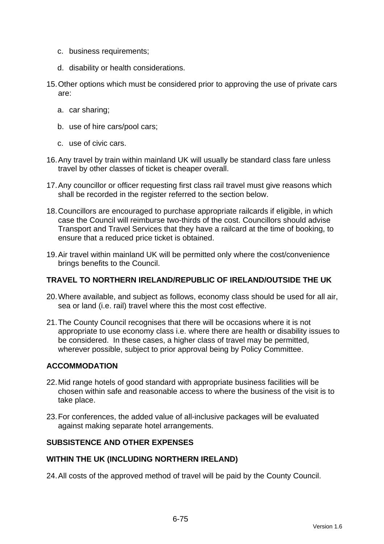- c. business requirements;
- d. disability or health considerations.
- 15. Other options which must be considered prior to approving the use of private cars are:
	- a. car sharing;
	- b. use of hire cars/pool cars;
	- c. use of civic cars.
- 16. Any travel by train within mainland UK will usually be standard class fare unless travel by other classes of ticket is cheaper overall.
- 17. Any councillor or officer requesting first class rail travel must give reasons which shall be recorded in the register referred to the section below.
- 18. Councillors are encouraged to purchase appropriate railcards if eligible, in which case the Council will reimburse two-thirds of the cost. Councillors should advise Transport and Travel Services that they have a railcard at the time of booking, to ensure that a reduced price ticket is obtained.
- 19. Air travel within mainland UK will be permitted only where the cost/convenience brings benefits to the Council.

#### **TRAVEL TO NORTHERN IRELAND/REPUBLIC OF IRELAND/OUTSIDE THE UK**

- 20. Where available, and subject as follows, economy class should be used for all air, sea or land (i.e. rail) travel where this the most cost effective.
- 21. The County Council recognises that there will be occasions where it is not appropriate to use economy class i.e. where there are health or disability issues to be considered. In these cases, a higher class of travel may be permitted, wherever possible, subject to prior approval being by Policy Committee.

### **ACCOMMODATION**

- 22. Mid range hotels of good standard with appropriate business facilities will be chosen within safe and reasonable access to where the business of the visit is to take place.
- 23. For conferences, the added value of all-inclusive packages will be evaluated against making separate hotel arrangements.

#### **SUBSISTENCE AND OTHER EXPENSES**

#### **WITHIN THE UK (INCLUDING NORTHERN IRELAND)**

24. All costs of the approved method of travel will be paid by the County Council.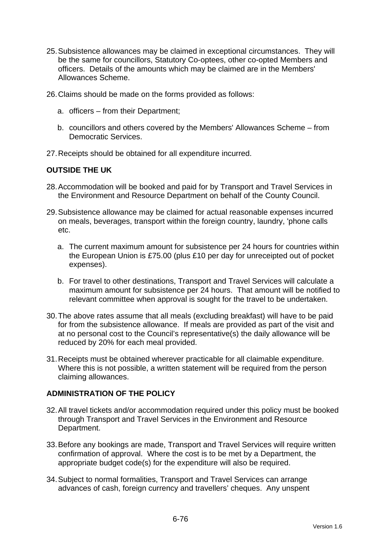- 25. Subsistence allowances may be claimed in exceptional circumstances. They will be the same for councillors, Statutory Co-optees, other co-opted Members and officers. Details of the amounts which may be claimed are in the Members' Allowances Scheme.
- 26. Claims should be made on the forms provided as follows:
	- a. officers from their Department;
	- b. councillors and others covered by the Members' Allowances Scheme from Democratic Services.
- 27. Receipts should be obtained for all expenditure incurred.

#### **OUTSIDE THE UK**

- 28. Accommodation will be booked and paid for by Transport and Travel Services in the Environment and Resource Department on behalf of the County Council.
- 29. Subsistence allowance may be claimed for actual reasonable expenses incurred on meals, beverages, transport within the foreign country, laundry, 'phone calls etc.
	- a. The current maximum amount for subsistence per 24 hours for countries within the European Union is £75.00 (plus £10 per day for unreceipted out of pocket expenses).
	- b. For travel to other destinations, Transport and Travel Services will calculate a maximum amount for subsistence per 24 hours. That amount will be notified to relevant committee when approval is sought for the travel to be undertaken.
- 30. The above rates assume that all meals (excluding breakfast) will have to be paid for from the subsistence allowance. If meals are provided as part of the visit and at no personal cost to the Council's representative(s) the daily allowance will be reduced by 20% for each meal provided.
- 31. Receipts must be obtained wherever practicable for all claimable expenditure. Where this is not possible, a written statement will be required from the person claiming allowances.

#### **ADMINISTRATION OF THE POLICY**

- 32. All travel tickets and/or accommodation required under this policy must be booked through Transport and Travel Services in the Environment and Resource Department.
- 33. Before any bookings are made, Transport and Travel Services will require written confirmation of approval. Where the cost is to be met by a Department, the appropriate budget code(s) for the expenditure will also be required.
- 34. Subject to normal formalities, Transport and Travel Services can arrange advances of cash, foreign currency and travellers' cheques. Any unspent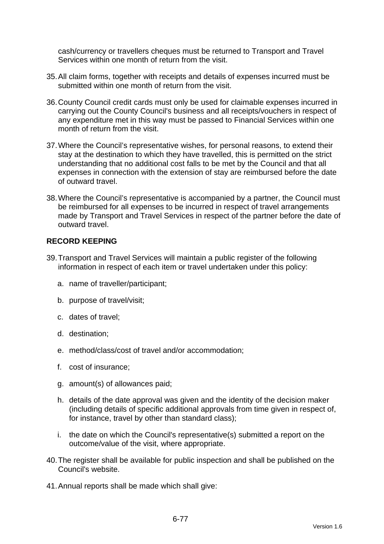cash/currency or travellers cheques must be returned to Transport and Travel Services within one month of return from the visit.

- 35. All claim forms, together with receipts and details of expenses incurred must be submitted within one month of return from the visit.
- 36. County Council credit cards must only be used for claimable expenses incurred in carrying out the County Council's business and all receipts/vouchers in respect of any expenditure met in this way must be passed to Financial Services within one month of return from the visit.
- 37. Where the Council's representative wishes, for personal reasons, to extend their stay at the destination to which they have travelled, this is permitted on the strict understanding that no additional cost falls to be met by the Council and that all expenses in connection with the extension of stay are reimbursed before the date of outward travel.
- 38. Where the Council's representative is accompanied by a partner, the Council must be reimbursed for all expenses to be incurred in respect of travel arrangements made by Transport and Travel Services in respect of the partner before the date of outward travel.

## **RECORD KEEPING**

- 39. Transport and Travel Services will maintain a public register of the following information in respect of each item or travel undertaken under this policy:
	- a. name of traveller/participant;
	- b. purpose of travel/visit;
	- c. dates of travel;
	- d. destination;
	- e. method/class/cost of travel and/or accommodation;
	- f. cost of insurance;
	- g. amount(s) of allowances paid;
	- h. details of the date approval was given and the identity of the decision maker (including details of specific additional approvals from time given in respect of, for instance, travel by other than standard class);
	- i. the date on which the Council's representative(s) submitted a report on the outcome/value of the visit, where appropriate.
- 40. The register shall be available for public inspection and shall be published on the Council's website.
- 41. Annual reports shall be made which shall give: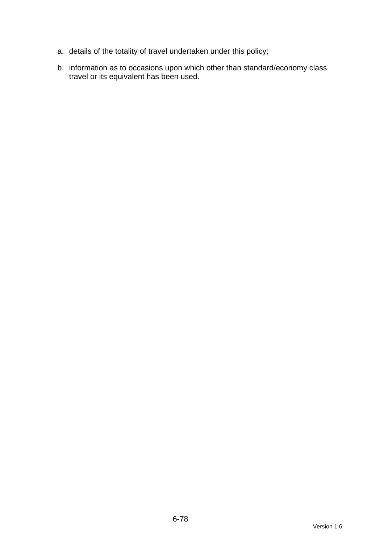- a. details of the totality of travel undertaken under this policy;
- b. information as to occasions upon which other than standard/economy class travel or its equivalent has been used.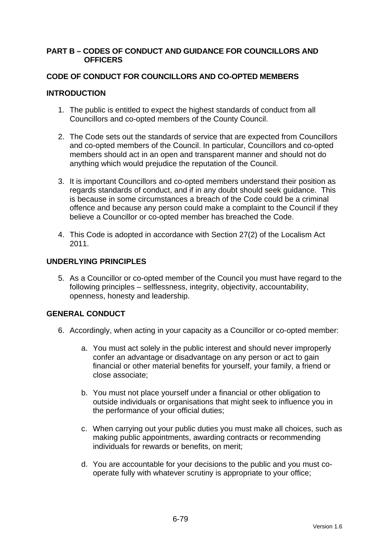### **PART B – CODES OF CONDUCT AND GUIDANCE FOR COUNCILLORS AND OFFICERS**

## **CODE OF CONDUCT FOR COUNCILLORS AND CO-OPTED MEMBERS**

## **INTRODUCTION**

- 1. The public is entitled to expect the highest standards of conduct from all Councillors and co-opted members of the County Council.
- 2. The Code sets out the standards of service that are expected from Councillors and co-opted members of the Council. In particular, Councillors and co-opted members should act in an open and transparent manner and should not do anything which would prejudice the reputation of the Council.
- 3. It is important Councillors and co-opted members understand their position as regards standards of conduct, and if in any doubt should seek guidance. This is because in some circumstances a breach of the Code could be a criminal offence and because any person could make a complaint to the Council if they believe a Councillor or co-opted member has breached the Code.
- 4. This Code is adopted in accordance with Section 27(2) of the Localism Act 2011.

## **UNDERLYING PRINCIPLES**

5. As a Councillor or co-opted member of the Council you must have regard to the following principles – selflessness, integrity, objectivity, accountability, openness, honesty and leadership.

## **GENERAL CONDUCT**

- 6. Accordingly, when acting in your capacity as a Councillor or co-opted member:
	- a. You must act solely in the public interest and should never improperly confer an advantage or disadvantage on any person or act to gain financial or other material benefits for yourself, your family, a friend or close associate;
	- b. You must not place yourself under a financial or other obligation to outside individuals or organisations that might seek to influence you in the performance of your official duties;
	- c. When carrying out your public duties you must make all choices, such as making public appointments, awarding contracts or recommending individuals for rewards or benefits, on merit;
	- d. You are accountable for your decisions to the public and you must cooperate fully with whatever scrutiny is appropriate to your office;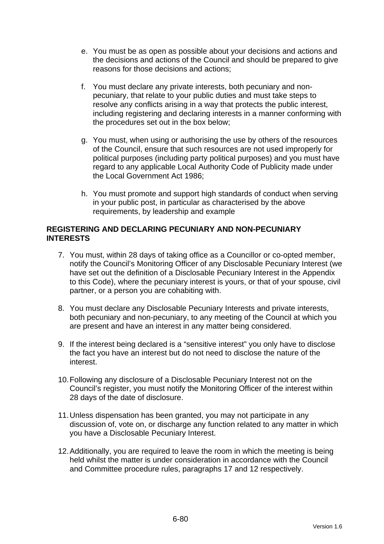- e. You must be as open as possible about your decisions and actions and the decisions and actions of the Council and should be prepared to give reasons for those decisions and actions;
- f. You must declare any private interests, both pecuniary and nonpecuniary, that relate to your public duties and must take steps to resolve any conflicts arising in a way that protects the public interest, including registering and declaring interests in a manner conforming with the procedures set out in the box below;
- g. You must, when using or authorising the use by others of the resources of the Council, ensure that such resources are not used improperly for political purposes (including party political purposes) and you must have regard to any applicable Local Authority Code of Publicity made under the Local Government Act 1986;
- h. You must promote and support high standards of conduct when serving in your public post, in particular as characterised by the above requirements, by leadership and example

### **REGISTERING AND DECLARING PECUNIARY AND NON-PECUNIARY INTERESTS**

- 7. You must, within 28 days of taking office as a Councillor or co-opted member, notify the Council's Monitoring Officer of any Disclosable Pecuniary Interest (we have set out the definition of a Disclosable Pecuniary Interest in the Appendix to this Code), where the pecuniary interest is yours, or that of your spouse, civil partner, or a person you are cohabiting with.
- 8. You must declare any Disclosable Pecuniary Interests and private interests, both pecuniary and non-pecuniary, to any meeting of the Council at which you are present and have an interest in any matter being considered.
- 9. If the interest being declared is a "sensitive interest" you only have to disclose the fact you have an interest but do not need to disclose the nature of the interest.
- 10. Following any disclosure of a Disclosable Pecuniary Interest not on the Council's register, you must notify the Monitoring Officer of the interest within 28 days of the date of disclosure.
- 11. Unless dispensation has been granted, you may not participate in any discussion of, vote on, or discharge any function related to any matter in which you have a Disclosable Pecuniary Interest.
- 12. Additionally, you are required to leave the room in which the meeting is being held whilst the matter is under consideration in accordance with the Council and Committee procedure rules, paragraphs 17 and 12 respectively.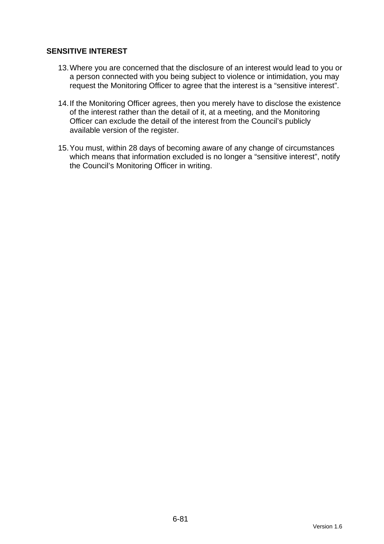## **SENSITIVE INTEREST**

- 13. Where you are concerned that the disclosure of an interest would lead to you or a person connected with you being subject to violence or intimidation, you may request the Monitoring Officer to agree that the interest is a "sensitive interest".
- 14. If the Monitoring Officer agrees, then you merely have to disclose the existence of the interest rather than the detail of it, at a meeting, and the Monitoring Officer can exclude the detail of the interest from the Council's publicly available version of the register.
- 15. You must, within 28 days of becoming aware of any change of circumstances which means that information excluded is no longer a "sensitive interest", notify the Council's Monitoring Officer in writing.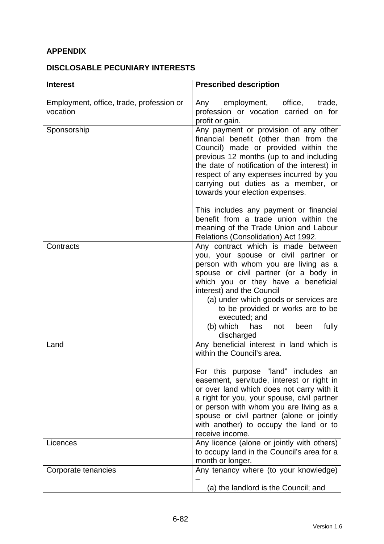# **APPENDIX**

## **DISCLOSABLE PECUNIARY INTERESTS**

| <b>Interest</b>                                      | <b>Prescribed description</b>                                                                                                                                                                                                                                                                                                                                                                               |
|------------------------------------------------------|-------------------------------------------------------------------------------------------------------------------------------------------------------------------------------------------------------------------------------------------------------------------------------------------------------------------------------------------------------------------------------------------------------------|
| Employment, office, trade, profession or<br>vocation | Any employment, office,<br>trade,<br>profession or vocation carried on for<br>profit or gain.                                                                                                                                                                                                                                                                                                               |
| Sponsorship                                          | Any payment or provision of any other<br>financial benefit (other than from the<br>Council) made or provided within the<br>previous 12 months (up to and including<br>the date of notification of the interest) in<br>respect of any expenses incurred by you<br>carrying out duties as a member, or<br>towards your election expenses.                                                                     |
|                                                      | This includes any payment or financial<br>benefit from a trade union within the<br>meaning of the Trade Union and Labour<br>Relations (Consolidation) Act 1992.                                                                                                                                                                                                                                             |
| Contracts                                            | Any contract which is made between<br>you, your spouse or civil partner or<br>person with whom you are living as a<br>spouse or civil partner (or a body in<br>which you or they have a beneficial<br>interest) and the Council<br>(a) under which goods or services are<br>to be provided or works are to be<br>executed; and<br>(b) which has<br>fully<br>been<br>not<br>discharged                       |
| Land                                                 | Any beneficial interest in land which is<br>within the Council's area.<br>For this purpose "land" includes an<br>easement, servitude, interest or right in<br>or over land which does not carry with it<br>a right for you, your spouse, civil partner<br>or person with whom you are living as a<br>spouse or civil partner (alone or jointly<br>with another) to occupy the land or to<br>receive income. |
| Licences                                             | Any licence (alone or jointly with others)<br>to occupy land in the Council's area for a<br>month or longer.                                                                                                                                                                                                                                                                                                |
| Corporate tenancies                                  | Any tenancy where (to your knowledge)<br>(a) the landlord is the Council; and                                                                                                                                                                                                                                                                                                                               |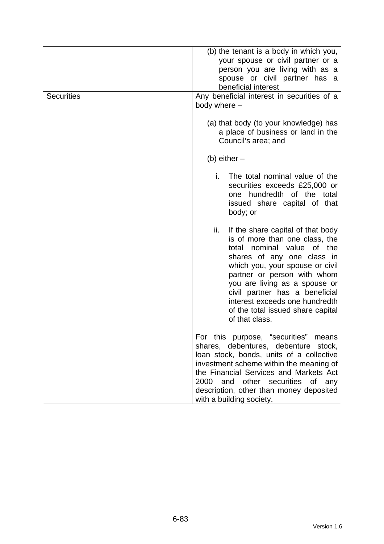| <b>Securities</b> | (b) the tenant is a body in which you,<br>your spouse or civil partner or a<br>person you are living with as a<br>spouse or civil partner has a<br>beneficial interest<br>Any beneficial interest in securities of a<br>body where -                                                                                                                                       |
|-------------------|----------------------------------------------------------------------------------------------------------------------------------------------------------------------------------------------------------------------------------------------------------------------------------------------------------------------------------------------------------------------------|
|                   | (a) that body (to your knowledge) has<br>a place of business or land in the<br>Council's area; and                                                                                                                                                                                                                                                                         |
|                   | (b) either $-$                                                                                                                                                                                                                                                                                                                                                             |
|                   | i.<br>The total nominal value of the<br>securities exceeds £25,000 or<br>one hundredth of the total<br>issued share capital of that<br>body; or                                                                                                                                                                                                                            |
|                   | ii.<br>If the share capital of that body<br>is of more than one class, the<br>nominal value<br>of the<br>total<br>shares of any one class in<br>which you, your spouse or civil<br>partner or person with whom<br>you are living as a spouse or<br>civil partner has a beneficial<br>interest exceeds one hundredth<br>of the total issued share capital<br>of that class. |
|                   | For this purpose, "securities"<br>means<br>shares, debentures, debenture stock,<br>loan stock, bonds, units of a collective<br>investment scheme within the meaning of<br>the Financial Services and Markets Act<br>2000<br>and other securities of<br>any<br>description, other than money deposited<br>with a building society.                                          |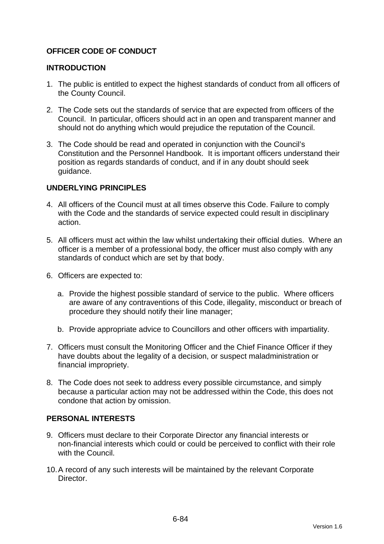## **OFFICER CODE OF CONDUCT**

### **INTRODUCTION**

- 1. The public is entitled to expect the highest standards of conduct from all officers of the County Council.
- 2. The Code sets out the standards of service that are expected from officers of the Council. In particular, officers should act in an open and transparent manner and should not do anything which would prejudice the reputation of the Council.
- 3. The Code should be read and operated in conjunction with the Council's Constitution and the Personnel Handbook. It is important officers understand their position as regards standards of conduct, and if in any doubt should seek guidance.

## **UNDERLYING PRINCIPLES**

- 4. All officers of the Council must at all times observe this Code. Failure to comply with the Code and the standards of service expected could result in disciplinary action.
- 5. All officers must act within the law whilst undertaking their official duties. Where an officer is a member of a professional body, the officer must also comply with any standards of conduct which are set by that body.
- 6. Officers are expected to:
	- a. Provide the highest possible standard of service to the public. Where officers are aware of any contraventions of this Code, illegality, misconduct or breach of procedure they should notify their line manager;
	- b. Provide appropriate advice to Councillors and other officers with impartiality.
- 7. Officers must consult the Monitoring Officer and the Chief Finance Officer if they have doubts about the legality of a decision, or suspect maladministration or financial impropriety.
- 8. The Code does not seek to address every possible circumstance, and simply because a particular action may not be addressed within the Code, this does not condone that action by omission.

#### **PERSONAL INTERESTS**

- 9. Officers must declare to their Corporate Director any financial interests or non-financial interests which could or could be perceived to conflict with their role with the Council.
- 10. A record of any such interests will be maintained by the relevant Corporate **Director**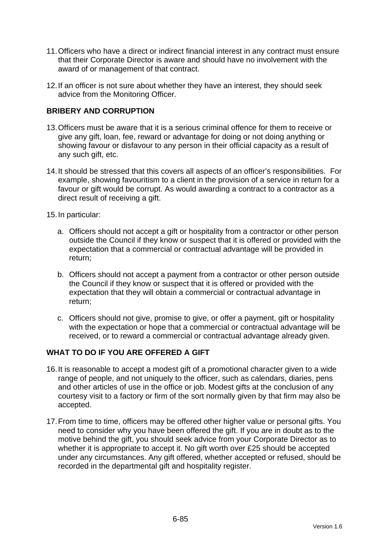- 11. Officers who have a direct or indirect financial interest in any contract must ensure that their Corporate Director is aware and should have no involvement with the award of or management of that contract.
- 12. If an officer is not sure about whether they have an interest, they should seek advice from the Monitoring Officer.

## **BRIBERY AND CORRUPTION**

- 13. Officers must be aware that it is a serious criminal offence for them to receive or give any gift, loan, fee, reward or advantage for doing or not doing anything or showing favour or disfavour to any person in their official capacity as a result of any such gift, etc.
- 14. It should be stressed that this covers all aspects of an officer's responsibilities. For example, showing favouritism to a client in the provision of a service in return for a favour or gift would be corrupt. As would awarding a contract to a contractor as a direct result of receiving a gift.
- 15. In particular:
	- a. Officers should not accept a gift or hospitality from a contractor or other person outside the Council if they know or suspect that it is offered or provided with the expectation that a commercial or contractual advantage will be provided in return;
	- b. Officers should not accept a payment from a contractor or other person outside the Council if they know or suspect that it is offered or provided with the expectation that they will obtain a commercial or contractual advantage in return;
	- c. Officers should not give, promise to give, or offer a payment, gift or hospitality with the expectation or hope that a commercial or contractual advantage will be received, or to reward a commercial or contractual advantage already given.

#### **WHAT TO DO IF YOU ARE OFFERED A GIFT**

- 16. It is reasonable to accept a modest gift of a promotional character given to a wide range of people, and not uniquely to the officer, such as calendars, diaries, pens and other articles of use in the office or job. Modest gifts at the conclusion of any courtesy visit to a factory or firm of the sort normally given by that firm may also be accepted.
- 17. From time to time, officers may be offered other higher value or personal gifts. You need to consider why you have been offered the gift. If you are in doubt as to the motive behind the gift, you should seek advice from your Corporate Director as to whether it is appropriate to accept it. No gift worth over £25 should be accepted under any circumstances. Any gift offered, whether accepted or refused, should be recorded in the departmental gift and hospitality register.

Version 1.6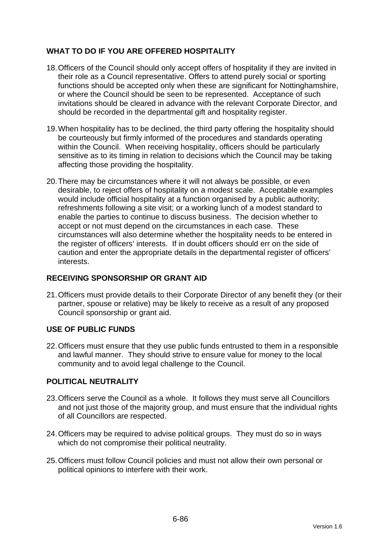## **WHAT TO DO IF YOU ARE OFFERED HOSPITALITY**

- 18. Officers of the Council should only accept offers of hospitality if they are invited in their role as a Council representative. Offers to attend purely social or sporting functions should be accepted only when these are significant for Nottinghamshire, or where the Council should be seen to be represented. Acceptance of such invitations should be cleared in advance with the relevant Corporate Director, and should be recorded in the departmental gift and hospitality register.
- 19. When hospitality has to be declined, the third party offering the hospitality should be courteously but firmly informed of the procedures and standards operating within the Council. When receiving hospitality, officers should be particularly sensitive as to its timing in relation to decisions which the Council may be taking affecting those providing the hospitality.
- 20. There may be circumstances where it will not always be possible, or even desirable, to reject offers of hospitality on a modest scale. Acceptable examples would include official hospitality at a function organised by a public authority; refreshments following a site visit; or a working lunch of a modest standard to enable the parties to continue to discuss business. The decision whether to accept or not must depend on the circumstances in each case. These circumstances will also determine whether the hospitality needs to be entered in the register of officers' interests. If in doubt officers should err on the side of caution and enter the appropriate details in the departmental register of officers' interests.

## **RECEIVING SPONSORSHIP OR GRANT AID**

21. Officers must provide details to their Corporate Director of any benefit they (or their partner, spouse or relative) may be likely to receive as a result of any proposed Council sponsorship or grant aid.

## **USE OF PUBLIC FUNDS**

22. Officers must ensure that they use public funds entrusted to them in a responsible and lawful manner. They should strive to ensure value for money to the local community and to avoid legal challenge to the Council.

## **POLITICAL NEUTRALITY**

- 23. Officers serve the Council as a whole. It follows they must serve all Councillors and not just those of the majority group, and must ensure that the individual rights of all Councillors are respected.
- 24. Officers may be required to advise political groups. They must do so in ways which do not compromise their political neutrality.
- 25. Officers must follow Council policies and must not allow their own personal or political opinions to interfere with their work.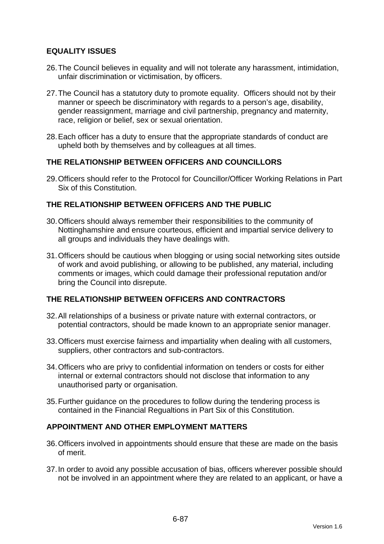## **EQUALITY ISSUES**

- 26. The Council believes in equality and will not tolerate any harassment, intimidation, unfair discrimination or victimisation, by officers.
- 27. The Council has a statutory duty to promote equality. Officers should not by their manner or speech be discriminatory with regards to a person's age, disability, gender reassignment, marriage and civil partnership, pregnancy and maternity, race, religion or belief, sex or sexual orientation.
- 28. Each officer has a duty to ensure that the appropriate standards of conduct are upheld both by themselves and by colleagues at all times.

## **THE RELATIONSHIP BETWEEN OFFICERS AND COUNCILLORS**

29. Officers should refer to the Protocol for Councillor/Officer Working Relations in Part Six of this Constitution.

## **THE RELATIONSHIP BETWEEN OFFICERS AND THE PUBLIC**

- 30. Officers should always remember their responsibilities to the community of Nottinghamshire and ensure courteous, efficient and impartial service delivery to all groups and individuals they have dealings with.
- 31. Officers should be cautious when blogging or using social networking sites outside of work and avoid publishing, or allowing to be published, any material, including comments or images, which could damage their professional reputation and/or bring the Council into disrepute.

## **THE RELATIONSHIP BETWEEN OFFICERS AND CONTRACTORS**

- 32. All relationships of a business or private nature with external contractors, or potential contractors, should be made known to an appropriate senior manager.
- 33. Officers must exercise fairness and impartiality when dealing with all customers, suppliers, other contractors and sub-contractors.
- 34. Officers who are privy to confidential information on tenders or costs for either internal or external contractors should not disclose that information to any unauthorised party or organisation.
- 35. Further guidance on the procedures to follow during the tendering process is contained in the Financial Regualtions in Part Six of this Constitution.

#### **APPOINTMENT AND OTHER EMPLOYMENT MATTERS**

- 36. Officers involved in appointments should ensure that these are made on the basis of merit.
- 37. In order to avoid any possible accusation of bias, officers wherever possible should not be involved in an appointment where they are related to an applicant, or have a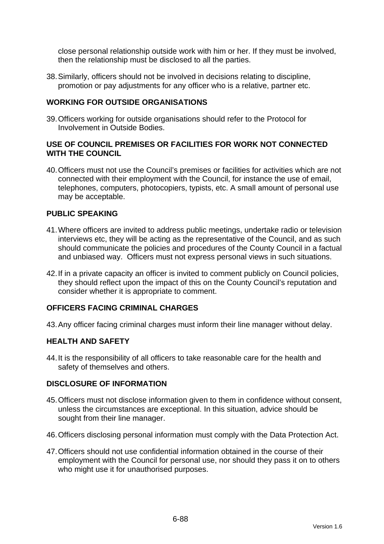close personal relationship outside work with him or her. If they must be involved, then the relationship must be disclosed to all the parties.

38. Similarly, officers should not be involved in decisions relating to discipline, promotion or pay adjustments for any officer who is a relative, partner etc.

### **WORKING FOR OUTSIDE ORGANISATIONS**

39. Officers working for outside organisations should refer to the Protocol for Involvement in Outside Bodies.

### **USE OF COUNCIL PREMISES OR FACILITIES FOR WORK NOT CONNECTED WITH THE COUNCIL**

40. Officers must not use the Council's premises or facilities for activities which are not connected with their employment with the Council, for instance the use of email, telephones, computers, photocopiers, typists, etc. A small amount of personal use may be acceptable.

## **PUBLIC SPEAKING**

- 41. Where officers are invited to address public meetings, undertake radio or television interviews etc, they will be acting as the representative of the Council, and as such should communicate the policies and procedures of the County Council in a factual and unbiased way. Officers must not express personal views in such situations.
- 42. If in a private capacity an officer is invited to comment publicly on Council policies, they should reflect upon the impact of this on the County Council's reputation and consider whether it is appropriate to comment.

### **OFFICERS FACING CRIMINAL CHARGES**

43. Any officer facing criminal charges must inform their line manager without delay.

#### **HEALTH AND SAFETY**

44. It is the responsibility of all officers to take reasonable care for the health and safety of themselves and others.

#### **DISCLOSURE OF INFORMATION**

- 45. Officers must not disclose information given to them in confidence without consent, unless the circumstances are exceptional. In this situation, advice should be sought from their line manager.
- 46. Officers disclosing personal information must comply with the Data Protection Act.
- 47. Officers should not use confidential information obtained in the course of their employment with the Council for personal use, nor should they pass it on to others who might use it for unauthorised purposes.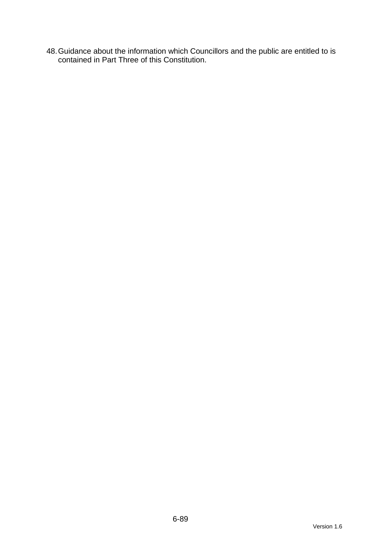48. Guidance about the information which Councillors and the public are entitled to is contained in Part Three of this Constitution.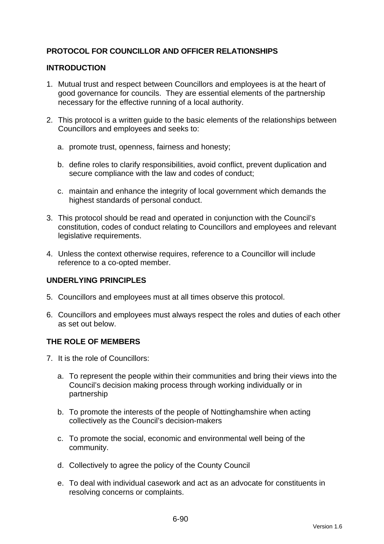## **PROTOCOL FOR COUNCILLOR AND OFFICER RELATIONSHIPS**

## **INTRODUCTION**

- 1. Mutual trust and respect between Councillors and employees is at the heart of good governance for councils. They are essential elements of the partnership necessary for the effective running of a local authority.
- 2. This protocol is a written guide to the basic elements of the relationships between Councillors and employees and seeks to:
	- a. promote trust, openness, fairness and honesty;
	- b. define roles to clarify responsibilities, avoid conflict, prevent duplication and secure compliance with the law and codes of conduct;
	- c. maintain and enhance the integrity of local government which demands the highest standards of personal conduct.
- 3. This protocol should be read and operated in conjunction with the Council's constitution, codes of conduct relating to Councillors and employees and relevant legislative requirements.
- 4. Unless the context otherwise requires, reference to a Councillor will include reference to a co-opted member.

#### **UNDERLYING PRINCIPLES**

- 5. Councillors and employees must at all times observe this protocol.
- 6. Councillors and employees must always respect the roles and duties of each other as set out below.

#### **THE ROLE OF MEMBERS**

- 7. It is the role of Councillors:
	- a. To represent the people within their communities and bring their views into the Council's decision making process through working individually or in partnership
	- b. To promote the interests of the people of Nottinghamshire when acting collectively as the Council's decision-makers
	- c. To promote the social, economic and environmental well being of the community.
	- d. Collectively to agree the policy of the County Council
	- e. To deal with individual casework and act as an advocate for constituents in resolving concerns or complaints.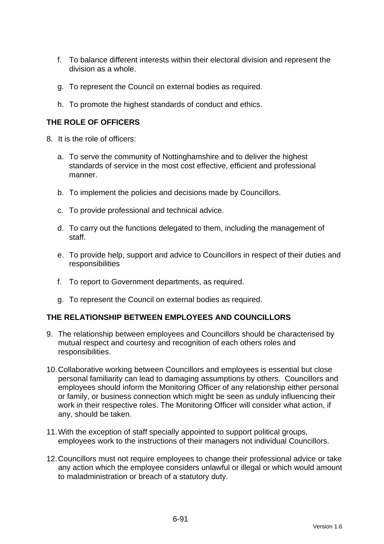- f. To balance different interests within their electoral division and represent the division as a whole.
- g. To represent the Council on external bodies as required.
- h. To promote the highest standards of conduct and ethics.

## **THE ROLE OF OFFICERS**

- 8. It is the role of officers:
	- a. To serve the community of Nottinghamshire and to deliver the highest standards of service in the most cost effective, efficient and professional manner.
	- b. To implement the policies and decisions made by Councillors.
	- c. To provide professional and technical advice.
	- d. To carry out the functions delegated to them, including the management of staff.
	- e. To provide help, support and advice to Councillors in respect of their duties and responsibilities
	- f. To report to Government departments, as required.
	- g. To represent the Council on external bodies as required.

## **THE RELATIONSHIP BETWEEN EMPLOYEES AND COUNCILLORS**

- 9. The relationship between employees and Councillors should be characterised by mutual respect and courtesy and recognition of each others roles and responsibilities.
- 10. Collaborative working between Councillors and employees is essential but close personal familiarity can lead to damaging assumptions by others. Councillors and employees should inform the Monitoring Officer of any relationship either personal or family, or business connection which might be seen as unduly influencing their work in their respective roles. The Monitoring Officer will consider what action, if any, should be taken.
- 11. With the exception of staff specially appointed to support political groups, employees work to the instructions of their managers not individual Councillors.
- 12. Councillors must not require employees to change their professional advice or take any action which the employee considers unlawful or illegal or which would amount to maladministration or breach of a statutory duty.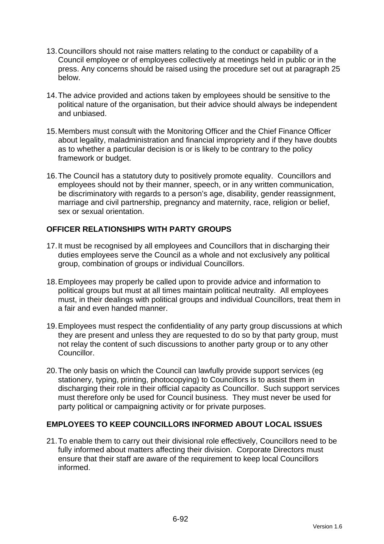- 13. Councillors should not raise matters relating to the conduct or capability of a Council employee or of employees collectively at meetings held in public or in the press. Any concerns should be raised using the procedure set out at paragraph 25 below.
- 14. The advice provided and actions taken by employees should be sensitive to the political nature of the organisation, but their advice should always be independent and unbiased.
- 15. Members must consult with the Monitoring Officer and the Chief Finance Officer about legality, maladministration and financial impropriety and if they have doubts as to whether a particular decision is or is likely to be contrary to the policy framework or budget.
- 16. The Council has a statutory duty to positively promote equality. Councillors and employees should not by their manner, speech, or in any written communication, be discriminatory with regards to a person's age, disability, gender reassignment, marriage and civil partnership, pregnancy and maternity, race, religion or belief, sex or sexual orientation.

## **OFFICER RELATIONSHIPS WITH PARTY GROUPS**

- 17. It must be recognised by all employees and Councillors that in discharging their duties employees serve the Council as a whole and not exclusively any political group, combination of groups or individual Councillors.
- 18. Employees may properly be called upon to provide advice and information to political groups but must at all times maintain political neutrality. All employees must, in their dealings with political groups and individual Councillors, treat them in a fair and even handed manner.
- 19. Employees must respect the confidentiality of any party group discussions at which they are present and unless they are requested to do so by that party group, must not relay the content of such discussions to another party group or to any other Councillor.
- 20. The only basis on which the Council can lawfully provide support services (eg stationery, typing, printing, photocopying) to Councillors is to assist them in discharging their role in their official capacity as Councillor. Such support services must therefore only be used for Council business. They must never be used for party political or campaigning activity or for private purposes.

## **EMPLOYEES TO KEEP COUNCILLORS INFORMED ABOUT LOCAL ISSUES**

21. To enable them to carry out their divisional role effectively, Councillors need to be fully informed about matters affecting their division. Corporate Directors must ensure that their staff are aware of the requirement to keep local Councillors informed.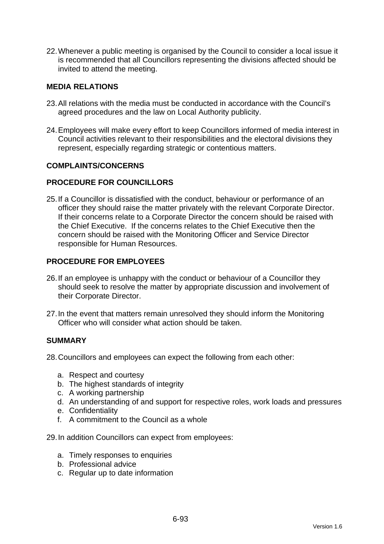22. Whenever a public meeting is organised by the Council to consider a local issue it is recommended that all Councillors representing the divisions affected should be invited to attend the meeting.

### **MEDIA RELATIONS**

- 23. All relations with the media must be conducted in accordance with the Council's agreed procedures and the law on Local Authority publicity.
- 24. Employees will make every effort to keep Councillors informed of media interest in Council activities relevant to their responsibilities and the electoral divisions they represent, especially regarding strategic or contentious matters.

#### **COMPLAINTS/CONCERNS**

## **PROCEDURE FOR COUNCILLORS**

25. If a Councillor is dissatisfied with the conduct, behaviour or performance of an officer they should raise the matter privately with the relevant Corporate Director. If their concerns relate to a Corporate Director the concern should be raised with the Chief Executive. If the concerns relates to the Chief Executive then the concern should be raised with the Monitoring Officer and Service Director responsible for Human Resources.

## **PROCEDURE FOR EMPLOYEES**

- 26. If an employee is unhappy with the conduct or behaviour of a Councillor they should seek to resolve the matter by appropriate discussion and involvement of their Corporate Director.
- 27. In the event that matters remain unresolved they should inform the Monitoring Officer who will consider what action should be taken.

#### **SUMMARY**

28. Councillors and employees can expect the following from each other:

- a. Respect and courtesy
- b. The highest standards of integrity
- c. A working partnership
- d. An understanding of and support for respective roles, work loads and pressures
- e. Confidentiality
- f. A commitment to the Council as a whole
- 29. In addition Councillors can expect from employees:
	- a. Timely responses to enquiries
	- b. Professional advice
	- c. Regular up to date information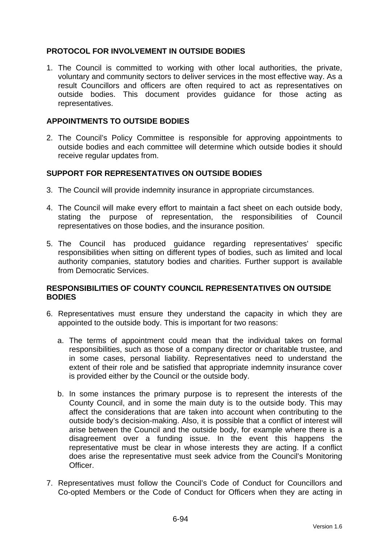## **PROTOCOL FOR INVOLVEMENT IN OUTSIDE BODIES**

1. The Council is committed to working with other local authorities, the private, voluntary and community sectors to deliver services in the most effective way. As a result Councillors and officers are often required to act as representatives on outside bodies. This document provides guidance for those acting as representatives.

### **APPOINTMENTS TO OUTSIDE BODIES**

2. The Council's Policy Committee is responsible for approving appointments to outside bodies and each committee will determine which outside bodies it should receive regular updates from.

## **SUPPORT FOR REPRESENTATIVES ON OUTSIDE BODIES**

- 3. The Council will provide indemnity insurance in appropriate circumstances.
- 4. The Council will make every effort to maintain a fact sheet on each outside body, stating the purpose of representation, the responsibilities of Council representatives on those bodies, and the insurance position.
- 5. The Council has produced guidance regarding representatives' specific responsibilities when sitting on different types of bodies, such as limited and local authority companies, statutory bodies and charities. Further support is available from Democratic Services.

#### **RESPONSIBILITIES OF COUNTY COUNCIL REPRESENTATIVES ON OUTSIDE BODIES**

- 6. Representatives must ensure they understand the capacity in which they are appointed to the outside body. This is important for two reasons:
	- a. The terms of appointment could mean that the individual takes on formal responsibilities, such as those of a company director or charitable trustee, and in some cases, personal liability. Representatives need to understand the extent of their role and be satisfied that appropriate indemnity insurance cover is provided either by the Council or the outside body.
	- b. In some instances the primary purpose is to represent the interests of the County Council, and in some the main duty is to the outside body. This may affect the considerations that are taken into account when contributing to the outside body's decision-making. Also, it is possible that a conflict of interest will arise between the Council and the outside body, for example where there is a disagreement over a funding issue. In the event this happens the representative must be clear in whose interests they are acting. If a conflict does arise the representative must seek advice from the Council's Monitoring Officer.
- 7. Representatives must follow the Council's Code of Conduct for Councillors and Co-opted Members or the Code of Conduct for Officers when they are acting in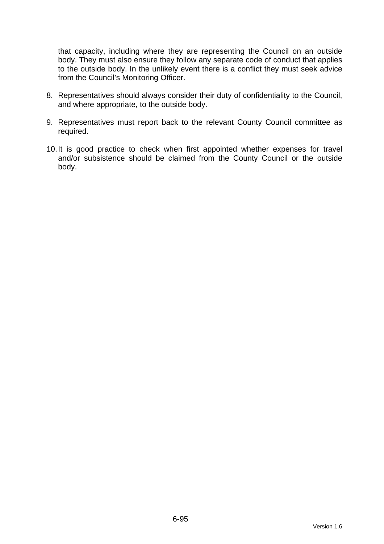that capacity, including where they are representing the Council on an outside body. They must also ensure they follow any separate code of conduct that applies to the outside body. In the unlikely event there is a conflict they must seek advice from the Council's Monitoring Officer.

- 8. Representatives should always consider their duty of confidentiality to the Council, and where appropriate, to the outside body.
- 9. Representatives must report back to the relevant County Council committee as required.
- 10. It is good practice to check when first appointed whether expenses for travel and/or subsistence should be claimed from the County Council or the outside body.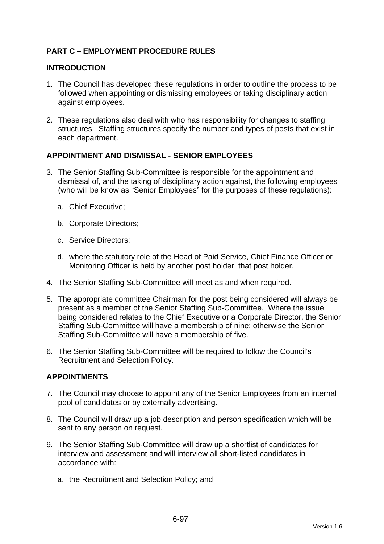## **PART C – EMPLOYMENT PROCEDURE RULES**

### **INTRODUCTION**

- 1. The Council has developed these regulations in order to outline the process to be followed when appointing or dismissing employees or taking disciplinary action against employees.
- 2. These regulations also deal with who has responsibility for changes to staffing structures. Staffing structures specify the number and types of posts that exist in each department.

## **APPOINTMENT AND DISMISSAL - SENIOR EMPLOYEES**

- 3. The Senior Staffing Sub-Committee is responsible for the appointment and dismissal of, and the taking of disciplinary action against, the following employees (who will be know as "Senior Employees" for the purposes of these regulations):
	- a. Chief Executive;
	- b. Corporate Directors;
	- c. Service Directors;
	- d. where the statutory role of the Head of Paid Service, Chief Finance Officer or Monitoring Officer is held by another post holder, that post holder.
- 4. The Senior Staffing Sub-Committee will meet as and when required.
- 5. The appropriate committee Chairman for the post being considered will always be present as a member of the Senior Staffing Sub-Committee. Where the issue being considered relates to the Chief Executive or a Corporate Director, the Senior Staffing Sub-Committee will have a membership of nine; otherwise the Senior Staffing Sub-Committee will have a membership of five.
- 6. The Senior Staffing Sub-Committee will be required to follow the Council's Recruitment and Selection Policy.

#### **APPOINTMENTS**

- 7. The Council may choose to appoint any of the Senior Employees from an internal pool of candidates or by externally advertising.
- 8. The Council will draw up a job description and person specification which will be sent to any person on request.
- 9. The Senior Staffing Sub-Committee will draw up a shortlist of candidates for interview and assessment and will interview all short-listed candidates in accordance with:
	- a. the Recruitment and Selection Policy; and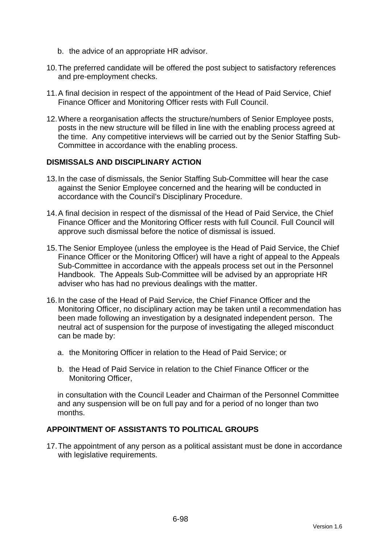- b. the advice of an appropriate HR advisor.
- 10. The preferred candidate will be offered the post subject to satisfactory references and pre-employment checks.
- 11. A final decision in respect of the appointment of the Head of Paid Service, Chief Finance Officer and Monitoring Officer rests with Full Council.
- 12. Where a reorganisation affects the structure/numbers of Senior Employee posts, posts in the new structure will be filled in line with the enabling process agreed at the time. Any competitive interviews will be carried out by the Senior Staffing Sub-Committee in accordance with the enabling process.

#### **DISMISSALS AND DISCIPLINARY ACTION**

- 13. In the case of dismissals, the Senior Staffing Sub-Committee will hear the case against the Senior Employee concerned and the hearing will be conducted in accordance with the Council's Disciplinary Procedure.
- 14. A final decision in respect of the dismissal of the Head of Paid Service, the Chief Finance Officer and the Monitoring Officer rests with full Council. Full Council will approve such dismissal before the notice of dismissal is issued.
- 15. The Senior Employee (unless the employee is the Head of Paid Service, the Chief Finance Officer or the Monitoring Officer) will have a right of appeal to the Appeals Sub-Committee in accordance with the appeals process set out in the Personnel Handbook. The Appeals Sub-Committee will be advised by an appropriate HR adviser who has had no previous dealings with the matter.
- 16. In the case of the Head of Paid Service, the Chief Finance Officer and the Monitoring Officer, no disciplinary action may be taken until a recommendation has been made following an investigation by a designated independent person. The neutral act of suspension for the purpose of investigating the alleged misconduct can be made by:
	- a. the Monitoring Officer in relation to the Head of Paid Service; or
	- b. the Head of Paid Service in relation to the Chief Finance Officer or the Monitoring Officer,

in consultation with the Council Leader and Chairman of the Personnel Committee and any suspension will be on full pay and for a period of no longer than two months.

### **APPOINTMENT OF ASSISTANTS TO POLITICAL GROUPS**

17. The appointment of any person as a political assistant must be done in accordance with legislative requirements.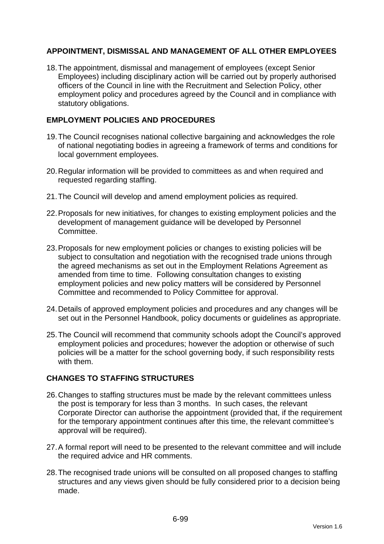## **APPOINTMENT, DISMISSAL AND MANAGEMENT OF ALL OTHER EMPLOYEES**

18. The appointment, dismissal and management of employees (except Senior Employees) including disciplinary action will be carried out by properly authorised officers of the Council in line with the Recruitment and Selection Policy, other employment policy and procedures agreed by the Council and in compliance with statutory obligations.

## **EMPLOYMENT POLICIES AND PROCEDURES**

- 19. The Council recognises national collective bargaining and acknowledges the role of national negotiating bodies in agreeing a framework of terms and conditions for local government employees.
- 20. Regular information will be provided to committees as and when required and requested regarding staffing.
- 21. The Council will develop and amend employment policies as required.
- 22. Proposals for new initiatives, for changes to existing employment policies and the development of management guidance will be developed by Personnel Committee.
- 23. Proposals for new employment policies or changes to existing policies will be subject to consultation and negotiation with the recognised trade unions through the agreed mechanisms as set out in the Employment Relations Agreement as amended from time to time. Following consultation changes to existing employment policies and new policy matters will be considered by Personnel Committee and recommended to Policy Committee for approval.
- 24. Details of approved employment policies and procedures and any changes will be set out in the Personnel Handbook, policy documents or guidelines as appropriate.
- 25. The Council will recommend that community schools adopt the Council's approved employment policies and procedures; however the adoption or otherwise of such policies will be a matter for the school governing body, if such responsibility rests with them.

## **CHANGES TO STAFFING STRUCTURES**

- 26. Changes to staffing structures must be made by the relevant committees unless the post is temporary for less than 3 months. In such cases, the relevant Corporate Director can authorise the appointment (provided that, if the requirement for the temporary appointment continues after this time, the relevant committee's approval will be required).
- 27. A formal report will need to be presented to the relevant committee and will include the required advice and HR comments.
- 28. The recognised trade unions will be consulted on all proposed changes to staffing structures and any views given should be fully considered prior to a decision being made.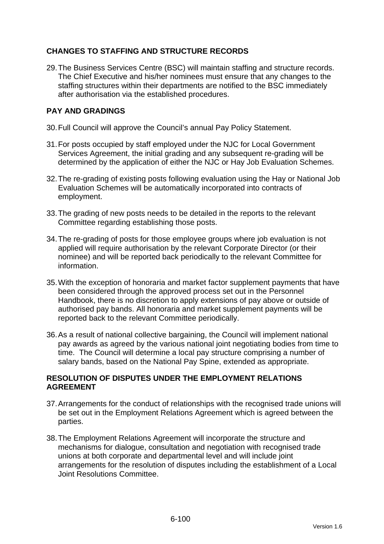## **CHANGES TO STAFFING AND STRUCTURE RECORDS**

29. The Business Services Centre (BSC) will maintain staffing and structure records. The Chief Executive and his/her nominees must ensure that any changes to the staffing structures within their departments are notified to the BSC immediately after authorisation via the established procedures.

## **PAY AND GRADINGS**

- 30. Full Council will approve the Council's annual Pay Policy Statement.
- 31. For posts occupied by staff employed under the NJC for Local Government Services Agreement, the initial grading and any subsequent re-grading will be determined by the application of either the NJC or Hay Job Evaluation Schemes.
- 32. The re-grading of existing posts following evaluation using the Hay or National Job Evaluation Schemes will be automatically incorporated into contracts of employment.
- 33. The grading of new posts needs to be detailed in the reports to the relevant Committee regarding establishing those posts.
- 34. The re-grading of posts for those employee groups where job evaluation is not applied will require authorisation by the relevant Corporate Director (or their nominee) and will be reported back periodically to the relevant Committee for information.
- 35. With the exception of honoraria and market factor supplement payments that have been considered through the approved process set out in the Personnel Handbook, there is no discretion to apply extensions of pay above or outside of authorised pay bands. All honoraria and market supplement payments will be reported back to the relevant Committee periodically.
- 36. As a result of national collective bargaining, the Council will implement national pay awards as agreed by the various national joint negotiating bodies from time to time. The Council will determine a local pay structure comprising a number of salary bands, based on the National Pay Spine, extended as appropriate.

## **RESOLUTION OF DISPUTES UNDER THE EMPLOYMENT RELATIONS AGREEMENT**

- 37. Arrangements for the conduct of relationships with the recognised trade unions will be set out in the Employment Relations Agreement which is agreed between the parties.
- 38. The Employment Relations Agreement will incorporate the structure and mechanisms for dialogue, consultation and negotiation with recognised trade unions at both corporate and departmental level and will include joint arrangements for the resolution of disputes including the establishment of a Local Joint Resolutions Committee.